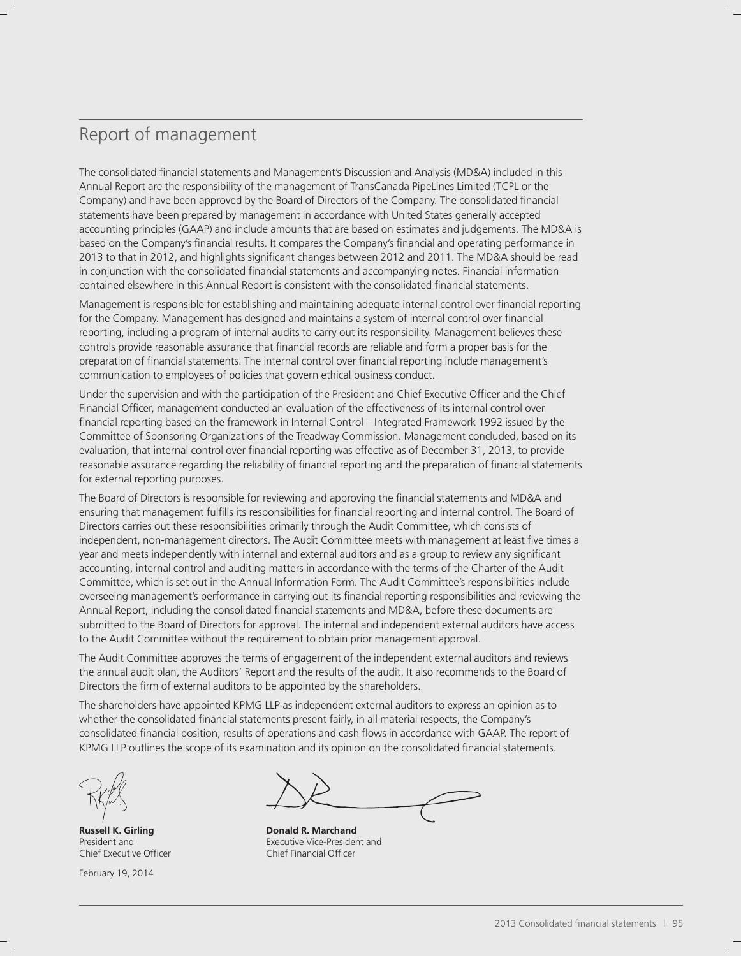# Report of management

The consolidated financial statements and Management's Discussion and Analysis (MD&A) included in this Annual Report are the responsibility of the management of TransCanada PipeLines Limited (TCPL or the Company) and have been approved by the Board of Directors of the Company. The consolidated financial statements have been prepared by management in accordance with United States generally accepted accounting principles (GAAP) and include amounts that are based on estimates and judgements. The MD&A is based on the Company's financial results. It compares the Company's financial and operating performance in 2013 to that in 2012, and highlights significant changes between 2012 and 2011. The MD&A should be read in conjunction with the consolidated financial statements and accompanying notes. Financial information contained elsewhere in this Annual Report is consistent with the consolidated financial statements.

Management is responsible for establishing and maintaining adequate internal control over financial reporting for the Company. Management has designed and maintains a system of internal control over financial reporting, including a program of internal audits to carry out its responsibility. Management believes these controls provide reasonable assurance that financial records are reliable and form a proper basis for the preparation of financial statements. The internal control over financial reporting include management's communication to employees of policies that govern ethical business conduct.

Under the supervision and with the participation of the President and Chief Executive Officer and the Chief Financial Officer, management conducted an evaluation of the effectiveness of its internal control over financial reporting based on the framework in Internal Control – Integrated Framework 1992 issued by the Committee of Sponsoring Organizations of the Treadway Commission. Management concluded, based on its evaluation, that internal control over financial reporting was effective as of December 31, 2013, to provide reasonable assurance regarding the reliability of financial reporting and the preparation of financial statements for external reporting purposes.

The Board of Directors is responsible for reviewing and approving the financial statements and MD&A and ensuring that management fulfills its responsibilities for financial reporting and internal control. The Board of Directors carries out these responsibilities primarily through the Audit Committee, which consists of independent, non-management directors. The Audit Committee meets with management at least five times a year and meets independently with internal and external auditors and as a group to review any significant accounting, internal control and auditing matters in accordance with the terms of the Charter of the Audit Committee, which is set out in the Annual Information Form. The Audit Committee's responsibilities include overseeing management's performance in carrying out its financial reporting responsibilities and reviewing the Annual Report, including the consolidated financial statements and MD&A, before these documents are submitted to the Board of Directors for approval. The internal and independent external auditors have access to the Audit Committee without the requirement to obtain prior management approval.

The Audit Committee approves the terms of engagement of the independent external auditors and reviews the annual audit plan, the Auditors' Report and the results of the audit. It also recommends to the Board of Directors the firm of external auditors to be appointed by the shareholders.

The shareholders have appointed KPMG LLP as independent external auditors to express an opinion as to whether the consolidated financial statements present fairly, in all material respects, the Company's consolidated financial position, results of operations and cash flows in accordance with GAAP. The report of KPMG LLP outlines the scope of its examination and its opinion on the consolidated financial statements.

**Russell K. Girling Conald R. Marchand**<br>President and Donald R. Marchand<br>Executive Vice-Presiden Chief Executive Officer

February 19, 2014

 $\mathcal{I}$  for a set of a set of a set of a set of a set of a set of a set of a set of a set of a set of a set of a set of a set of a set of a set of a set of a set of a set of a set of a set of a set of a set of a set of a

Executive Vice-President and<br>Chief Financial Officer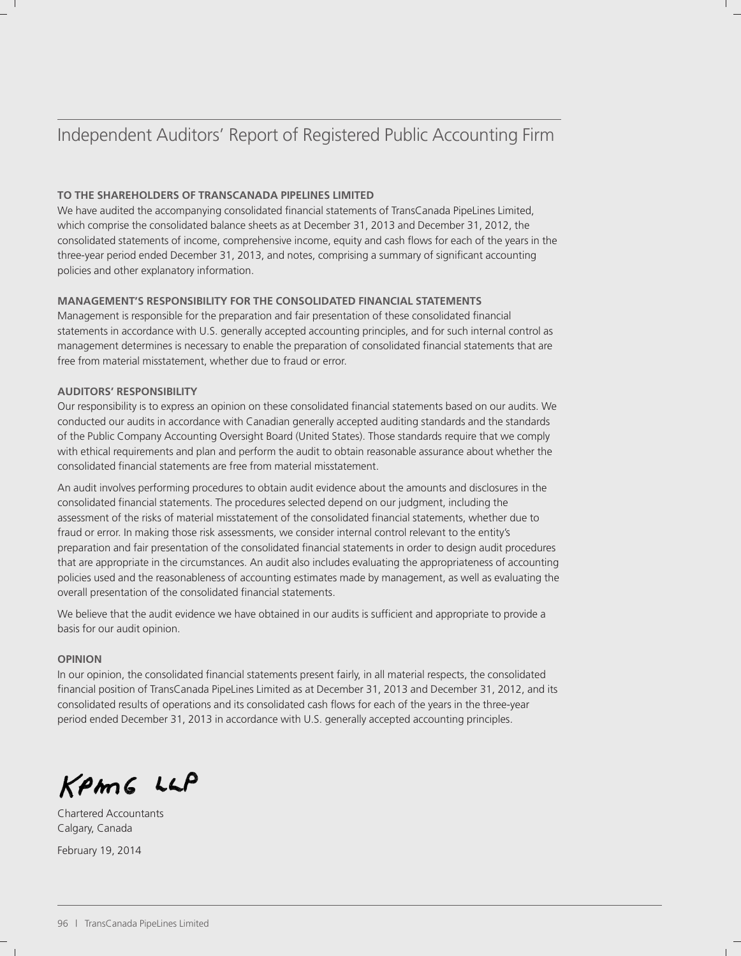# Independent Auditors' Report of Registered Public Accounting Firm

### **TO THE SHAREHOLDERS OF TRANSCANADA PIPELINES LIMITED**

We have audited the accompanying consolidated financial statements of TransCanada PipeLines Limited, which comprise the consolidated balance sheets as at December 31, 2013 and December 31, 2012, the consolidated statements of income, comprehensive income, equity and cash flows for each of the years in the three-year period ended December 31, 2013, and notes, comprising a summary of significant accounting policies and other explanatory information.

### **MANAGEMENT'S RESPONSIBILITY FOR THE CONSOLIDATED FINANCIAL STATEMENTS**

Management is responsible for the preparation and fair presentation of these consolidated financial statements in accordance with U.S. generally accepted accounting principles, and for such internal control as management determines is necessary to enable the preparation of consolidated financial statements that are free from material misstatement, whether due to fraud or error.

### **AUDITORS' RESPONSIBILITY**

Our responsibility is to express an opinion on these consolidated financial statements based on our audits. We conducted our audits in accordance with Canadian generally accepted auditing standards and the standards of the Public Company Accounting Oversight Board (United States). Those standards require that we comply with ethical requirements and plan and perform the audit to obtain reasonable assurance about whether the consolidated financial statements are free from material misstatement.

An audit involves performing procedures to obtain audit evidence about the amounts and disclosures in the consolidated financial statements. The procedures selected depend on our judgment, including the assessment of the risks of material misstatement of the consolidated financial statements, whether due to fraud or error. In making those risk assessments, we consider internal control relevant to the entity's preparation and fair presentation of the consolidated financial statements in order to design audit procedures that are appropriate in the circumstances. An audit also includes evaluating the appropriateness of accounting policies used and the reasonableness of accounting estimates made by management, as well as evaluating the overall presentation of the consolidated financial statements.

We believe that the audit evidence we have obtained in our audits is sufficient and appropriate to provide a basis for our audit opinion.

### **OPINION**

In our opinion, the consolidated financial statements present fairly, in all material respects, the consolidated financial position of TransCanada PipeLines Limited as at December 31, 2013 and December 31, 2012, and its consolidated results of operations and its consolidated cash flows for each of the years in the three-year period ended December 31, 2013 in accordance with U.S. generally accepted accounting principles.

Chartered Accountants Calgary, Canada

February 19, 2014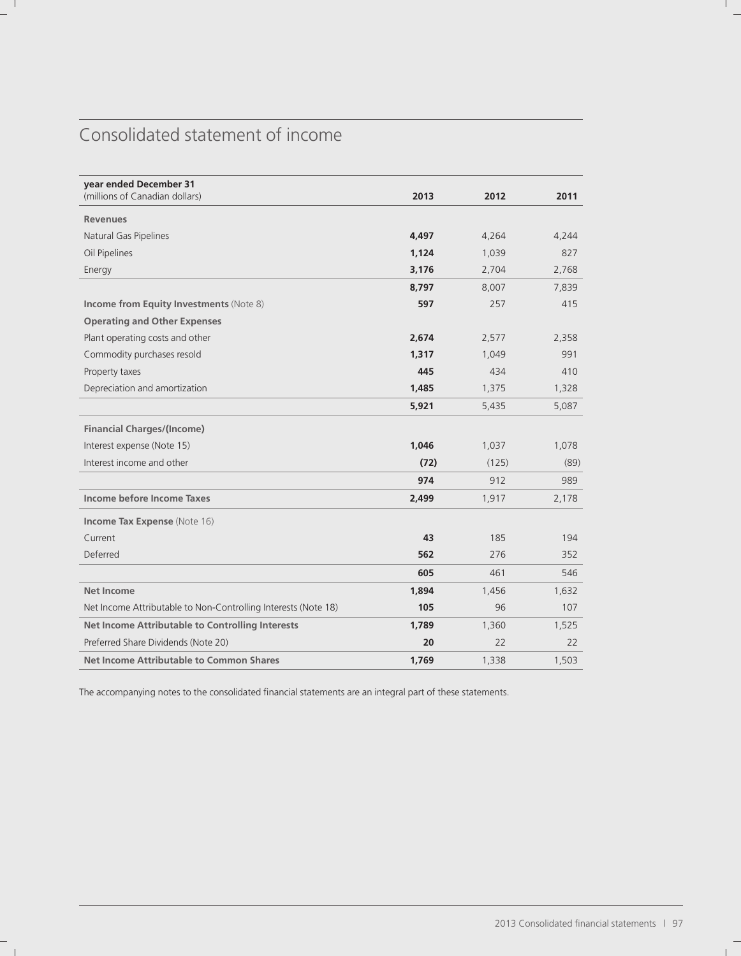# Consolidated statement of income

| year ended December 31<br>(millions of Canadian dollars)       | 2013  | 2012  | 2011  |
|----------------------------------------------------------------|-------|-------|-------|
| <b>Revenues</b>                                                |       |       |       |
| Natural Gas Pipelines                                          | 4,497 | 4,264 | 4,244 |
| Oil Pipelines                                                  | 1,124 | 1,039 | 827   |
| Energy                                                         | 3,176 | 2,704 | 2,768 |
|                                                                | 8,797 | 8,007 | 7,839 |
| <b>Income from Equity Investments (Note 8)</b>                 | 597   | 257   | 415   |
| <b>Operating and Other Expenses</b>                            |       |       |       |
| Plant operating costs and other                                | 2,674 | 2,577 | 2,358 |
| Commodity purchases resold                                     | 1.317 | 1,049 | 991   |
| Property taxes                                                 | 445   | 434   | 410   |
| Depreciation and amortization                                  | 1,485 | 1,375 | 1,328 |
|                                                                | 5,921 | 5,435 | 5,087 |
| <b>Financial Charges/(Income)</b>                              |       |       |       |
| Interest expense (Note 15)                                     | 1,046 | 1,037 | 1,078 |
| Interest income and other                                      | (72)  | (125) | (89)  |
|                                                                | 974   | 912   | 989   |
| Income before Income Taxes                                     | 2,499 | 1,917 | 2,178 |
| <b>Income Tax Expense</b> (Note 16)                            |       |       |       |
| Current                                                        | 43    | 185   | 194   |
| Deferred                                                       | 562   | 276   | 352   |
|                                                                | 605   | 461   | 546   |
| Net Income                                                     | 1,894 | 1,456 | 1,632 |
| Net Income Attributable to Non-Controlling Interests (Note 18) | 105   | 96    | 107   |
| <b>Net Income Attributable to Controlling Interests</b>        | 1,789 | 1,360 | 1,525 |
| Preferred Share Dividends (Note 20)                            | 20    | 22    | 22    |
| <b>Net Income Attributable to Common Shares</b>                | 1,769 | 1,338 | 1,503 |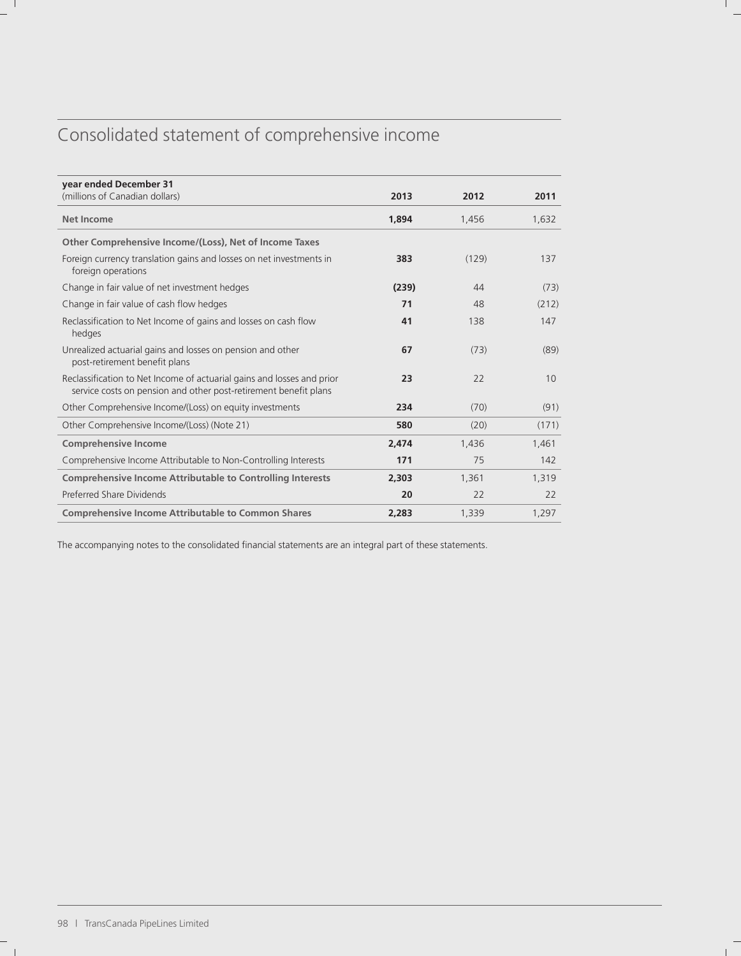# Consolidated statement of comprehensive income

| year ended December 31<br>(millions of Canadian dollars)                                                                                   | 2013  | 2012  | 2011  |
|--------------------------------------------------------------------------------------------------------------------------------------------|-------|-------|-------|
| <b>Net Income</b>                                                                                                                          | 1,894 | 1,456 | 1,632 |
| Other Comprehensive Income/(Loss), Net of Income Taxes                                                                                     |       |       |       |
| Foreign currency translation gains and losses on net investments in<br>foreign operations                                                  | 383   | (129) | 137   |
| Change in fair value of net investment hedges                                                                                              | (239) | 44    | (73)  |
| Change in fair value of cash flow hedges                                                                                                   | 71    | 48    | (212) |
| Reclassification to Net Income of gains and losses on cash flow<br>hedges                                                                  | 41    | 138   | 147   |
| Unrealized actuarial gains and losses on pension and other<br>post-retirement benefit plans                                                | 67    | (73)  | (89)  |
| Reclassification to Net Income of actuarial gains and losses and prior<br>service costs on pension and other post-retirement benefit plans | 23    | 22    | 10    |
| Other Comprehensive Income/(Loss) on equity investments                                                                                    | 234   | (70)  | (91)  |
| Other Comprehensive Income/(Loss) (Note 21)                                                                                                | 580   | (20)  | (171) |
| <b>Comprehensive Income</b>                                                                                                                | 2,474 | 1,436 | 1,461 |
| Comprehensive Income Attributable to Non-Controlling Interests                                                                             | 171   | 75    | 142   |
| <b>Comprehensive Income Attributable to Controlling Interests</b>                                                                          | 2,303 | 1,361 | 1,319 |
| Preferred Share Dividends                                                                                                                  | 20    | 22    | 22    |
| <b>Comprehensive Income Attributable to Common Shares</b>                                                                                  | 2,283 | 1,339 | 1,297 |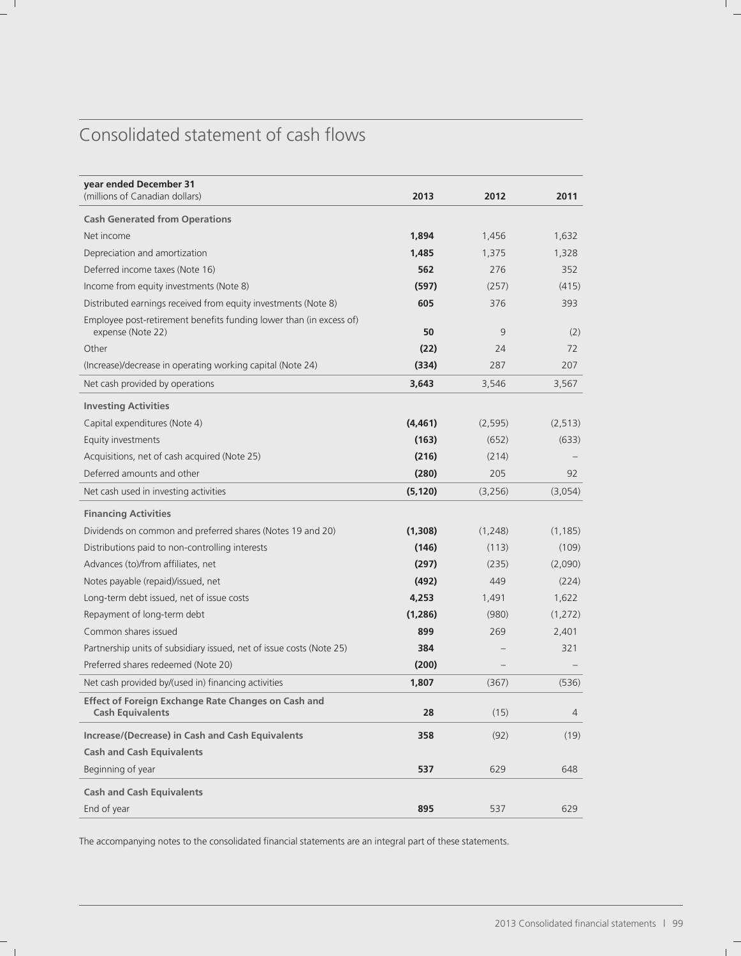# Consolidated statement of cash flows

| year ended December 31<br>(millions of Canadian dollars)                                 | 2013     | 2012     | 2011     |
|------------------------------------------------------------------------------------------|----------|----------|----------|
| <b>Cash Generated from Operations</b>                                                    |          |          |          |
| Net income                                                                               | 1,894    | 1,456    | 1,632    |
| Depreciation and amortization                                                            | 1,485    | 1,375    | 1,328    |
| Deferred income taxes (Note 16)                                                          | 562      | 276      | 352      |
| Income from equity investments (Note 8)                                                  | (597)    | (257)    | (415)    |
| Distributed earnings received from equity investments (Note 8)                           | 605      | 376      | 393      |
| Employee post-retirement benefits funding lower than (in excess of)<br>expense (Note 22) | 50       | 9        | (2)      |
| Other                                                                                    | (22)     | 24       | 72       |
| (Increase)/decrease in operating working capital (Note 24)                               | (334)    | 287      | 207      |
| Net cash provided by operations                                                          | 3,643    | 3,546    | 3,567    |
| <b>Investing Activities</b>                                                              |          |          |          |
| Capital expenditures (Note 4)                                                            | (4, 461) | (2, 595) | (2, 513) |
| Equity investments                                                                       | (163)    | (652)    | (633)    |
| Acquisitions, net of cash acquired (Note 25)                                             | (216)    | (214)    |          |
| Deferred amounts and other                                                               | (280)    | 205      | 92       |
| Net cash used in investing activities                                                    | (5, 120) | (3,256)  | (3,054)  |
| <b>Financing Activities</b>                                                              |          |          |          |
| Dividends on common and preferred shares (Notes 19 and 20)                               | (1,308)  | (1, 248) | (1, 185) |
| Distributions paid to non-controlling interests                                          | (146)    | (113)    | (109)    |
| Advances (to)/from affiliates, net                                                       | (297)    | (235)    | (2,090)  |
| Notes payable (repaid)/issued, net                                                       | (492)    | 449      | (224)    |
| Long-term debt issued, net of issue costs                                                | 4,253    | 1,491    | 1,622    |
| Repayment of long-term debt                                                              | (1, 286) | (980)    | (1, 272) |
| Common shares issued                                                                     | 899      | 269      | 2,401    |
| Partnership units of subsidiary issued, net of issue costs (Note 25)                     | 384      |          | 321      |
| Preferred shares redeemed (Note 20)                                                      | (200)    |          |          |
| Net cash provided by/(used in) financing activities                                      | 1,807    | (367)    | (536)    |
| <b>Effect of Foreign Exchange Rate Changes on Cash and</b><br><b>Cash Equivalents</b>    | 28       | (15)     | 4        |
| <b>Increase/(Decrease) in Cash and Cash Equivalents</b>                                  | 358      | (92)     | (19)     |
| <b>Cash and Cash Equivalents</b>                                                         |          |          |          |
| Beginning of year                                                                        | 537      | 629      | 648      |
| <b>Cash and Cash Equivalents</b>                                                         |          |          |          |
| End of year                                                                              | 895      | 537      | 629      |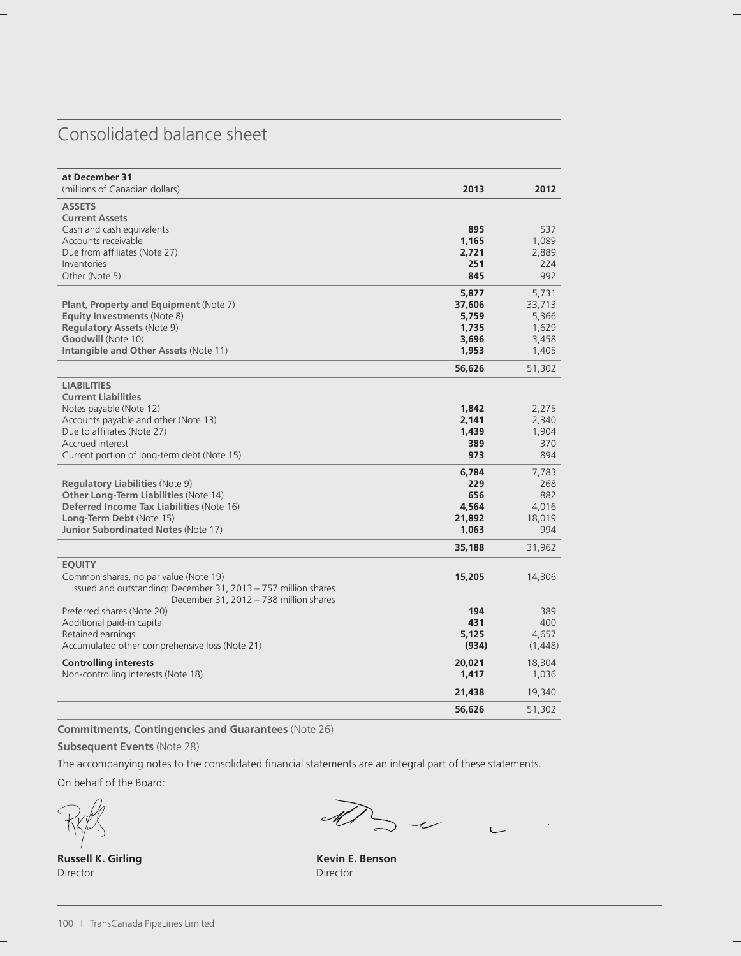# Consolidated balance sheet

| at December 31                                                                                           |                |                |
|----------------------------------------------------------------------------------------------------------|----------------|----------------|
| (millions of Canadian dollars)                                                                           | 2013           | 2012           |
| <b>ASSETS</b>                                                                                            |                |                |
| <b>Current Assets</b>                                                                                    |                |                |
| Cash and cash equivalents                                                                                | 895            | 537            |
| Accounts receivable                                                                                      | 1,165          | 1,089          |
| Due from affiliates (Note 27)                                                                            | 2,721          | 2,889          |
| Inventories                                                                                              | 251<br>845     | 224<br>992     |
| Other (Note 5)                                                                                           |                |                |
|                                                                                                          | 5,877          | 5,731          |
| Plant, Property and Equipment (Note 7)                                                                   | 37,606         | 33,713         |
| Equity Investments (Note 8)                                                                              | 5,759          | 5,366          |
| <b>Regulatory Assets (Note 9)</b>                                                                        | 1,735          | 1,629          |
| Goodwill (Note 10)<br>Intangible and Other Assets (Note 11)                                              | 3,696          | 3,458<br>1,405 |
|                                                                                                          | 1,953          |                |
|                                                                                                          | 56,626         | 51,302         |
| <b>LIABILITIES</b>                                                                                       |                |                |
| <b>Current Liabilities</b>                                                                               |                |                |
| Notes payable (Note 12)                                                                                  | 1,842          | 2,275          |
| Accounts payable and other (Note 13)<br>Due to affiliates (Note 27)                                      | 2,141<br>1,439 | 2,340<br>1,904 |
| Accrued interest                                                                                         | 389            | 370            |
| Current portion of long-term debt (Note 15)                                                              | 973            | 894            |
|                                                                                                          |                |                |
|                                                                                                          | 6,784          | 7,783          |
| <b>Regulatory Liabilities (Note 9)</b><br>Other Long-Term Liabilities (Note 14)                          | 229<br>656     | 268<br>882     |
| Deferred Income Tax Liabilities (Note 16)                                                                | 4,564          | 4,016          |
| Long-Term Debt (Note 15)                                                                                 | 21,892         | 18,019         |
| <b>Junior Subordinated Notes (Note 17)</b>                                                               | 1,063          | 994            |
|                                                                                                          | 35,188         | 31,962         |
|                                                                                                          |                |                |
| <b>EQUITY</b>                                                                                            |                |                |
| Common shares, no par value (Note 19)                                                                    | 15,205         | 14,306         |
| Issued and outstanding: December 31, 2013 - 757 million shares<br>December 31, 2012 - 738 million shares |                |                |
| Preferred shares (Note 20)                                                                               | 194            | 389            |
| Additional paid-in capital                                                                               | 431            | 400            |
| Retained earnings                                                                                        | 5.125          | 4,657          |
| Accumulated other comprehensive loss (Note 21)                                                           | (934)          | (1,448)        |
| <b>Controlling interests</b>                                                                             | 20,021         | 18,304         |
| Non-controlling interests (Note 18)                                                                      | 1,417          | 1,036          |
|                                                                                                          | 21,438         | 19,340         |
|                                                                                                          | 56,626         | 51,302         |

**Commitments, Contingencies and Guarantees** (Note 26)

**Subsequent Events** (Note 28)

The accompanying notes to the consolidated financial statements are an integral part of these statements.

On behalf of the Board:

 $135F$ 

Director Director

 $2\pi$  $\sim$ 

**Russell K. Girling Kevin E. Benson**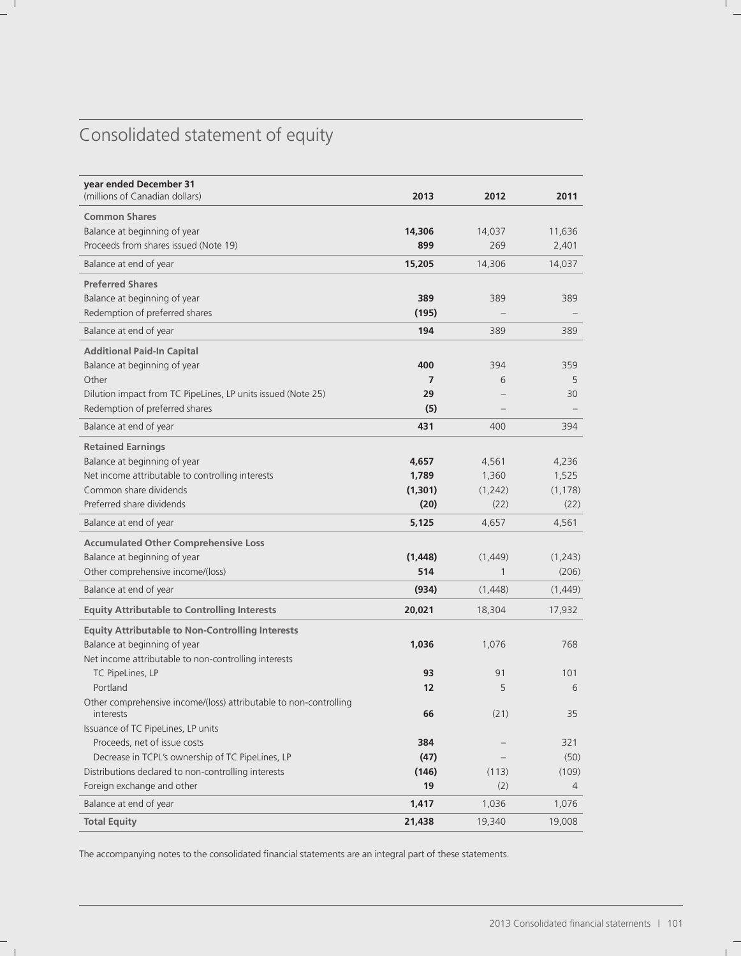# Consolidated statement of equity

| year ended December 31<br>(millions of Canadian dollars)                       | 2013           | 2012     | 2011     |
|--------------------------------------------------------------------------------|----------------|----------|----------|
| <b>Common Shares</b>                                                           |                |          |          |
| Balance at beginning of year                                                   | 14,306         | 14,037   | 11,636   |
| Proceeds from shares issued (Note 19)                                          | 899            | 269      | 2,401    |
| Balance at end of year                                                         | 15,205         | 14,306   | 14,037   |
| <b>Preferred Shares</b>                                                        |                |          |          |
| Balance at beginning of year                                                   | 389            | 389      | 389      |
| Redemption of preferred shares                                                 | (195)          |          |          |
| Balance at end of year                                                         | 194            | 389      | 389      |
| <b>Additional Paid-In Capital</b>                                              |                |          |          |
| Balance at beginning of year                                                   | 400            | 394      | 359      |
| Other                                                                          | $\overline{7}$ | 6        | 5        |
| Dilution impact from TC PipeLines, LP units issued (Note 25)                   | 29             |          | 30       |
| Redemption of preferred shares                                                 | (5)            |          |          |
| Balance at end of year                                                         | 431            | 400      | 394      |
| <b>Retained Earnings</b>                                                       |                |          |          |
| Balance at beginning of year                                                   | 4,657          | 4,561    | 4,236    |
| Net income attributable to controlling interests                               | 1,789          | 1,360    | 1,525    |
| Common share dividends                                                         | (1, 301)       | (1, 242) | (1, 178) |
| Preferred share dividends                                                      | (20)           | (22)     | (22)     |
| Balance at end of year                                                         | 5,125          | 4,657    | 4,561    |
| <b>Accumulated Other Comprehensive Loss</b>                                    |                |          |          |
| Balance at beginning of year                                                   | (1, 448)       | (1,449)  | (1,243)  |
| Other comprehensive income/(loss)                                              | 514            | 1        | (206)    |
| Balance at end of year                                                         | (934)          | (1,448)  | (1, 449) |
| <b>Equity Attributable to Controlling Interests</b>                            | 20,021         | 18,304   | 17,932   |
| <b>Equity Attributable to Non-Controlling Interests</b>                        |                |          |          |
| Balance at beginning of year                                                   | 1,036          | 1,076    | 768      |
| Net income attributable to non-controlling interests                           |                |          |          |
| TC PipeLines, LP                                                               | 93             | 91       | 101      |
| Portland                                                                       | 12             | 5        | 6        |
| Other comprehensive income/(loss) attributable to non-controlling<br>interests | 66             | (21)     | 35       |
| Issuance of TC PipeLines, LP units                                             |                |          |          |
| Proceeds, net of issue costs                                                   | 384            |          | 321      |
| Decrease in TCPL's ownership of TC PipeLines, LP                               | (47)           |          | (50)     |
| Distributions declared to non-controlling interests                            | (146)          | (113)    | (109)    |
| Foreign exchange and other                                                     | 19             | (2)      | 4        |
| Balance at end of year                                                         | 1,417          | 1,036    | 1,076    |
| <b>Total Equity</b>                                                            | 21,438         | 19,340   | 19,008   |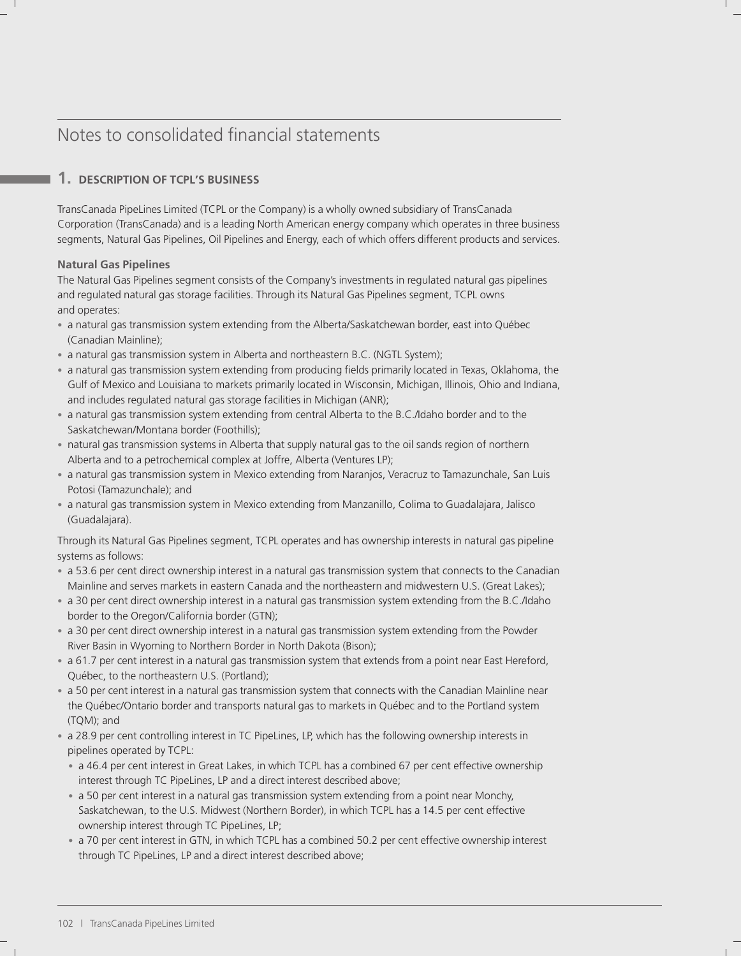# Notes to consolidated financial statements

# **1. DESCRIPTION OF TCPL'S BUSINESS**

TransCanada PipeLines Limited (TCPL or the Company) is a wholly owned subsidiary of TransCanada Corporation (TransCanada) and is a leading North American energy company which operates in three business segments, Natural Gas Pipelines, Oil Pipelines and Energy, each of which offers different products and services.

### **Natural Gas Pipelines**

The Natural Gas Pipelines segment consists of the Company's investments in regulated natural gas pipelines and regulated natural gas storage facilities. Through its Natural Gas Pipelines segment, TCPL owns and operates:

- a natural gas transmission system extending from the Alberta/Saskatchewan border, east into Quebec ´ (Canadian Mainline);
- a natural gas transmission system in Alberta and northeastern B.C. (NGTL System);
- a natural gas transmission system extending from producing fields primarily located in Texas, Oklahoma, the Gulf of Mexico and Louisiana to markets primarily located in Wisconsin, Michigan, Illinois, Ohio and Indiana, and includes regulated natural gas storage facilities in Michigan (ANR);
- a natural gas transmission system extending from central Alberta to the B.C./Idaho border and to the Saskatchewan/Montana border (Foothills);
- natural gas transmission systems in Alberta that supply natural gas to the oil sands region of northern Alberta and to a petrochemical complex at Joffre, Alberta (Ventures LP);
- a natural gas transmission system in Mexico extending from Naranjos, Veracruz to Tamazunchale, San Luis Potosi (Tamazunchale); and
- a natural gas transmission system in Mexico extending from Manzanillo, Colima to Guadalajara, Jalisco (Guadalajara).

Through its Natural Gas Pipelines segment, TCPL operates and has ownership interests in natural gas pipeline systems as follows:

- a 53.6 per cent direct ownership interest in a natural gas transmission system that connects to the Canadian Mainline and serves markets in eastern Canada and the northeastern and midwestern U.S. (Great Lakes);
- a 30 per cent direct ownership interest in a natural gas transmission system extending from the B.C./Idaho border to the Oregon/California border (GTN);
- a 30 per cent direct ownership interest in a natural gas transmission system extending from the Powder River Basin in Wyoming to Northern Border in North Dakota (Bison);
- a 61.7 per cent interest in a natural gas transmission system that extends from a point near East Hereford, Québec, to the northeastern U.S. (Portland);
- a 50 per cent interest in a natural gas transmission system that connects with the Canadian Mainline near the Québec/Ontario border and transports natural gas to markets in Québec and to the Portland system (TQM); and
- a 28.9 per cent controlling interest in TC PipeLines, LP, which has the following ownership interests in pipelines operated by TCPL:
	- a 46.4 per cent interest in Great Lakes, in which TCPL has a combined 67 per cent effective ownership interest through TC PipeLines, LP and a direct interest described above;
	- a 50 per cent interest in a natural gas transmission system extending from a point near Monchy, Saskatchewan, to the U.S. Midwest (Northern Border), in which TCPL has a 14.5 per cent effective ownership interest through TC PipeLines, LP;
	- a 70 per cent interest in GTN, in which TCPL has a combined 50.2 per cent effective ownership interest through TC PipeLines, LP and a direct interest described above;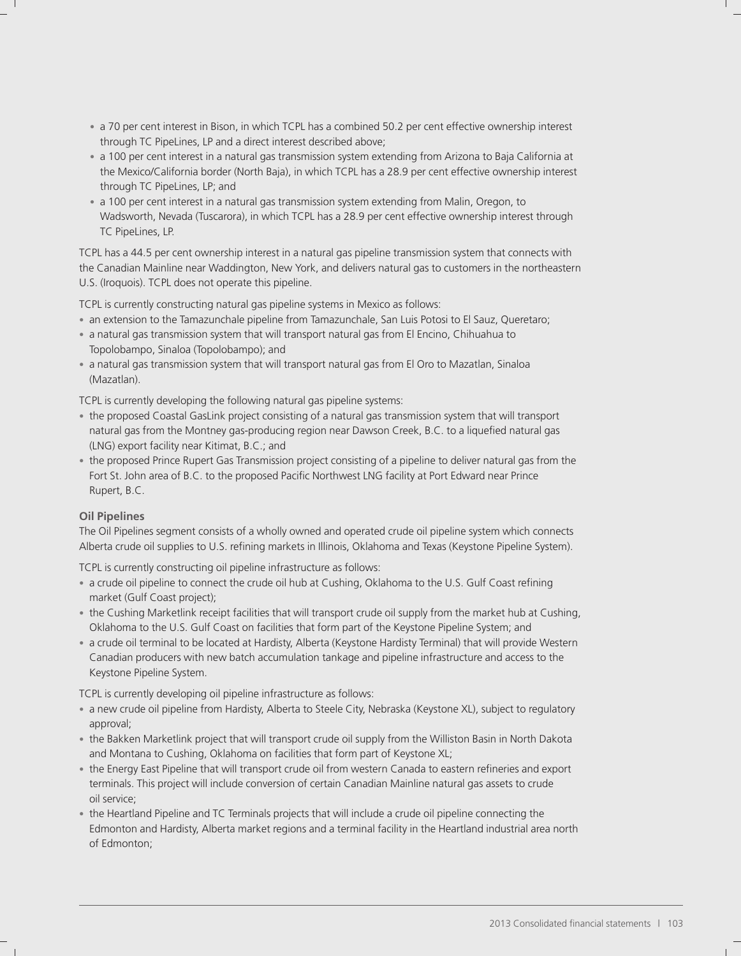- a 70 per cent interest in Bison, in which TCPL has a combined 50.2 per cent effective ownership interest through TC PipeLines, LP and a direct interest described above;
- a 100 per cent interest in a natural gas transmission system extending from Arizona to Baja California at the Mexico/California border (North Baja), in which TCPL has a 28.9 per cent effective ownership interest through TC PipeLines, LP; and
- a 100 per cent interest in a natural gas transmission system extending from Malin, Oregon, to Wadsworth, Nevada (Tuscarora), in which TCPL has a 28.9 per cent effective ownership interest through TC PipeLines, LP.

TCPL has a 44.5 per cent ownership interest in a natural gas pipeline transmission system that connects with the Canadian Mainline near Waddington, New York, and delivers natural gas to customers in the northeastern U.S. (Iroquois). TCPL does not operate this pipeline.

TCPL is currently constructing natural gas pipeline systems in Mexico as follows:

- an extension to the Tamazunchale pipeline from Tamazunchale, San Luis Potosi to El Sauz, Queretaro;
- a natural gas transmission system that will transport natural gas from El Encino, Chihuahua to Topolobampo, Sinaloa (Topolobampo); and
- a natural gas transmission system that will transport natural gas from El Oro to Mazatlan, Sinaloa (Mazatlan).

TCPL is currently developing the following natural gas pipeline systems:

- the proposed Coastal GasLink project consisting of a natural gas transmission system that will transport natural gas from the Montney gas-producing region near Dawson Creek, B.C. to a liquefied natural gas (LNG) export facility near Kitimat, B.C.; and
- the proposed Prince Rupert Gas Transmission project consisting of a pipeline to deliver natural gas from the Fort St. John area of B.C. to the proposed Pacific Northwest LNG facility at Port Edward near Prince Rupert, B.C.

### **Oil Pipelines**

The Oil Pipelines segment consists of a wholly owned and operated crude oil pipeline system which connects Alberta crude oil supplies to U.S. refining markets in Illinois, Oklahoma and Texas (Keystone Pipeline System).

TCPL is currently constructing oil pipeline infrastructure as follows:

- a crude oil pipeline to connect the crude oil hub at Cushing, Oklahoma to the U.S. Gulf Coast refining market (Gulf Coast project);
- the Cushing Marketlink receipt facilities that will transport crude oil supply from the market hub at Cushing, Oklahoma to the U.S. Gulf Coast on facilities that form part of the Keystone Pipeline System; and
- a crude oil terminal to be located at Hardisty, Alberta (Keystone Hardisty Terminal) that will provide Western Canadian producers with new batch accumulation tankage and pipeline infrastructure and access to the Keystone Pipeline System.

TCPL is currently developing oil pipeline infrastructure as follows:

- a new crude oil pipeline from Hardisty, Alberta to Steele City, Nebraska (Keystone XL), subject to regulatory approval;
- the Bakken Marketlink project that will transport crude oil supply from the Williston Basin in North Dakota and Montana to Cushing, Oklahoma on facilities that form part of Keystone XL;
- the Energy East Pipeline that will transport crude oil from western Canada to eastern refineries and export terminals. This project will include conversion of certain Canadian Mainline natural gas assets to crude oil service;
- the Heartland Pipeline and TC Terminals projects that will include a crude oil pipeline connecting the Edmonton and Hardisty, Alberta market regions and a terminal facility in the Heartland industrial area north of Edmonton;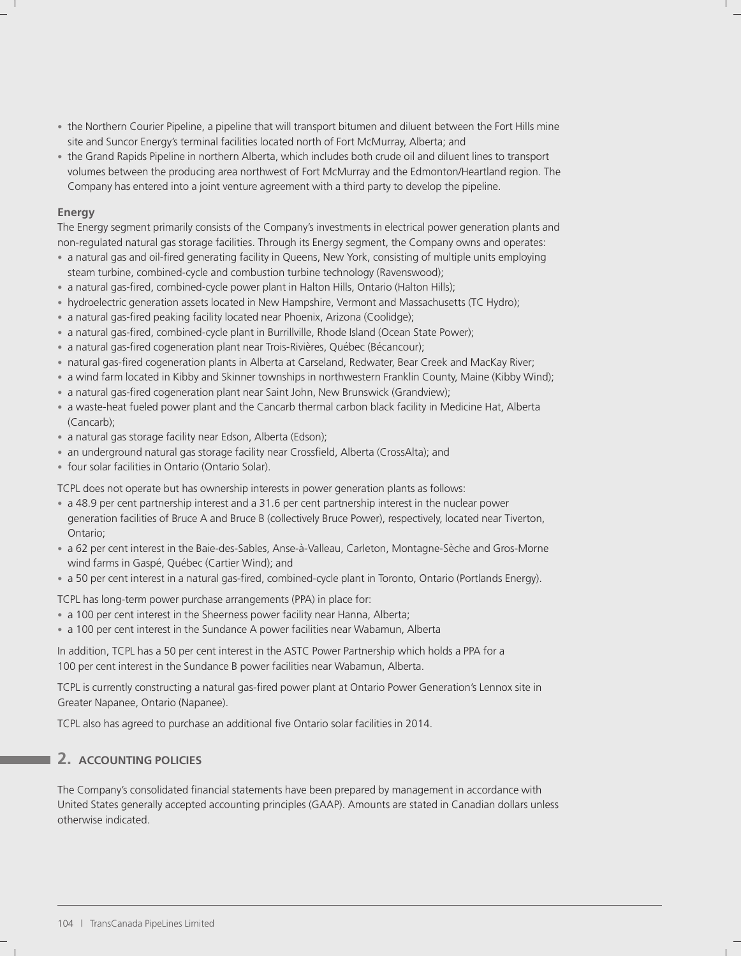- the Northern Courier Pipeline, a pipeline that will transport bitumen and diluent between the Fort Hills mine site and Suncor Energy's terminal facilities located north of Fort McMurray, Alberta; and
- the Grand Rapids Pipeline in northern Alberta, which includes both crude oil and diluent lines to transport volumes between the producing area northwest of Fort McMurray and the Edmonton/Heartland region. The Company has entered into a joint venture agreement with a third party to develop the pipeline.

### **Energy**

The Energy segment primarily consists of the Company's investments in electrical power generation plants and non-regulated natural gas storage facilities. Through its Energy segment, the Company owns and operates:

- a natural gas and oil-fired generating facility in Queens, New York, consisting of multiple units employing steam turbine, combined-cycle and combustion turbine technology (Ravenswood);
- a natural gas-fired, combined-cycle power plant in Halton Hills, Ontario (Halton Hills);
- hydroelectric generation assets located in New Hampshire, Vermont and Massachusetts (TC Hydro);
- a natural gas-fired peaking facility located near Phoenix, Arizona (Coolidge);
- a natural gas-fired, combined-cycle plant in Burrillville, Rhode Island (Ocean State Power);
- $\bullet$  a natural gas-fired cogeneration plant near Trois-Rivières, Québec (Bécancour);
- natural gas-fired cogeneration plants in Alberta at Carseland, Redwater, Bear Creek and MacKay River;
- a wind farm located in Kibby and Skinner townships in northwestern Franklin County, Maine (Kibby Wind);
- a natural gas-fired cogeneration plant near Saint John, New Brunswick (Grandview);
- a waste-heat fueled power plant and the Cancarb thermal carbon black facility in Medicine Hat, Alberta (Cancarb);
- a natural gas storage facility near Edson, Alberta (Edson);
- an underground natural gas storage facility near Crossfield, Alberta (CrossAlta); and
- four solar facilities in Ontario (Ontario Solar).

TCPL does not operate but has ownership interests in power generation plants as follows:

- a 48.9 per cent partnership interest and a 31.6 per cent partnership interest in the nuclear power generation facilities of Bruce A and Bruce B (collectively Bruce Power), respectively, located near Tiverton, Ontario;
- a 62 per cent interest in the Baie-des-Sables, Anse-à-Valleau, Carleton, Montagne-Sèche and Gros-Morne wind farms in Gaspé, Québec (Cartier Wind); and
- a 50 per cent interest in a natural gas-fired, combined-cycle plant in Toronto, Ontario (Portlands Energy).

TCPL has long-term power purchase arrangements (PPA) in place for:

- a 100 per cent interest in the Sheerness power facility near Hanna, Alberta;
- a 100 per cent interest in the Sundance A power facilities near Wabamun, Alberta

In addition, TCPL has a 50 per cent interest in the ASTC Power Partnership which holds a PPA for a 100 per cent interest in the Sundance B power facilities near Wabamun, Alberta.

TCPL is currently constructing a natural gas-fired power plant at Ontario Power Generation's Lennox site in Greater Napanee, Ontario (Napanee).

TCPL also has agreed to purchase an additional five Ontario solar facilities in 2014.

# **2. ACCOUNTING POLICIES**

The Company's consolidated financial statements have been prepared by management in accordance with United States generally accepted accounting principles (GAAP). Amounts are stated in Canadian dollars unless otherwise indicated.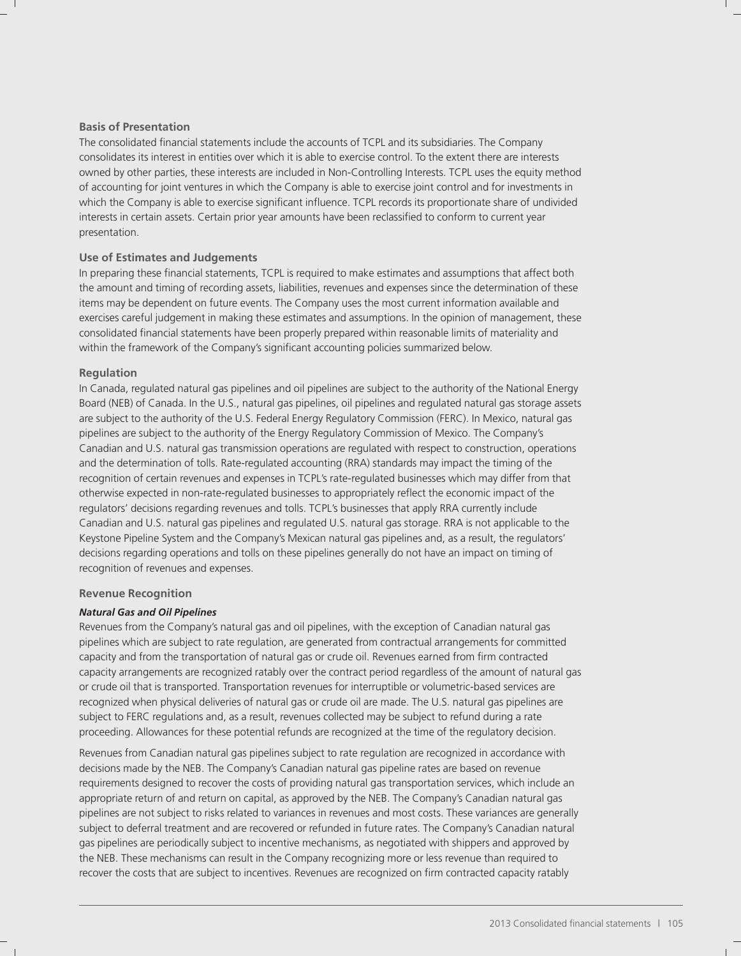### **Basis of Presentation**

The consolidated financial statements include the accounts of TCPL and its subsidiaries. The Company consolidates its interest in entities over which it is able to exercise control. To the extent there are interests owned by other parties, these interests are included in Non-Controlling Interests. TCPL uses the equity method of accounting for joint ventures in which the Company is able to exercise joint control and for investments in which the Company is able to exercise significant influence. TCPL records its proportionate share of undivided interests in certain assets. Certain prior year amounts have been reclassified to conform to current year presentation.

### **Use of Estimates and Judgements**

In preparing these financial statements, TCPL is required to make estimates and assumptions that affect both the amount and timing of recording assets, liabilities, revenues and expenses since the determination of these items may be dependent on future events. The Company uses the most current information available and exercises careful judgement in making these estimates and assumptions. In the opinion of management, these consolidated financial statements have been properly prepared within reasonable limits of materiality and within the framework of the Company's significant accounting policies summarized below.

### **Regulation**

In Canada, regulated natural gas pipelines and oil pipelines are subject to the authority of the National Energy Board (NEB) of Canada. In the U.S., natural gas pipelines, oil pipelines and regulated natural gas storage assets are subject to the authority of the U.S. Federal Energy Regulatory Commission (FERC). In Mexico, natural gas pipelines are subject to the authority of the Energy Regulatory Commission of Mexico. The Company's Canadian and U.S. natural gas transmission operations are regulated with respect to construction, operations and the determination of tolls. Rate-regulated accounting (RRA) standards may impact the timing of the recognition of certain revenues and expenses in TCPL's rate-regulated businesses which may differ from that otherwise expected in non-rate-regulated businesses to appropriately reflect the economic impact of the regulators' decisions regarding revenues and tolls. TCPL's businesses that apply RRA currently include Canadian and U.S. natural gas pipelines and regulated U.S. natural gas storage. RRA is not applicable to the Keystone Pipeline System and the Company's Mexican natural gas pipelines and, as a result, the regulators' decisions regarding operations and tolls on these pipelines generally do not have an impact on timing of recognition of revenues and expenses.

### **Revenue Recognition**

### *Natural Gas and Oil Pipelines*

Revenues from the Company's natural gas and oil pipelines, with the exception of Canadian natural gas pipelines which are subject to rate regulation, are generated from contractual arrangements for committed capacity and from the transportation of natural gas or crude oil. Revenues earned from firm contracted capacity arrangements are recognized ratably over the contract period regardless of the amount of natural gas or crude oil that is transported. Transportation revenues for interruptible or volumetric-based services are recognized when physical deliveries of natural gas or crude oil are made. The U.S. natural gas pipelines are subject to FERC regulations and, as a result, revenues collected may be subject to refund during a rate proceeding. Allowances for these potential refunds are recognized at the time of the regulatory decision.

Revenues from Canadian natural gas pipelines subject to rate regulation are recognized in accordance with decisions made by the NEB. The Company's Canadian natural gas pipeline rates are based on revenue requirements designed to recover the costs of providing natural gas transportation services, which include an appropriate return of and return on capital, as approved by the NEB. The Company's Canadian natural gas pipelines are not subject to risks related to variances in revenues and most costs. These variances are generally subject to deferral treatment and are recovered or refunded in future rates. The Company's Canadian natural gas pipelines are periodically subject to incentive mechanisms, as negotiated with shippers and approved by the NEB. These mechanisms can result in the Company recognizing more or less revenue than required to recover the costs that are subject to incentives. Revenues are recognized on firm contracted capacity ratably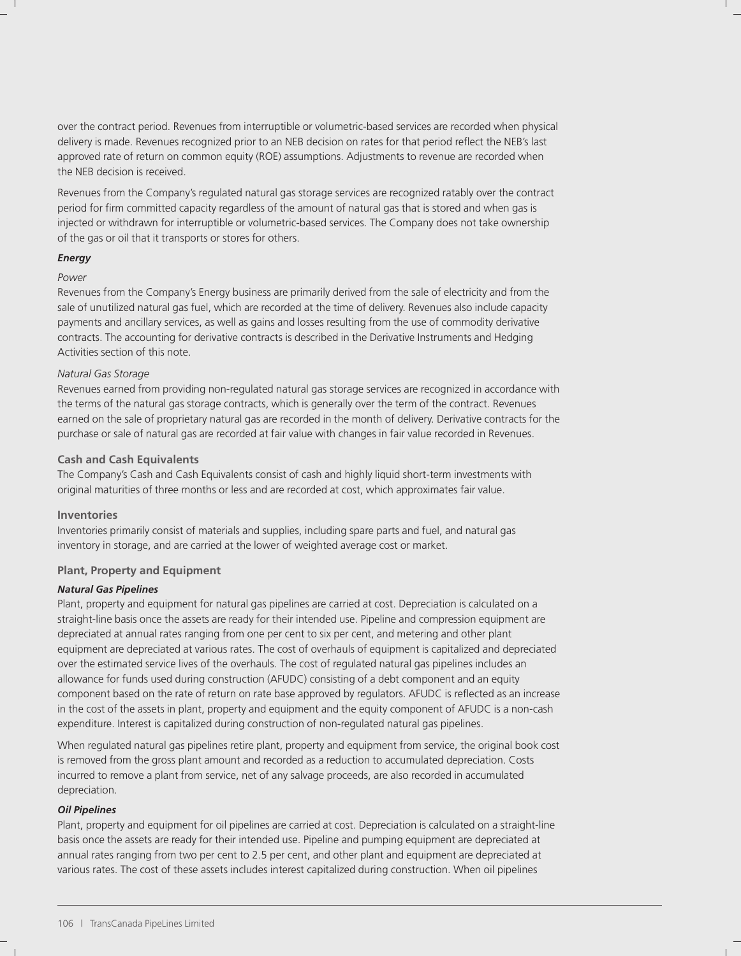over the contract period. Revenues from interruptible or volumetric-based services are recorded when physical delivery is made. Revenues recognized prior to an NEB decision on rates for that period reflect the NEB's last approved rate of return on common equity (ROE) assumptions. Adjustments to revenue are recorded when the NEB decision is received.

Revenues from the Company's regulated natural gas storage services are recognized ratably over the contract period for firm committed capacity regardless of the amount of natural gas that is stored and when gas is injected or withdrawn for interruptible or volumetric-based services. The Company does not take ownership of the gas or oil that it transports or stores for others.

# *Energy*

### *Power*

Revenues from the Company's Energy business are primarily derived from the sale of electricity and from the sale of unutilized natural gas fuel, which are recorded at the time of delivery. Revenues also include capacity payments and ancillary services, as well as gains and losses resulting from the use of commodity derivative contracts. The accounting for derivative contracts is described in the Derivative Instruments and Hedging Activities section of this note.

### *Natural Gas Storage*

Revenues earned from providing non-regulated natural gas storage services are recognized in accordance with the terms of the natural gas storage contracts, which is generally over the term of the contract. Revenues earned on the sale of proprietary natural gas are recorded in the month of delivery. Derivative contracts for the purchase or sale of natural gas are recorded at fair value with changes in fair value recorded in Revenues.

### **Cash and Cash Equivalents**

The Company's Cash and Cash Equivalents consist of cash and highly liquid short-term investments with original maturities of three months or less and are recorded at cost, which approximates fair value.

### **Inventories**

Inventories primarily consist of materials and supplies, including spare parts and fuel, and natural gas inventory in storage, and are carried at the lower of weighted average cost or market.

### **Plant, Property and Equipment**

### *Natural Gas Pipelines*

Plant, property and equipment for natural gas pipelines are carried at cost. Depreciation is calculated on a straight-line basis once the assets are ready for their intended use. Pipeline and compression equipment are depreciated at annual rates ranging from one per cent to six per cent, and metering and other plant equipment are depreciated at various rates. The cost of overhauls of equipment is capitalized and depreciated over the estimated service lives of the overhauls. The cost of regulated natural gas pipelines includes an allowance for funds used during construction (AFUDC) consisting of a debt component and an equity component based on the rate of return on rate base approved by regulators. AFUDC is reflected as an increase in the cost of the assets in plant, property and equipment and the equity component of AFUDC is a non-cash expenditure. Interest is capitalized during construction of non-regulated natural gas pipelines.

When regulated natural gas pipelines retire plant, property and equipment from service, the original book cost is removed from the gross plant amount and recorded as a reduction to accumulated depreciation. Costs incurred to remove a plant from service, net of any salvage proceeds, are also recorded in accumulated depreciation.

### *Oil Pipelines*

Plant, property and equipment for oil pipelines are carried at cost. Depreciation is calculated on a straight-line basis once the assets are ready for their intended use. Pipeline and pumping equipment are depreciated at annual rates ranging from two per cent to 2.5 per cent, and other plant and equipment are depreciated at various rates. The cost of these assets includes interest capitalized during construction. When oil pipelines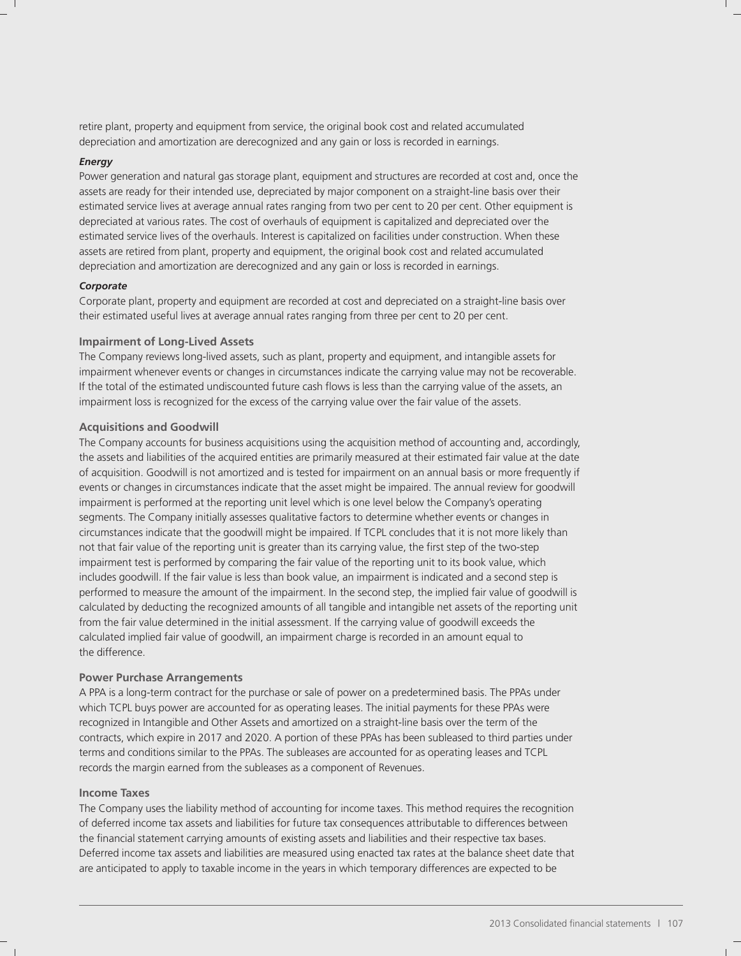retire plant, property and equipment from service, the original book cost and related accumulated depreciation and amortization are derecognized and any gain or loss is recorded in earnings.

### *Energy*

Power generation and natural gas storage plant, equipment and structures are recorded at cost and, once the assets are ready for their intended use, depreciated by major component on a straight-line basis over their estimated service lives at average annual rates ranging from two per cent to 20 per cent. Other equipment is depreciated at various rates. The cost of overhauls of equipment is capitalized and depreciated over the estimated service lives of the overhauls. Interest is capitalized on facilities under construction. When these assets are retired from plant, property and equipment, the original book cost and related accumulated depreciation and amortization are derecognized and any gain or loss is recorded in earnings.

### *Corporate*

Corporate plant, property and equipment are recorded at cost and depreciated on a straight-line basis over their estimated useful lives at average annual rates ranging from three per cent to 20 per cent.

### **Impairment of Long-Lived Assets**

The Company reviews long-lived assets, such as plant, property and equipment, and intangible assets for impairment whenever events or changes in circumstances indicate the carrying value may not be recoverable. If the total of the estimated undiscounted future cash flows is less than the carrying value of the assets, an impairment loss is recognized for the excess of the carrying value over the fair value of the assets.

### **Acquisitions and Goodwill**

The Company accounts for business acquisitions using the acquisition method of accounting and, accordingly, the assets and liabilities of the acquired entities are primarily measured at their estimated fair value at the date of acquisition. Goodwill is not amortized and is tested for impairment on an annual basis or more frequently if events or changes in circumstances indicate that the asset might be impaired. The annual review for goodwill impairment is performed at the reporting unit level which is one level below the Company's operating segments. The Company initially assesses qualitative factors to determine whether events or changes in circumstances indicate that the goodwill might be impaired. If TCPL concludes that it is not more likely than not that fair value of the reporting unit is greater than its carrying value, the first step of the two-step impairment test is performed by comparing the fair value of the reporting unit to its book value, which includes goodwill. If the fair value is less than book value, an impairment is indicated and a second step is performed to measure the amount of the impairment. In the second step, the implied fair value of goodwill is calculated by deducting the recognized amounts of all tangible and intangible net assets of the reporting unit from the fair value determined in the initial assessment. If the carrying value of goodwill exceeds the calculated implied fair value of goodwill, an impairment charge is recorded in an amount equal to the difference.

### **Power Purchase Arrangements**

A PPA is a long-term contract for the purchase or sale of power on a predetermined basis. The PPAs under which TCPL buys power are accounted for as operating leases. The initial payments for these PPAs were recognized in Intangible and Other Assets and amortized on a straight-line basis over the term of the contracts, which expire in 2017 and 2020. A portion of these PPAs has been subleased to third parties under terms and conditions similar to the PPAs. The subleases are accounted for as operating leases and TCPL records the margin earned from the subleases as a component of Revenues.

### **Income Taxes**

The Company uses the liability method of accounting for income taxes. This method requires the recognition of deferred income tax assets and liabilities for future tax consequences attributable to differences between the financial statement carrying amounts of existing assets and liabilities and their respective tax bases. Deferred income tax assets and liabilities are measured using enacted tax rates at the balance sheet date that are anticipated to apply to taxable income in the years in which temporary differences are expected to be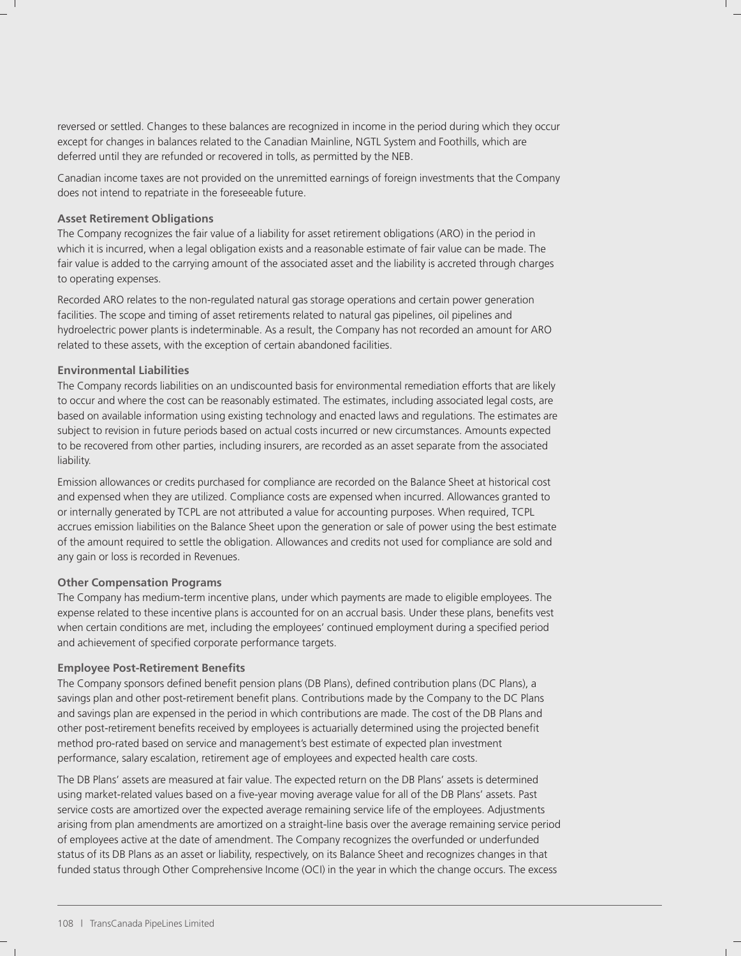reversed or settled. Changes to these balances are recognized in income in the period during which they occur except for changes in balances related to the Canadian Mainline, NGTL System and Foothills, which are deferred until they are refunded or recovered in tolls, as permitted by the NEB.

Canadian income taxes are not provided on the unremitted earnings of foreign investments that the Company does not intend to repatriate in the foreseeable future.

### **Asset Retirement Obligations**

The Company recognizes the fair value of a liability for asset retirement obligations (ARO) in the period in which it is incurred, when a legal obligation exists and a reasonable estimate of fair value can be made. The fair value is added to the carrying amount of the associated asset and the liability is accreted through charges to operating expenses.

Recorded ARO relates to the non-regulated natural gas storage operations and certain power generation facilities. The scope and timing of asset retirements related to natural gas pipelines, oil pipelines and hydroelectric power plants is indeterminable. As a result, the Company has not recorded an amount for ARO related to these assets, with the exception of certain abandoned facilities.

### **Environmental Liabilities**

The Company records liabilities on an undiscounted basis for environmental remediation efforts that are likely to occur and where the cost can be reasonably estimated. The estimates, including associated legal costs, are based on available information using existing technology and enacted laws and regulations. The estimates are subject to revision in future periods based on actual costs incurred or new circumstances. Amounts expected to be recovered from other parties, including insurers, are recorded as an asset separate from the associated liability.

Emission allowances or credits purchased for compliance are recorded on the Balance Sheet at historical cost and expensed when they are utilized. Compliance costs are expensed when incurred. Allowances granted to or internally generated by TCPL are not attributed a value for accounting purposes. When required, TCPL accrues emission liabilities on the Balance Sheet upon the generation or sale of power using the best estimate of the amount required to settle the obligation. Allowances and credits not used for compliance are sold and any gain or loss is recorded in Revenues.

### **Other Compensation Programs**

The Company has medium-term incentive plans, under which payments are made to eligible employees. The expense related to these incentive plans is accounted for on an accrual basis. Under these plans, benefits vest when certain conditions are met, including the employees' continued employment during a specified period and achievement of specified corporate performance targets.

### **Employee Post-Retirement Benefits**

The Company sponsors defined benefit pension plans (DB Plans), defined contribution plans (DC Plans), a savings plan and other post-retirement benefit plans. Contributions made by the Company to the DC Plans and savings plan are expensed in the period in which contributions are made. The cost of the DB Plans and other post-retirement benefits received by employees is actuarially determined using the projected benefit method pro-rated based on service and management's best estimate of expected plan investment performance, salary escalation, retirement age of employees and expected health care costs.

The DB Plans' assets are measured at fair value. The expected return on the DB Plans' assets is determined using market-related values based on a five-year moving average value for all of the DB Plans' assets. Past service costs are amortized over the expected average remaining service life of the employees. Adjustments arising from plan amendments are amortized on a straight-line basis over the average remaining service period of employees active at the date of amendment. The Company recognizes the overfunded or underfunded status of its DB Plans as an asset or liability, respectively, on its Balance Sheet and recognizes changes in that funded status through Other Comprehensive Income (OCI) in the year in which the change occurs. The excess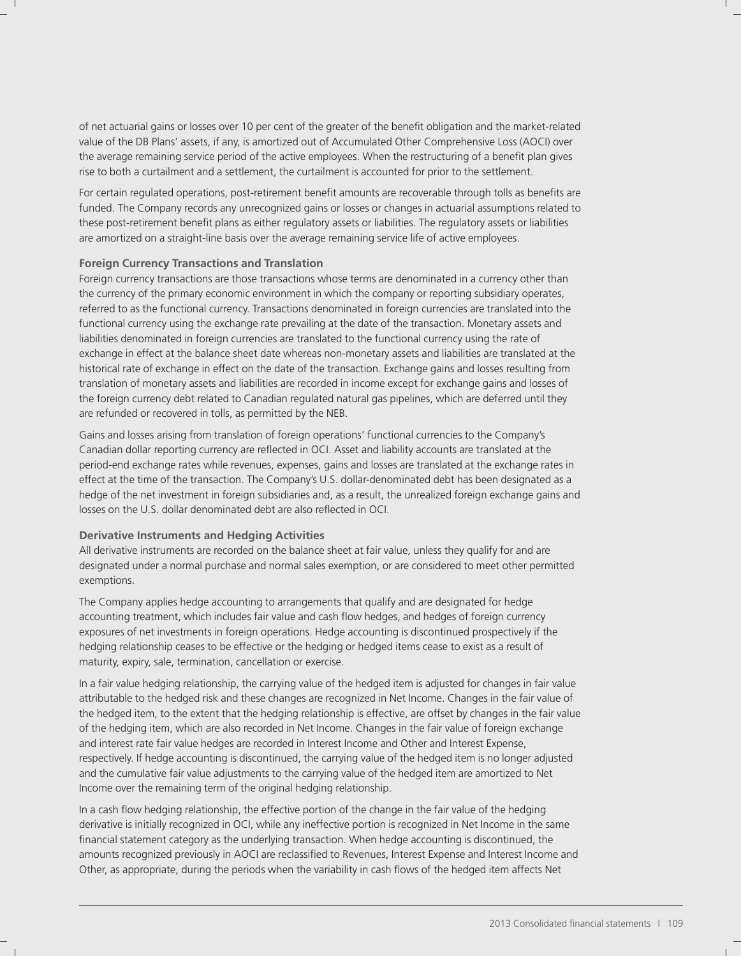of net actuarial gains or losses over 10 per cent of the greater of the benefit obligation and the market-related value of the DB Plans' assets, if any, is amortized out of Accumulated Other Comprehensive Loss (AOCI) over the average remaining service period of the active employees. When the restructuring of a benefit plan gives rise to both a curtailment and a settlement, the curtailment is accounted for prior to the settlement.

For certain regulated operations, post-retirement benefit amounts are recoverable through tolls as benefits are funded. The Company records any unrecognized gains or losses or changes in actuarial assumptions related to these post-retirement benefit plans as either regulatory assets or liabilities. The regulatory assets or liabilities are amortized on a straight-line basis over the average remaining service life of active employees.

### **Foreign Currency Transactions and Translation**

Foreign currency transactions are those transactions whose terms are denominated in a currency other than the currency of the primary economic environment in which the company or reporting subsidiary operates, referred to as the functional currency. Transactions denominated in foreign currencies are translated into the functional currency using the exchange rate prevailing at the date of the transaction. Monetary assets and liabilities denominated in foreign currencies are translated to the functional currency using the rate of exchange in effect at the balance sheet date whereas non-monetary assets and liabilities are translated at the historical rate of exchange in effect on the date of the transaction. Exchange gains and losses resulting from translation of monetary assets and liabilities are recorded in income except for exchange gains and losses of the foreign currency debt related to Canadian regulated natural gas pipelines, which are deferred until they are refunded or recovered in tolls, as permitted by the NEB.

Gains and losses arising from translation of foreign operations' functional currencies to the Company's Canadian dollar reporting currency are reflected in OCI. Asset and liability accounts are translated at the period-end exchange rates while revenues, expenses, gains and losses are translated at the exchange rates in effect at the time of the transaction. The Company's U.S. dollar-denominated debt has been designated as a hedge of the net investment in foreign subsidiaries and, as a result, the unrealized foreign exchange gains and losses on the U.S. dollar denominated debt are also reflected in OCI.

### **Derivative Instruments and Hedging Activities**

All derivative instruments are recorded on the balance sheet at fair value, unless they qualify for and are designated under a normal purchase and normal sales exemption, or are considered to meet other permitted exemptions.

The Company applies hedge accounting to arrangements that qualify and are designated for hedge accounting treatment, which includes fair value and cash flow hedges, and hedges of foreign currency exposures of net investments in foreign operations. Hedge accounting is discontinued prospectively if the hedging relationship ceases to be effective or the hedging or hedged items cease to exist as a result of maturity, expiry, sale, termination, cancellation or exercise.

In a fair value hedging relationship, the carrying value of the hedged item is adjusted for changes in fair value attributable to the hedged risk and these changes are recognized in Net Income. Changes in the fair value of the hedged item, to the extent that the hedging relationship is effective, are offset by changes in the fair value of the hedging item, which are also recorded in Net Income. Changes in the fair value of foreign exchange and interest rate fair value hedges are recorded in Interest Income and Other and Interest Expense, respectively. If hedge accounting is discontinued, the carrying value of the hedged item is no longer adjusted and the cumulative fair value adjustments to the carrying value of the hedged item are amortized to Net Income over the remaining term of the original hedging relationship.

In a cash flow hedging relationship, the effective portion of the change in the fair value of the hedging derivative is initially recognized in OCI, while any ineffective portion is recognized in Net Income in the same financial statement category as the underlying transaction. When hedge accounting is discontinued, the amounts recognized previously in AOCI are reclassified to Revenues, Interest Expense and Interest Income and Other, as appropriate, during the periods when the variability in cash flows of the hedged item affects Net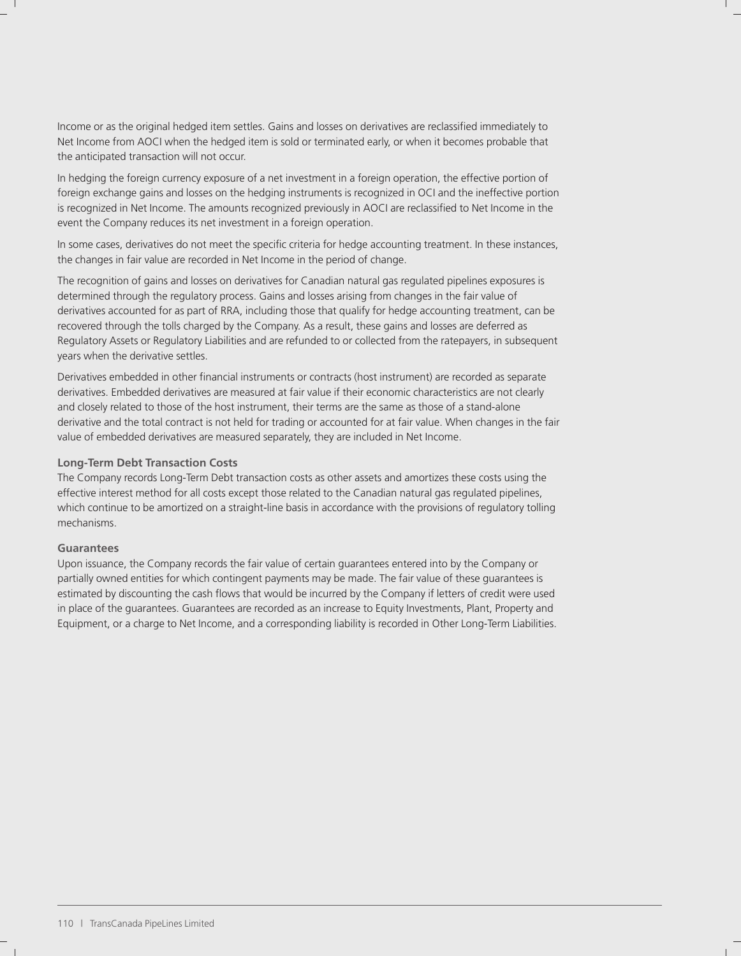Income or as the original hedged item settles. Gains and losses on derivatives are reclassified immediately to Net Income from AOCI when the hedged item is sold or terminated early, or when it becomes probable that the anticipated transaction will not occur.

In hedging the foreign currency exposure of a net investment in a foreign operation, the effective portion of foreign exchange gains and losses on the hedging instruments is recognized in OCI and the ineffective portion is recognized in Net Income. The amounts recognized previously in AOCI are reclassified to Net Income in the event the Company reduces its net investment in a foreign operation.

In some cases, derivatives do not meet the specific criteria for hedge accounting treatment. In these instances, the changes in fair value are recorded in Net Income in the period of change.

The recognition of gains and losses on derivatives for Canadian natural gas regulated pipelines exposures is determined through the regulatory process. Gains and losses arising from changes in the fair value of derivatives accounted for as part of RRA, including those that qualify for hedge accounting treatment, can be recovered through the tolls charged by the Company. As a result, these gains and losses are deferred as Regulatory Assets or Regulatory Liabilities and are refunded to or collected from the ratepayers, in subsequent years when the derivative settles.

Derivatives embedded in other financial instruments or contracts (host instrument) are recorded as separate derivatives. Embedded derivatives are measured at fair value if their economic characteristics are not clearly and closely related to those of the host instrument, their terms are the same as those of a stand-alone derivative and the total contract is not held for trading or accounted for at fair value. When changes in the fair value of embedded derivatives are measured separately, they are included in Net Income.

### **Long-Term Debt Transaction Costs**

The Company records Long-Term Debt transaction costs as other assets and amortizes these costs using the effective interest method for all costs except those related to the Canadian natural gas regulated pipelines, which continue to be amortized on a straight-line basis in accordance with the provisions of regulatory tolling mechanisms.

### **Guarantees**

Upon issuance, the Company records the fair value of certain guarantees entered into by the Company or partially owned entities for which contingent payments may be made. The fair value of these guarantees is estimated by discounting the cash flows that would be incurred by the Company if letters of credit were used in place of the guarantees. Guarantees are recorded as an increase to Equity Investments, Plant, Property and Equipment, or a charge to Net Income, and a corresponding liability is recorded in Other Long-Term Liabilities.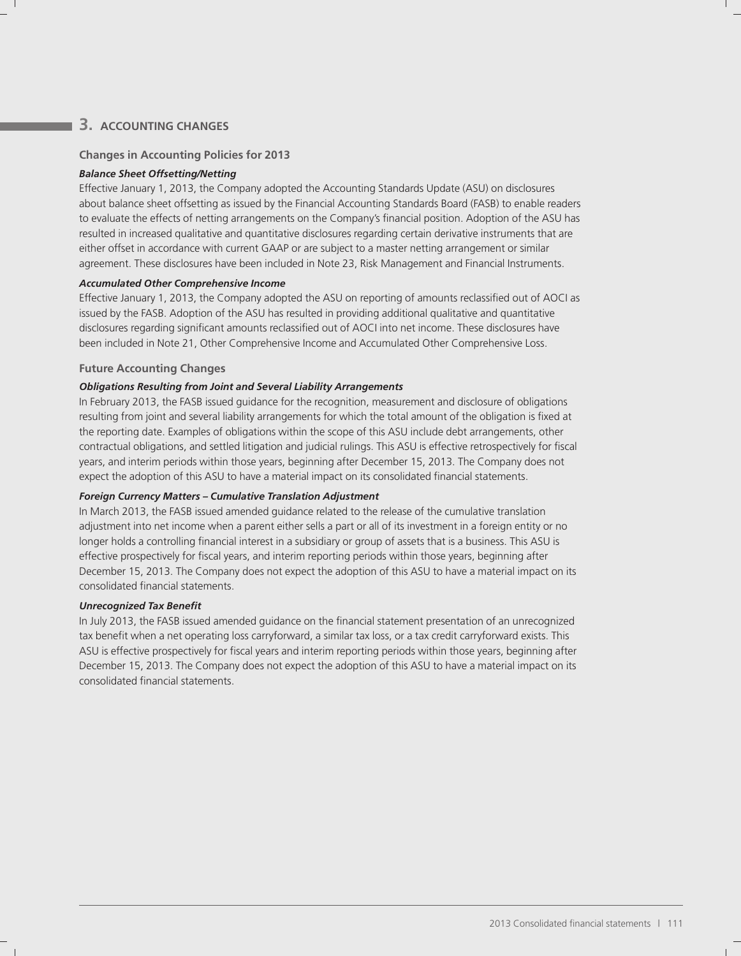## **3. ACCOUNTING CHANGES**

### **Changes in Accounting Policies for 2013**

### *Balance Sheet Offsetting/Netting*

Effective January 1, 2013, the Company adopted the Accounting Standards Update (ASU) on disclosures about balance sheet offsetting as issued by the Financial Accounting Standards Board (FASB) to enable readers to evaluate the effects of netting arrangements on the Company's financial position. Adoption of the ASU has resulted in increased qualitative and quantitative disclosures regarding certain derivative instruments that are either offset in accordance with current GAAP or are subject to a master netting arrangement or similar agreement. These disclosures have been included in Note 23, Risk Management and Financial Instruments.

### *Accumulated Other Comprehensive Income*

Effective January 1, 2013, the Company adopted the ASU on reporting of amounts reclassified out of AOCI as issued by the FASB. Adoption of the ASU has resulted in providing additional qualitative and quantitative disclosures regarding significant amounts reclassified out of AOCI into net income. These disclosures have been included in Note 21, Other Comprehensive Income and Accumulated Other Comprehensive Loss.

### **Future Accounting Changes**

### *Obligations Resulting from Joint and Several Liability Arrangements*

In February 2013, the FASB issued guidance for the recognition, measurement and disclosure of obligations resulting from joint and several liability arrangements for which the total amount of the obligation is fixed at the reporting date. Examples of obligations within the scope of this ASU include debt arrangements, other contractual obligations, and settled litigation and judicial rulings. This ASU is effective retrospectively for fiscal years, and interim periods within those years, beginning after December 15, 2013. The Company does not expect the adoption of this ASU to have a material impact on its consolidated financial statements.

### *Foreign Currency Matters – Cumulative Translation Adjustment*

In March 2013, the FASB issued amended guidance related to the release of the cumulative translation adjustment into net income when a parent either sells a part or all of its investment in a foreign entity or no longer holds a controlling financial interest in a subsidiary or group of assets that is a business. This ASU is effective prospectively for fiscal years, and interim reporting periods within those years, beginning after December 15, 2013. The Company does not expect the adoption of this ASU to have a material impact on its consolidated financial statements.

### *Unrecognized Tax Benefit*

In July 2013, the FASB issued amended guidance on the financial statement presentation of an unrecognized tax benefit when a net operating loss carryforward, a similar tax loss, or a tax credit carryforward exists. This ASU is effective prospectively for fiscal years and interim reporting periods within those years, beginning after December 15, 2013. The Company does not expect the adoption of this ASU to have a material impact on its consolidated financial statements.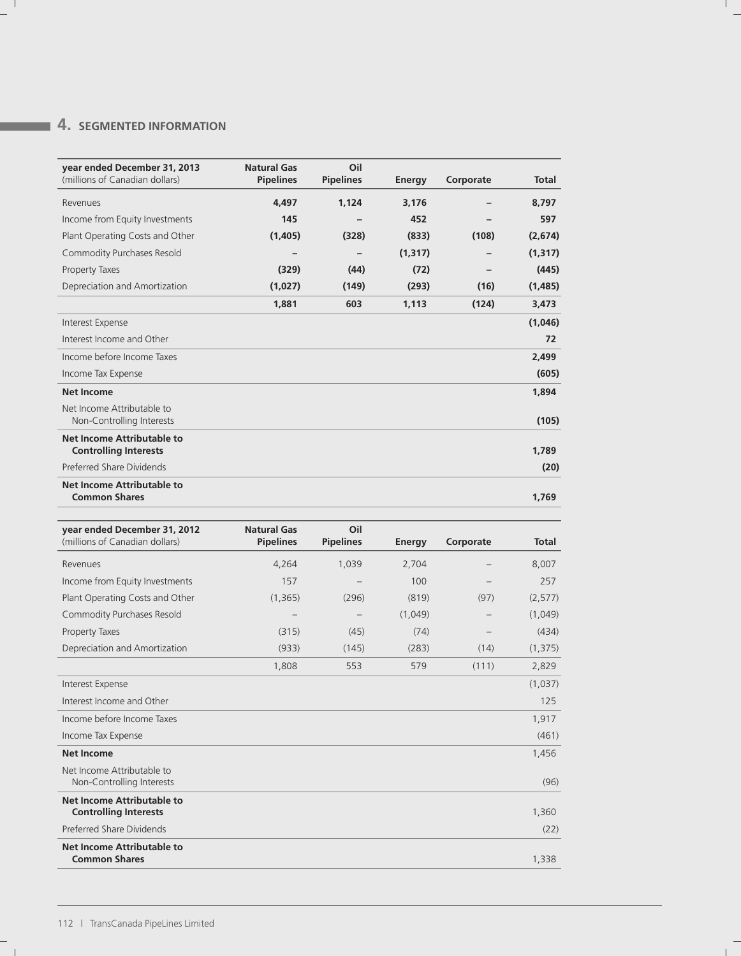# **4. SEGMENTED INFORMATION**

| year ended December 31, 2013<br>(millions of Canadian dollars) | <b>Natural Gas</b><br><b>Pipelines</b> | Oil<br><b>Pipelines</b> | Energy   | Corporate | Total    |
|----------------------------------------------------------------|----------------------------------------|-------------------------|----------|-----------|----------|
| Revenues                                                       | 4,497                                  | 1,124                   | 3,176    |           | 8,797    |
| Income from Equity Investments                                 | 145                                    |                         | 452      |           | 597      |
| Plant Operating Costs and Other                                | (1,405)                                | (328)                   | (833)    | (108)     | (2,674)  |
| Commodity Purchases Resold                                     | -                                      |                         | (1, 317) |           | (1, 317) |
| <b>Property Taxes</b>                                          | (329)                                  | (44)                    | (72)     |           | (445)    |
| Depreciation and Amortization                                  | (1,027)                                | (149)                   | (293)    | (16)      | (1,485)  |
|                                                                | 1,881                                  | 603                     | 1,113    | (124)     | 3,473    |
| Interest Expense                                               |                                        |                         |          |           | (1,046)  |
| Interest Income and Other                                      |                                        |                         |          |           | 72       |
| Income before Income Taxes                                     |                                        |                         |          |           | 2,499    |
| Income Tax Expense                                             |                                        |                         |          |           | (605)    |
| <b>Net Income</b>                                              |                                        |                         |          |           | 1.894    |
| Net Income Attributable to<br>Non-Controlling Interests        |                                        |                         |          |           | (105)    |
| Net Income Attributable to<br><b>Controlling Interests</b>     |                                        |                         |          |           | 1,789    |
| Preferred Share Dividends                                      |                                        |                         |          |           | (20)     |
| Net Income Attributable to<br><b>Common Shares</b>             |                                        |                         |          |           | 1,769    |

| year ended December 31, 2012<br>(millions of Canadian dollars) | <b>Natural Gas</b><br><b>Pipelines</b> | Oil<br><b>Pipelines</b>  | Energy  | Corporate | <b>Total</b> |
|----------------------------------------------------------------|----------------------------------------|--------------------------|---------|-----------|--------------|
| Revenues                                                       | 4,264                                  | 1,039                    | 2,704   |           | 8,007        |
| Income from Equity Investments                                 | 157                                    |                          | 100     |           | 257          |
| Plant Operating Costs and Other                                | (1, 365)                               | (296)                    | (819)   | (97)      | (2,577)      |
| <b>Commodity Purchases Resold</b>                              |                                        | $\overline{\phantom{0}}$ | (1,049) |           | (1,049)      |
| Property Taxes                                                 | (315)                                  | (45)                     | (74)    |           | (434)        |
| Depreciation and Amortization                                  | (933)                                  | (145)                    | (283)   | (14)      | (1, 375)     |
|                                                                | 1,808                                  | 553                      | 579     | (111)     | 2,829        |
| Interest Expense                                               |                                        |                          |         |           | (1,037)      |
| Interest Income and Other                                      |                                        |                          |         |           | 125          |
| Income before Income Taxes                                     |                                        |                          |         |           | 1,917        |
| Income Tax Expense                                             |                                        |                          |         |           | (461)        |
| <b>Net Income</b>                                              |                                        |                          |         |           | 1,456        |
| Net Income Attributable to<br>Non-Controlling Interests        |                                        |                          |         |           | (96)         |
| Net Income Attributable to<br><b>Controlling Interests</b>     |                                        |                          |         |           | 1,360        |
| Preferred Share Dividends                                      |                                        |                          |         |           | (22)         |
| Net Income Attributable to<br><b>Common Shares</b>             |                                        |                          |         |           | 1,338        |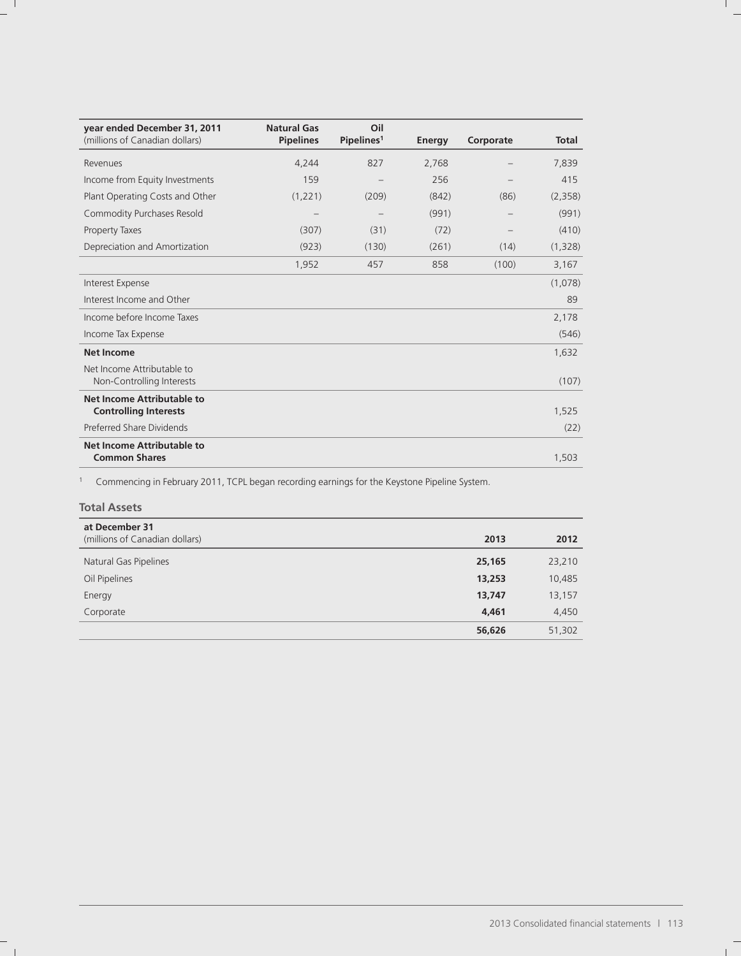| year ended December 31, 2011<br>(millions of Canadian dollars) | <b>Natural Gas</b><br><b>Pipelines</b> | Oil<br>Pipelines <sup>1</sup> | <b>Energy</b> | Corporate | <b>Total</b> |
|----------------------------------------------------------------|----------------------------------------|-------------------------------|---------------|-----------|--------------|
| Revenues                                                       | 4,244                                  | 827                           | 2,768         |           | 7,839        |
| Income from Equity Investments                                 | 159                                    |                               | 256           |           | 415          |
| Plant Operating Costs and Other                                | (1,221)                                | (209)                         | (842)         | (86)      | (2,358)      |
| Commodity Purchases Resold                                     |                                        |                               | (991)         |           | (991)        |
| <b>Property Taxes</b>                                          | (307)                                  | (31)                          | (72)          |           | (410)        |
| Depreciation and Amortization                                  | (923)                                  | (130)                         | (261)         | (14)      | (1,328)      |
|                                                                | 1,952                                  | 457                           | 858           | (100)     | 3,167        |
| Interest Expense                                               |                                        |                               |               |           | (1,078)      |
| Interest Income and Other                                      |                                        |                               |               |           | 89           |
| Income before Income Taxes                                     |                                        |                               |               |           | 2,178        |
| Income Tax Expense                                             |                                        |                               |               |           | (546)        |
| <b>Net Income</b>                                              |                                        |                               |               |           | 1,632        |
| Net Income Attributable to<br>Non-Controlling Interests        |                                        |                               |               |           | (107)        |
| Net Income Attributable to<br><b>Controlling Interests</b>     |                                        |                               |               |           | 1,525        |
| Preferred Share Dividends                                      |                                        |                               |               |           | (22)         |
| Net Income Attributable to<br><b>Common Shares</b>             |                                        |                               |               |           | 1,503        |

<sup>1</sup> Commencing in February 2011, TCPL began recording earnings for the Keystone Pipeline System.

### **Total Assets**

| at December 31<br>(millions of Canadian dollars) | 2013   | 2012   |
|--------------------------------------------------|--------|--------|
| Natural Gas Pipelines                            | 25,165 | 23,210 |
| Oil Pipelines                                    | 13,253 | 10,485 |
| Energy                                           | 13,747 | 13,157 |
| Corporate                                        | 4,461  | 4,450  |
|                                                  | 56,626 | 51,302 |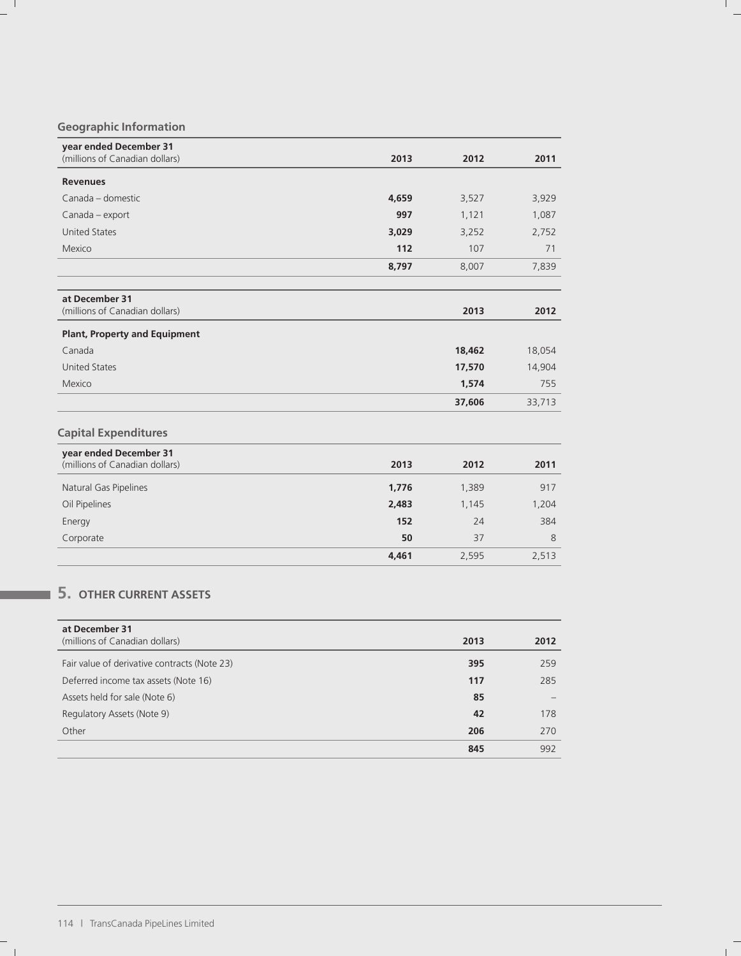**Geographic Information**

| year ended December 31<br>(millions of Canadian dollars) | 2013  | 2012   | 2011   |
|----------------------------------------------------------|-------|--------|--------|
| <b>Revenues</b>                                          |       |        |        |
| Canada – domestic                                        | 4,659 | 3,527  | 3,929  |
| Canada - export                                          | 997   | 1,121  | 1,087  |
| <b>United States</b>                                     | 3,029 | 3,252  | 2,752  |
| Mexico                                                   | 112   | 107    | 71     |
|                                                          | 8,797 | 8,007  | 7,839  |
| at December 31                                           |       |        |        |
| (millions of Canadian dollars)                           |       | 2013   | 2012   |
| <b>Plant, Property and Equipment</b>                     |       |        |        |
| Canada                                                   |       | 18,462 | 18,054 |
| <b>United States</b>                                     |       | 17,570 | 14,904 |
| Mexico                                                   |       | 1,574  | 755    |
|                                                          |       | 37,606 | 33,713 |
| <b>Capital Expenditures</b>                              |       |        |        |
| year ended December 31<br>(millions of Canadian dollars) | 2013  | 2012   | 2011   |
| Natural Gas Pipelines                                    | 1,776 | 1,389  | 917    |
| Oil Pipelines                                            | 2,483 | 1,145  | 1,204  |
| Energy                                                   | 152   | 24     | 384    |
| Corporate                                                | 50    | 37     | 8      |
|                                                          | 4,461 | 2,595  | 2,513  |

# **5. OTHER CURRENT ASSETS**

..

| at December 31<br>(millions of Canadian dollars) | 2013 | 2012 |
|--------------------------------------------------|------|------|
| Fair value of derivative contracts (Note 23)     | 395  | 259  |
| Deferred income tax assets (Note 16)             | 117  | 285  |
| Assets held for sale (Note 6)                    | 85   |      |
| Regulatory Assets (Note 9)                       | 42   | 178  |
| Other                                            | 206  | 270  |
|                                                  | 845  | 992  |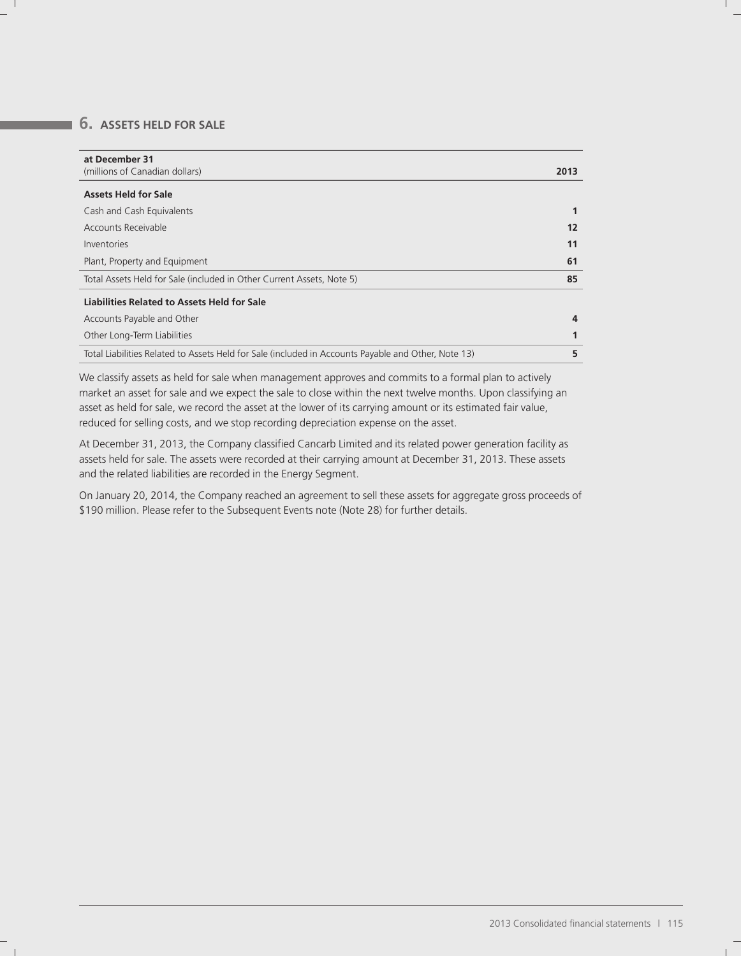## **6. ASSETS HELD FOR SALE**

| at December 31<br>(millions of Canadian dollars)                                                    | 2013              |
|-----------------------------------------------------------------------------------------------------|-------------------|
| <b>Assets Held for Sale</b>                                                                         |                   |
| Cash and Cash Equivalents                                                                           | 1                 |
| Accounts Receivable                                                                                 | $12 \overline{ }$ |
| Inventories                                                                                         | 11                |
| Plant, Property and Equipment                                                                       | 61                |
| Total Assets Held for Sale (included in Other Current Assets, Note 5)                               | 85                |
| Liabilities Related to Assets Held for Sale                                                         |                   |
| Accounts Payable and Other                                                                          | 4                 |
| Other Long-Term Liabilities                                                                         | 1                 |
| Total Liabilities Related to Assets Held for Sale (included in Accounts Payable and Other, Note 13) | 5                 |

We classify assets as held for sale when management approves and commits to a formal plan to actively market an asset for sale and we expect the sale to close within the next twelve months. Upon classifying an asset as held for sale, we record the asset at the lower of its carrying amount or its estimated fair value, reduced for selling costs, and we stop recording depreciation expense on the asset.

At December 31, 2013, the Company classified Cancarb Limited and its related power generation facility as assets held for sale. The assets were recorded at their carrying amount at December 31, 2013. These assets and the related liabilities are recorded in the Energy Segment.

On January 20, 2014, the Company reached an agreement to sell these assets for aggregate gross proceeds of \$190 million. Please refer to the Subsequent Events note (Note 28) for further details.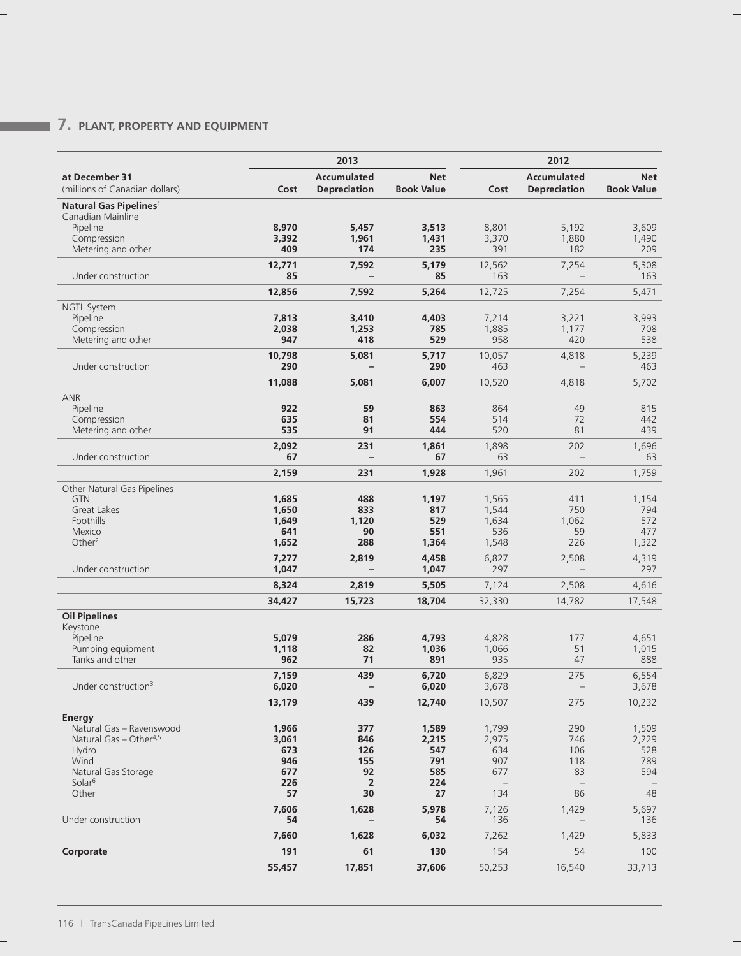# **7.** PLANT, PROPERTY AND EQUIPMENT

|                                                         |                | 2013                 |                   |                                 | 2012                     |                   |
|---------------------------------------------------------|----------------|----------------------|-------------------|---------------------------------|--------------------------|-------------------|
| at December 31                                          |                | <b>Accumulated</b>   | <b>Net</b>        |                                 | <b>Accumulated</b>       | <b>Net</b>        |
| (millions of Canadian dollars)                          | Cost           | <b>Depreciation</b>  | <b>Book Value</b> | Cost                            | <b>Depreciation</b>      | <b>Book Value</b> |
| Natural Gas Pipelines <sup>1</sup><br>Canadian Mainline |                |                      |                   |                                 |                          |                   |
| Pipeline                                                | 8,970          | 5,457                | 3,513             | 8,801                           | 5,192                    | 3,609             |
| Compression                                             | 3,392          | 1,961                | 1,431             | 3,370                           | 1,880                    | 1,490             |
| Metering and other                                      | 409            | 174                  | 235               | 391                             | 182                      | 209               |
|                                                         | 12,771         | 7,592                | 5,179             | 12,562                          | 7,254                    | 5,308             |
| Under construction                                      | 85             |                      | 85                | 163                             |                          | 163               |
|                                                         | 12,856         | 7,592                | 5,264             | 12,725                          | 7,254                    | 5,471             |
| <b>NGTL System</b>                                      |                |                      |                   |                                 |                          |                   |
| Pipeline<br>Compression                                 | 7,813<br>2,038 | 3,410<br>1,253       | 4,403<br>785      | 7,214<br>1,885                  | 3,221<br>1,177           | 3,993<br>708      |
| Metering and other                                      | 947            | 418                  | 529               | 958                             | 420                      | 538               |
|                                                         | 10,798         | 5,081                | 5,717             | 10,057                          | 4,818                    | 5,239             |
| Under construction                                      | 290            |                      | 290               | 463                             | $\overline{\phantom{0}}$ | 463               |
|                                                         | 11,088         | 5,081                | 6,007             | 10,520                          | 4,818                    | 5,702             |
| <b>ANR</b>                                              |                |                      |                   |                                 |                          |                   |
| Pipeline                                                | 922            | 59                   | 863               | 864                             | 49                       | 815               |
| Compression                                             | 635            | 81                   | 554               | 514                             | 72                       | 442               |
| Metering and other                                      | 535            | 91                   | 444               | 520                             | 81                       | 439               |
| Under construction                                      | 2,092<br>67    | 231                  | 1,861<br>67       | 1,898<br>63                     | 202                      | 1,696<br>63       |
|                                                         |                |                      |                   |                                 | 202                      |                   |
|                                                         | 2,159          | 231                  | 1,928             | 1,961                           |                          | 1,759             |
| Other Natural Gas Pipelines<br><b>GTN</b>               | 1,685          | 488                  | 1,197             | 1,565                           | 411                      | 1,154             |
| Great Lakes                                             | 1,650          | 833                  | 817               | 1,544                           | 750                      | 794               |
| Foothills                                               | 1,649          | 1,120                | 529               | 1,634                           | 1,062                    | 572               |
| Mexico                                                  | 641            | 90                   | 551               | 536                             | 59                       | 477               |
| Other <sup>2</sup>                                      | 1,652          | 288                  | 1,364             | 1,548                           | 226                      | 1,322             |
| Under construction                                      | 7,277<br>1,047 | 2,819<br>-           | 4,458<br>1,047    | 6,827<br>297                    | 2,508                    | 4,319<br>297      |
|                                                         | 8,324          | 2,819                | 5,505             | 7,124                           | 2,508                    | 4,616             |
|                                                         | 34,427         | 15,723               | 18,704            | 32,330                          | 14,782                   | 17,548            |
| <b>Oil Pipelines</b>                                    |                |                      |                   |                                 |                          |                   |
| Keystone                                                |                |                      |                   |                                 |                          |                   |
| Pipeline                                                | 5,079          | 286                  | 4,793             | 4,828                           | 177                      | 4,651             |
| Pumping equipment                                       | 1,118          | 82                   | 1,036             | 1,066                           | 51                       | 1,015             |
| Tanks and other                                         | 962            | 71                   | 891               | 935                             | 47                       | 888               |
| Under construction <sup>3</sup>                         | 7,159<br>6,020 | 439                  | 6,720<br>6,020    | 6,829<br>3,678                  | 275                      | 6,554<br>3,678    |
|                                                         | 13,179         | 439                  | 12,740            | 10,507                          | 275                      | 10,232            |
|                                                         |                |                      |                   |                                 |                          |                   |
| <b>Energy</b><br>Natural Gas - Ravenswood               | 1,966          | 377                  | 1,589             | 1,799                           | 290                      | 1,509             |
| Natural Gas $-$ Other <sup>4,5</sup>                    | 3,061          | 846                  | 2,215             | 2,975                           | 746                      | 2,229             |
| Hydro                                                   | 673            | 126                  | 547               | 634                             | 106                      | 528               |
| Wind                                                    | 946            | 155                  | 791               | 907                             | 118                      | 789               |
| Natural Gas Storage<br>Solar <sup>6</sup>               | 677<br>226     | 92<br>$\overline{2}$ | 585<br>224        | 677<br>$\overline{\phantom{a}}$ | 83<br>$\qquad \qquad -$  | 594               |
| Other                                                   | 57             | 30                   | 27                | 134                             | 86                       | 48                |
|                                                         | 7,606          | 1,628                | 5,978             | 7,126                           | 1,429                    | 5,697             |
| Under construction                                      | 54             |                      | 54                | 136                             |                          | 136               |
|                                                         | 7,660          | 1,628                | 6,032             | 7,262                           | 1,429                    | 5,833             |
| Corporate                                               | 191            | 61                   | 130               | 154                             | 54                       | 100               |
|                                                         | 55,457         | 17,851               | 37,606            | 50,253                          | 16,540                   | 33,713            |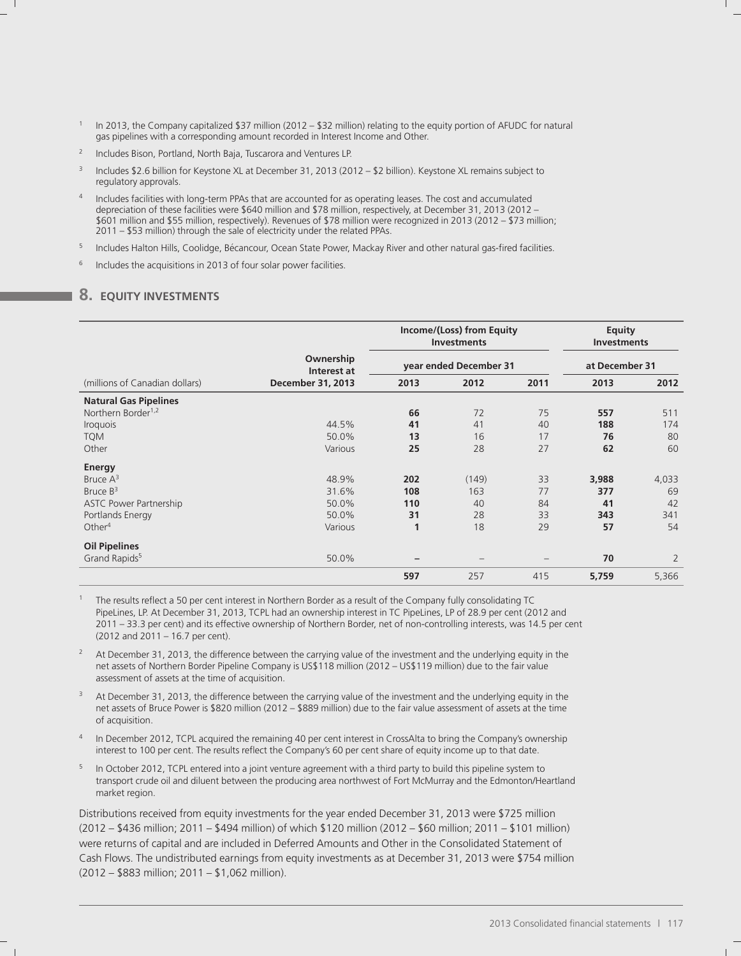- In 2013, the Company capitalized \$37 million (2012 \$32 million) relating to the equity portion of AFUDC for natural gas pipelines with a corresponding amount recorded in Interest Income and Other.
- <sup>2</sup> Includes Bison, Portland, North Baja, Tuscarora and Ventures LP.
- <sup>3</sup> Includes \$2.6 billion for Keystone XL at December 31, 2013 (2012 \$2 billion). Keystone XL remains subject to regulatory approvals.
- <sup>4</sup> Includes facilities with long-term PPAs that are accounted for as operating leases. The cost and accumulated depreciation of these facilities were \$640 million and \$78 million, respectively, at December 31, 2013 (2012 – \$601 million and \$55 million, respectively). Revenues of \$78 million were recognized in 2013 (2012 – \$73 million; 2011 – \$53 million) through the sale of electricity under the related PPAs.
- Includes Halton Hills, Coolidge, Bécancour, Ocean State Power, Mackay River and other natural gas-fired facilities.
- Includes the acquisitions in 2013 of four solar power facilities.

### **8. EQUITY INVESTMENTS**

|                                |                          |                          | Income/(Loss) from Equity<br><b>Investments</b> |      | <b>Equity</b><br><b>Investments</b> |                |
|--------------------------------|--------------------------|--------------------------|-------------------------------------------------|------|-------------------------------------|----------------|
|                                | Ownership<br>Interest at | vear ended December 31   |                                                 |      | at December 31                      |                |
| (millions of Canadian dollars) | December 31, 2013        | 2013                     | 2012                                            | 2011 | 2013                                | 2012           |
| <b>Natural Gas Pipelines</b>   |                          |                          |                                                 |      |                                     |                |
| Northern Border <sup>1,2</sup> |                          | 66                       | 72                                              | 75   | 557                                 | 511            |
| <i><u><b>Iroquois</b></u></i>  | 44.5%                    | 41                       | 41                                              | 40   | 188                                 | 174            |
| <b>TOM</b>                     | 50.0%                    | 13                       | 16                                              | 17   | 76                                  | 80             |
| Other                          | Various                  | 25                       | 28                                              | 27   | 62                                  | 60             |
| Energy                         |                          |                          |                                                 |      |                                     |                |
| Bruce $A^3$                    | 48.9%                    | 202                      | (149)                                           | 33   | 3,988                               | 4,033          |
| Bruce $B^3$                    | 31.6%                    | 108                      | 163                                             | 77   | 377                                 | 69             |
| <b>ASTC Power Partnership</b>  | 50.0%                    | 110                      | 40                                              | 84   | 41                                  | 42             |
| Portlands Energy               | 50.0%                    | 31                       | 28                                              | 33   | 343                                 | 341            |
| Other $4$                      | Various                  | 1                        | 18                                              | 29   | 57                                  | 54             |
| <b>Oil Pipelines</b>           |                          |                          |                                                 |      |                                     |                |
| Grand Rapids <sup>5</sup>      | 50.0%                    | $\overline{\phantom{0}}$ |                                                 |      | 70                                  | $\overline{2}$ |
|                                |                          | 597                      | 257                                             | 415  | 5,759                               | 5,366          |

- <sup>1</sup> The results reflect a 50 per cent interest in Northern Border as a result of the Company fully consolidating TC PipeLines, LP. At December 31, 2013, TCPL had an ownership interest in TC PipeLines, LP of 28.9 per cent (2012 and 2011 – 33.3 per cent) and its effective ownership of Northern Border, net of non-controlling interests, was 14.5 per cent (2012 and 2011 – 16.7 per cent).
- <sup>2</sup> At December 31, 2013, the difference between the carrying value of the investment and the underlying equity in the net assets of Northern Border Pipeline Company is US\$118 million (2012 – US\$119 million) due to the fair value assessment of assets at the time of acquisition.
- At December 31, 2013, the difference between the carrying value of the investment and the underlying equity in the net assets of Bruce Power is \$820 million (2012 – \$889 million) due to the fair value assessment of assets at the time of acquisition.
- In December 2012, TCPL acquired the remaining 40 per cent interest in CrossAlta to bring the Company's ownership interest to 100 per cent. The results reflect the Company's 60 per cent share of equity income up to that date.
- In October 2012, TCPL entered into a joint venture agreement with a third party to build this pipeline system to transport crude oil and diluent between the producing area northwest of Fort McMurray and the Edmonton/Heartland market region.

Distributions received from equity investments for the year ended December 31, 2013 were \$725 million (2012 – \$436 million; 2011 – \$494 million) of which \$120 million (2012 – \$60 million; 2011 – \$101 million) were returns of capital and are included in Deferred Amounts and Other in the Consolidated Statement of Cash Flows. The undistributed earnings from equity investments as at December 31, 2013 were \$754 million (2012 – \$883 million; 2011 – \$1,062 million).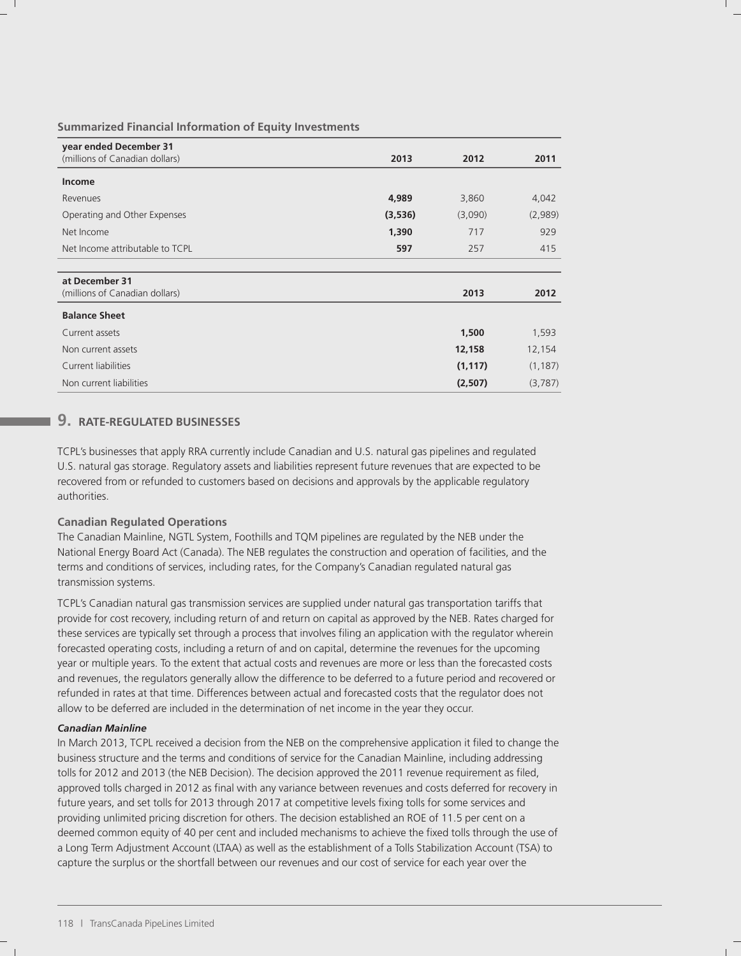| <b>Summarized Financial Information of Equity Investments</b> |  |  |  |
|---------------------------------------------------------------|--|--|--|
|---------------------------------------------------------------|--|--|--|

| year ended December 31<br>(millions of Canadian dollars) | 2013    | 2012     | 2011     |
|----------------------------------------------------------|---------|----------|----------|
| <b>Income</b>                                            |         |          |          |
| Revenues                                                 | 4,989   | 3,860    | 4,042    |
| Operating and Other Expenses                             | (3,536) | (3,090)  | (2,989)  |
| Net Income                                               | 1,390   | 717      | 929      |
| Net Income attributable to TCPL                          | 597     | 257      | 415      |
|                                                          |         |          |          |
| at December 31<br>(millions of Canadian dollars)         |         | 2013     | 2012     |
| <b>Balance Sheet</b>                                     |         |          |          |
| Current assets                                           |         | 1,500    | 1,593    |
| Non current assets                                       |         | 12,158   | 12,154   |
| Current liabilities                                      |         | (1, 117) | (1, 187) |
| Non current liabilities                                  |         | (2,507)  | (3,787)  |

### **9. RATE-REGULATED BUSINESSES**

TCPL's businesses that apply RRA currently include Canadian and U.S. natural gas pipelines and regulated U.S. natural gas storage. Regulatory assets and liabilities represent future revenues that are expected to be recovered from or refunded to customers based on decisions and approvals by the applicable regulatory authorities.

### **Canadian Regulated Operations**

The Canadian Mainline, NGTL System, Foothills and TQM pipelines are regulated by the NEB under the National Energy Board Act (Canada). The NEB regulates the construction and operation of facilities, and the terms and conditions of services, including rates, for the Company's Canadian regulated natural gas transmission systems.

TCPL's Canadian natural gas transmission services are supplied under natural gas transportation tariffs that provide for cost recovery, including return of and return on capital as approved by the NEB. Rates charged for these services are typically set through a process that involves filing an application with the regulator wherein forecasted operating costs, including a return of and on capital, determine the revenues for the upcoming year or multiple years. To the extent that actual costs and revenues are more or less than the forecasted costs and revenues, the regulators generally allow the difference to be deferred to a future period and recovered or refunded in rates at that time. Differences between actual and forecasted costs that the regulator does not allow to be deferred are included in the determination of net income in the year they occur.

### *Canadian Mainline*

In March 2013, TCPL received a decision from the NEB on the comprehensive application it filed to change the business structure and the terms and conditions of service for the Canadian Mainline, including addressing tolls for 2012 and 2013 (the NEB Decision). The decision approved the 2011 revenue requirement as filed, approved tolls charged in 2012 as final with any variance between revenues and costs deferred for recovery in future years, and set tolls for 2013 through 2017 at competitive levels fixing tolls for some services and providing unlimited pricing discretion for others. The decision established an ROE of 11.5 per cent on a deemed common equity of 40 per cent and included mechanisms to achieve the fixed tolls through the use of a Long Term Adjustment Account (LTAA) as well as the establishment of a Tolls Stabilization Account (TSA) to capture the surplus or the shortfall between our revenues and our cost of service for each year over the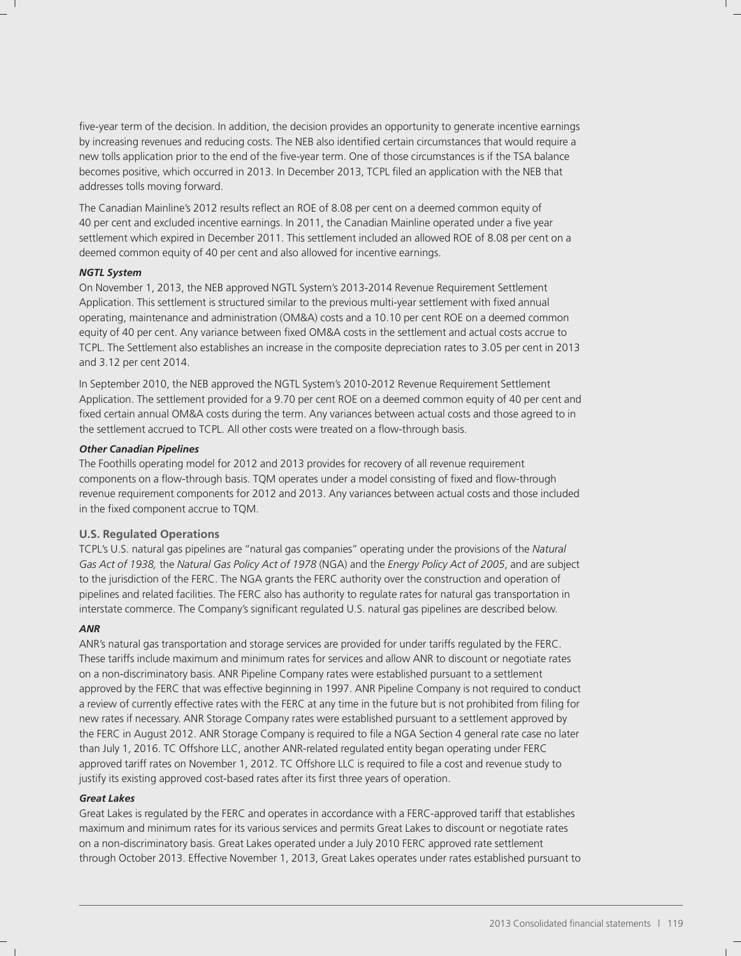five-year term of the decision. In addition, the decision provides an opportunity to generate incentive earnings by increasing revenues and reducing costs. The NEB also identified certain circumstances that would require a new tolls application prior to the end of the five-year term. One of those circumstances is if the TSA balance becomes positive, which occurred in 2013. In December 2013, TCPL filed an application with the NEB that addresses tolls moving forward.

The Canadian Mainline's 2012 results reflect an ROE of 8.08 per cent on a deemed common equity of 40 per cent and excluded incentive earnings. In 2011, the Canadian Mainline operated under a five year settlement which expired in December 2011. This settlement included an allowed ROE of 8.08 per cent on a deemed common equity of 40 per cent and also allowed for incentive earnings.

### *NGTL System*

On November 1, 2013, the NEB approved NGTL System's 2013-2014 Revenue Requirement Settlement Application. This settlement is structured similar to the previous multi-year settlement with fixed annual operating, maintenance and administration (OM&A) costs and a 10.10 per cent ROE on a deemed common equity of 40 per cent. Any variance between fixed OM&A costs in the settlement and actual costs accrue to TCPL. The Settlement also establishes an increase in the composite depreciation rates to 3.05 per cent in 2013 and 3.12 per cent 2014.

In September 2010, the NEB approved the NGTL System's 2010-2012 Revenue Requirement Settlement Application. The settlement provided for a 9.70 per cent ROE on a deemed common equity of 40 per cent and fixed certain annual OM&A costs during the term. Any variances between actual costs and those agreed to in the settlement accrued to TCPL. All other costs were treated on a flow-through basis.

### *Other Canadian Pipelines*

The Foothills operating model for 2012 and 2013 provides for recovery of all revenue requirement components on a flow-through basis. TQM operates under a model consisting of fixed and flow-through revenue requirement components for 2012 and 2013. Any variances between actual costs and those included in the fixed component accrue to TQM.

### **U.S. Regulated Operations**

TCPL's U.S. natural gas pipelines are ''natural gas companies'' operating under the provisions of the *Natural Gas Act of 1938,* the *Natural Gas Policy Act of 1978* (NGA) and the *Energy Policy Act of 2005*, and are subject to the jurisdiction of the FERC. The NGA grants the FERC authority over the construction and operation of pipelines and related facilities. The FERC also has authority to regulate rates for natural gas transportation in interstate commerce. The Company's significant regulated U.S. natural gas pipelines are described below.

### *ANR*

ANR's natural gas transportation and storage services are provided for under tariffs regulated by the FERC. These tariffs include maximum and minimum rates for services and allow ANR to discount or negotiate rates on a non-discriminatory basis. ANR Pipeline Company rates were established pursuant to a settlement approved by the FERC that was effective beginning in 1997. ANR Pipeline Company is not required to conduct a review of currently effective rates with the FERC at any time in the future but is not prohibited from filing for new rates if necessary. ANR Storage Company rates were established pursuant to a settlement approved by the FERC in August 2012. ANR Storage Company is required to file a NGA Section 4 general rate case no later than July 1, 2016. TC Offshore LLC, another ANR-related regulated entity began operating under FERC approved tariff rates on November 1, 2012. TC Offshore LLC is required to file a cost and revenue study to justify its existing approved cost-based rates after its first three years of operation.

### *Great Lakes*

Great Lakes is regulated by the FERC and operates in accordance with a FERC-approved tariff that establishes maximum and minimum rates for its various services and permits Great Lakes to discount or negotiate rates on a non-discriminatory basis. Great Lakes operated under a July 2010 FERC approved rate settlement through October 2013. Effective November 1, 2013, Great Lakes operates under rates established pursuant to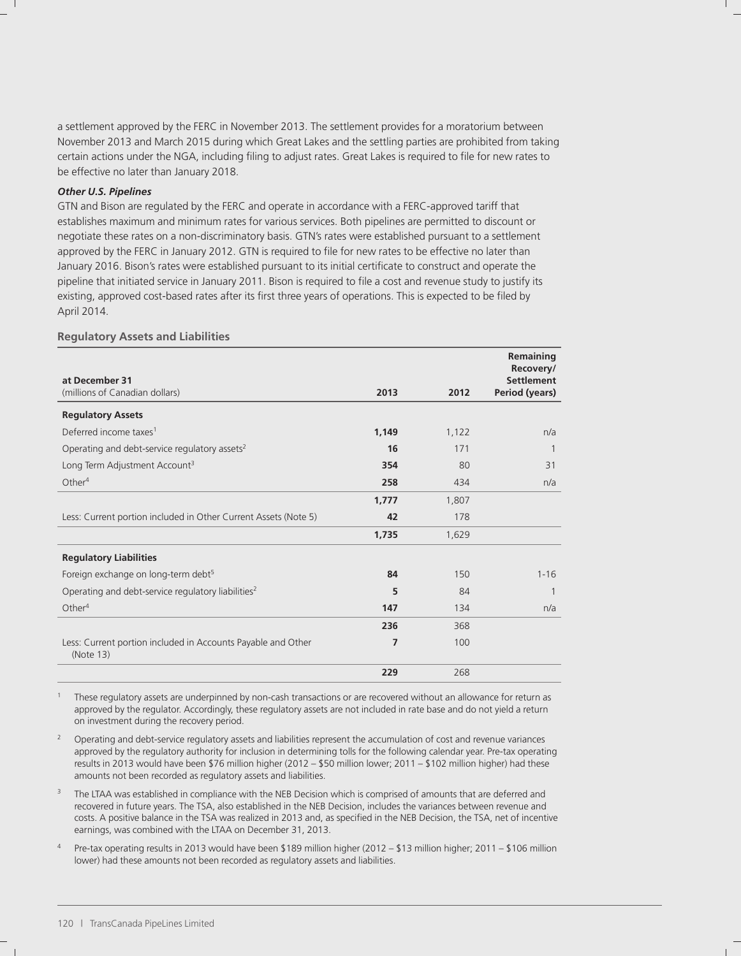a settlement approved by the FERC in November 2013. The settlement provides for a moratorium between November 2013 and March 2015 during which Great Lakes and the settling parties are prohibited from taking certain actions under the NGA, including filing to adjust rates. Great Lakes is required to file for new rates to be effective no later than January 2018.

### *Other U.S. Pipelines*

GTN and Bison are regulated by the FERC and operate in accordance with a FERC-approved tariff that establishes maximum and minimum rates for various services. Both pipelines are permitted to discount or negotiate these rates on a non-discriminatory basis. GTN's rates were established pursuant to a settlement approved by the FERC in January 2012. GTN is required to file for new rates to be effective no later than January 2016. Bison's rates were established pursuant to its initial certificate to construct and operate the pipeline that initiated service in January 2011. Bison is required to file a cost and revenue study to justify its existing, approved cost-based rates after its first three years of operations. This is expected to be filed by April 2014.

### **Regulatory Assets and Liabilities**

| at December 31<br>(millions of Canadian dollars)                          | 2013  | 2012  | Remaining<br>Recovery/<br><b>Settlement</b><br>Period (years) |
|---------------------------------------------------------------------------|-------|-------|---------------------------------------------------------------|
| <b>Regulatory Assets</b>                                                  |       |       |                                                               |
| Deferred income taxes <sup>1</sup>                                        | 1,149 | 1,122 | n/a                                                           |
| Operating and debt-service regulatory assets <sup>2</sup>                 | 16    | 171   | -1                                                            |
| Long Term Adjustment Account <sup>3</sup>                                 | 354   | 80    | 31                                                            |
| Other $4$                                                                 | 258   | 434   | n/a                                                           |
|                                                                           | 1,777 | 1,807 |                                                               |
| Less: Current portion included in Other Current Assets (Note 5)           | 42    | 178   |                                                               |
|                                                                           | 1,735 | 1,629 |                                                               |
| <b>Regulatory Liabilities</b>                                             |       |       |                                                               |
| Foreign exchange on long-term debt <sup>5</sup>                           | 84    | 150   | $1 - 16$                                                      |
| Operating and debt-service regulatory liabilities <sup>2</sup>            | 5     | 84    | 1                                                             |
| Other <sup>4</sup>                                                        | 147   | 134   | n/a                                                           |
|                                                                           | 236   | 368   |                                                               |
| Less: Current portion included in Accounts Payable and Other<br>(Note 13) | 7     | 100   |                                                               |
|                                                                           | 229   | 268   |                                                               |

<sup>1</sup> These regulatory assets are underpinned by non-cash transactions or are recovered without an allowance for return as approved by the regulator. Accordingly, these regulatory assets are not included in rate base and do not yield a return on investment during the recovery period.

- <sup>2</sup> Operating and debt-service regulatory assets and liabilities represent the accumulation of cost and revenue variances approved by the regulatory authority for inclusion in determining tolls for the following calendar year. Pre-tax operating results in 2013 would have been \$76 million higher (2012 – \$50 million lower; 2011 – \$102 million higher) had these amounts not been recorded as regulatory assets and liabilities.
- <sup>3</sup> The LTAA was established in compliance with the NEB Decision which is comprised of amounts that are deferred and recovered in future years. The TSA, also established in the NEB Decision, includes the variances between revenue and costs. A positive balance in the TSA was realized in 2013 and, as specified in the NEB Decision, the TSA, net of incentive earnings, was combined with the LTAA on December 31, 2013.
- Pre-tax operating results in 2013 would have been \$189 million higher (2012 \$13 million higher; 2011 \$106 million lower) had these amounts not been recorded as regulatory assets and liabilities.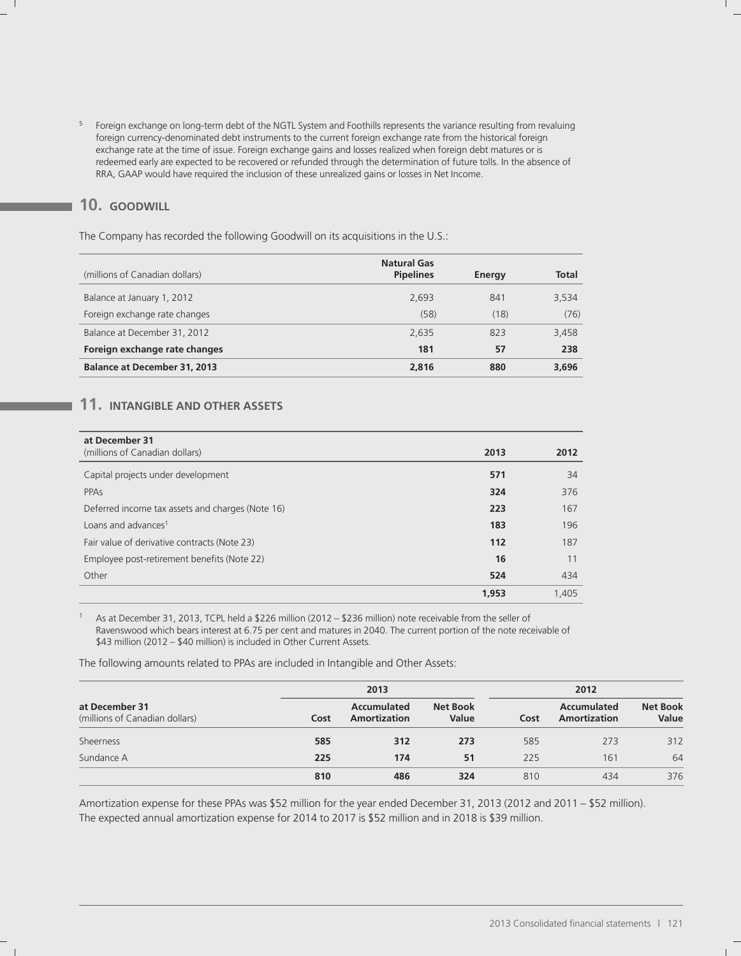<sup>5</sup> Foreign exchange on long-term debt of the NGTL System and Foothills represents the variance resulting from revaluing foreign currency-denominated debt instruments to the current foreign exchange rate from the historical foreign exchange rate at the time of issue. Foreign exchange gains and losses realized when foreign debt matures or is redeemed early are expected to be recovered or refunded through the determination of future tolls. In the absence of RRA, GAAP would have required the inclusion of these unrealized gains or losses in Net Income.

## **10. GOODWILL**

The Company has recorded the following Goodwill on its acquisitions in the U.S.:

| (millions of Canadian dollars)      | <b>Natural Gas</b><br><b>Pipelines</b> | Energy | <b>Total</b> |
|-------------------------------------|----------------------------------------|--------|--------------|
| Balance at January 1, 2012          | 2,693                                  | 841    | 3,534        |
| Foreign exchange rate changes       | (58)                                   | (18)   | (76)         |
| Balance at December 31, 2012        | 2,635                                  | 823    | 3,458        |
| Foreign exchange rate changes       | 181                                    | 57     | 238          |
| <b>Balance at December 31, 2013</b> | 2.816                                  | 880    | 3,696        |

# **11. INTANGIBLE AND OTHER ASSETS**

| at December 31<br>(millions of Canadian dollars) | 2013  | 2012  |
|--------------------------------------------------|-------|-------|
| Capital projects under development               | 571   | 34    |
| PPAS                                             | 324   | 376   |
| Deferred income tax assets and charges (Note 16) | 223   | 167   |
| Loans and advances <sup>1</sup>                  | 183   | 196   |
| Fair value of derivative contracts (Note 23)     | 112   | 187   |
| Employee post-retirement benefits (Note 22)      | 16    | 11    |
| Other                                            | 524   | 434   |
|                                                  | 1.953 | 1,405 |

As at December 31, 2013, TCPL held a \$226 million (2012 – \$236 million) note receivable from the seller of Ravenswood which bears interest at 6.75 per cent and matures in 2040. The current portion of the note receivable of \$43 million (2012 – \$40 million) is included in Other Current Assets.

The following amounts related to PPAs are included in Intangible and Other Assets:

|                                                  | 2013 |                             |                          | 2012 |                             |                          |
|--------------------------------------------------|------|-----------------------------|--------------------------|------|-----------------------------|--------------------------|
| at December 31<br>(millions of Canadian dollars) | Cost | Accumulated<br>Amortization | <b>Net Book</b><br>Value | Cost | Accumulated<br>Amortization | <b>Net Book</b><br>Value |
| Sheerness                                        | 585  | 312                         | 273                      | 585  | 273                         | 312                      |
| Sundance A                                       | 225  | 174                         | 51                       | 225  | 161                         | 64                       |
|                                                  | 810  | 486                         | 324                      | 810  | 434                         | 376                      |

Amortization expense for these PPAs was \$52 million for the year ended December 31, 2013 (2012 and 2011 – \$52 million). The expected annual amortization expense for 2014 to 2017 is \$52 million and in 2018 is \$39 million.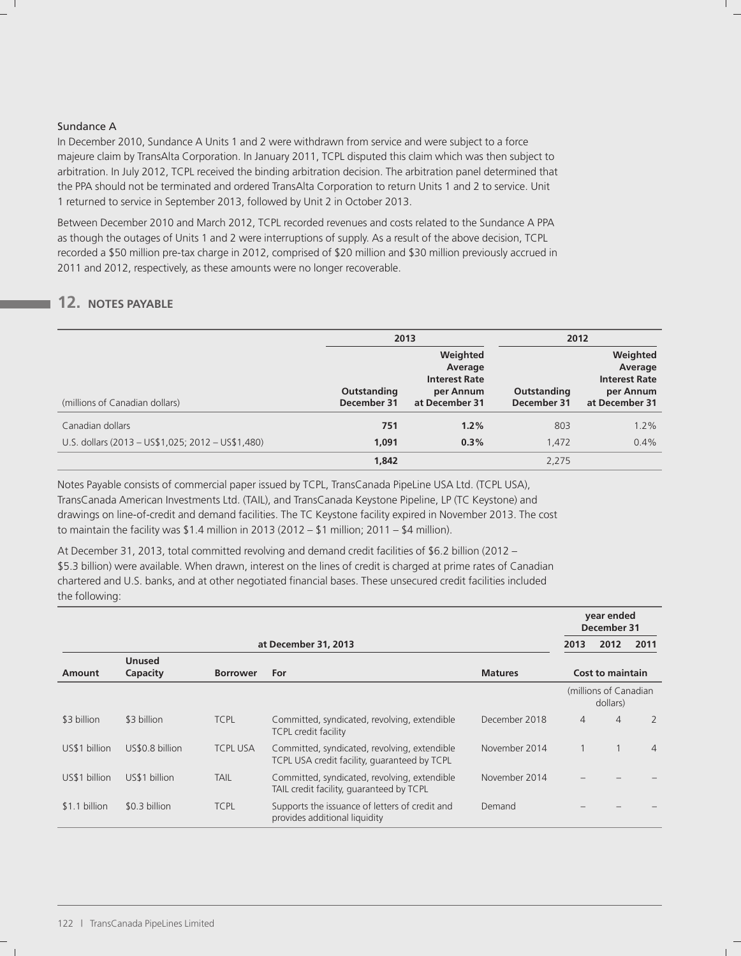### Sundance A

In December 2010, Sundance A Units 1 and 2 were withdrawn from service and were subject to a force majeure claim by TransAlta Corporation. In January 2011, TCPL disputed this claim which was then subject to arbitration. In July 2012, TCPL received the binding arbitration decision. The arbitration panel determined that the PPA should not be terminated and ordered TransAlta Corporation to return Units 1 and 2 to service. Unit 1 returned to service in September 2013, followed by Unit 2 in October 2013.

Between December 2010 and March 2012, TCPL recorded revenues and costs related to the Sundance A PPA as though the outages of Units 1 and 2 were interruptions of supply. As a result of the above decision, TCPL recorded a \$50 million pre-tax charge in 2012, comprised of \$20 million and \$30 million previously accrued in 2011 and 2012, respectively, as these amounts were no longer recoverable.

# **12. NOTES PAYABLE**

|                                                   | 2013                       |                                                                            | 2012                       |                                                                            |  |
|---------------------------------------------------|----------------------------|----------------------------------------------------------------------------|----------------------------|----------------------------------------------------------------------------|--|
| (millions of Canadian dollars)                    | Outstanding<br>December 31 | Weighted<br>Average<br><b>Interest Rate</b><br>per Annum<br>at December 31 | Outstanding<br>December 31 | Weighted<br>Average<br><b>Interest Rate</b><br>per Annum<br>at December 31 |  |
| Canadian dollars                                  | 751                        | 1.2%                                                                       | 803                        | 1.2%                                                                       |  |
| U.S. dollars (2013 - US\$1,025; 2012 - US\$1,480) | 1.091                      | 0.3%                                                                       | 1,472                      | 0.4%                                                                       |  |
|                                                   | 1,842                      |                                                                            | 2,275                      |                                                                            |  |

Notes Payable consists of commercial paper issued by TCPL, TransCanada PipeLine USA Ltd. (TCPL USA), TransCanada American Investments Ltd. (TAIL), and TransCanada Keystone Pipeline, LP (TC Keystone) and drawings on line-of-credit and demand facilities. The TC Keystone facility expired in November 2013. The cost to maintain the facility was  $$1.4$  million in 2013 (2012 –  $$1$  million; 2011 –  $$4$  million).

At December 31, 2013, total committed revolving and demand credit facilities of \$6.2 billion (2012 – \$5.3 billion) were available. When drawn, interest on the lines of credit is charged at prime rates of Canadian chartered and U.S. banks, and at other negotiated financial bases. These unsecured credit facilities included the following:

|               |                 |                 |                                                                                              |                |                | year ended<br>December 31         |      |
|---------------|-----------------|-----------------|----------------------------------------------------------------------------------------------|----------------|----------------|-----------------------------------|------|
|               |                 |                 | at December 31, 2013                                                                         |                | 2013           | 2012                              | 2011 |
|               | <b>Unused</b>   |                 |                                                                                              |                |                |                                   |      |
| Amount        | Capacity        | <b>Borrower</b> | For                                                                                          | <b>Matures</b> |                | Cost to maintain                  |      |
|               |                 |                 |                                                                                              |                |                | (millions of Canadian<br>dollars) |      |
| \$3 billion   | \$3 billion     | <b>TCPL</b>     | Committed, syndicated, revolving, extendible<br><b>TCPL</b> credit facility                  | December 2018  | $\overline{4}$ | $\overline{4}$                    | 2    |
| US\$1 billion | US\$0.8 billion | <b>TCPL USA</b> | Committed, syndicated, revolving, extendible<br>TCPL USA credit facility, quaranteed by TCPL | November 2014  |                |                                   | 4    |
| US\$1 billion | US\$1 billion   | <b>TAIL</b>     | Committed, syndicated, revolving, extendible<br>TAIL credit facility, quaranteed by TCPL     | November 2014  |                |                                   |      |
| \$1.1 billion | \$0.3 billion   | <b>TCPL</b>     | Supports the issuance of letters of credit and<br>provides additional liquidity              | Demand         |                |                                   |      |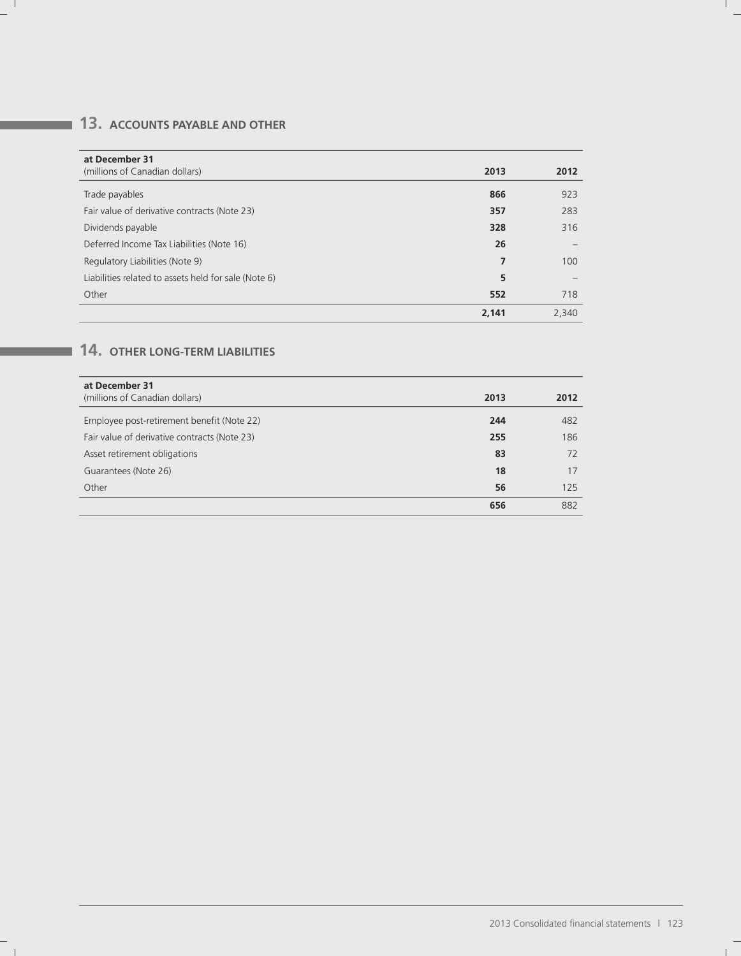# **13. ACCOUNTS PAYABLE AND OTHER**

ست

**STATISTICS** 

| at December 31<br>(millions of Canadian dollars)     | 2013  | 2012  |
|------------------------------------------------------|-------|-------|
| Trade payables                                       | 866   | 923   |
| Fair value of derivative contracts (Note 23)         | 357   | 283   |
| Dividends payable                                    | 328   | 316   |
| Deferred Income Tax Liabilities (Note 16)            | 26    |       |
| Regulatory Liabilities (Note 9)                      | 7     | 100   |
| Liabilities related to assets held for sale (Note 6) | 5     |       |
| Other                                                | 552   | 718   |
|                                                      | 2.141 | 2.340 |

# **14. OTHER LONG-TERM LIABILITIES**

| at December 31<br>(millions of Canadian dollars) | 2013 | 2012 |
|--------------------------------------------------|------|------|
| Employee post-retirement benefit (Note 22)       | 244  | 482  |
| Fair value of derivative contracts (Note 23)     | 255  | 186  |
| Asset retirement obligations                     | 83   | 72   |
| Guarantees (Note 26)                             | 18   | 17   |
| Other                                            | 56   | 125  |
|                                                  | 656  | 882  |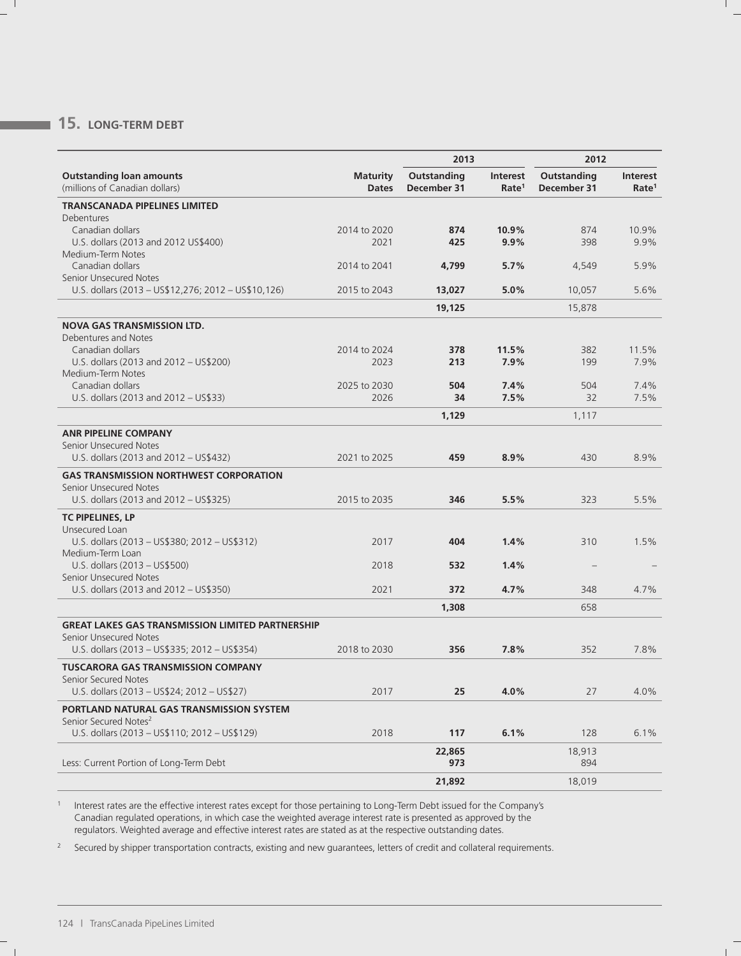# **15. LONG-TERM DEBT**

|                                                                                    |                                 | 2013                       |                                      | 2012                       |                                      |
|------------------------------------------------------------------------------------|---------------------------------|----------------------------|--------------------------------------|----------------------------|--------------------------------------|
| <b>Outstanding loan amounts</b><br>(millions of Canadian dollars)                  | <b>Maturity</b><br><b>Dates</b> | Outstanding<br>December 31 | <b>Interest</b><br>Rate <sup>1</sup> | Outstanding<br>December 31 | <b>Interest</b><br>Rate <sup>1</sup> |
| <b>TRANSCANADA PIPELINES LIMITED</b>                                               |                                 |                            |                                      |                            |                                      |
| Debentures                                                                         | 2014 to 2020                    |                            |                                      |                            |                                      |
| Canadian dollars<br>U.S. dollars (2013 and 2012 US\$400)                           | 2021                            | 874<br>425                 | 10.9%<br>9.9%                        | 874<br>398                 | 10.9%<br>9.9%                        |
| Medium-Term Notes                                                                  |                                 |                            |                                      |                            |                                      |
| Canadian dollars                                                                   | 2014 to 2041                    | 4,799                      | 5.7%                                 | 4,549                      | 5.9%                                 |
| Senior Unsecured Notes<br>U.S. dollars (2013 - US\$12,276; 2012 - US\$10,126)      | 2015 to 2043                    | 13,027                     | 5.0%                                 | 10,057                     | 5.6%                                 |
|                                                                                    |                                 |                            |                                      |                            |                                      |
|                                                                                    |                                 | 19,125                     |                                      | 15,878                     |                                      |
| <b>NOVA GAS TRANSMISSION LTD.</b><br>Debentures and Notes                          |                                 |                            |                                      |                            |                                      |
| Canadian dollars                                                                   | 2014 to 2024                    | 378                        | 11.5%                                | 382                        | 11.5%                                |
| U.S. dollars (2013 and 2012 - US\$200)                                             | 2023                            | 213                        | 7.9%                                 | 199                        | 7.9%                                 |
| Medium-Term Notes                                                                  |                                 |                            |                                      |                            |                                      |
| Canadian dollars<br>U.S. dollars (2013 and 2012 - US\$33)                          | 2025 to 2030<br>2026            | 504<br>34                  | 7.4%<br>7.5%                         | 504<br>32                  | 7.4%<br>7.5%                         |
|                                                                                    |                                 |                            |                                      |                            |                                      |
|                                                                                    |                                 | 1,129                      |                                      | 1.117                      |                                      |
| <b>ANR PIPELINE COMPANY</b><br>Senior Unsecured Notes                              |                                 |                            |                                      |                            |                                      |
| U.S. dollars (2013 and 2012 - US\$432)                                             | 2021 to 2025                    | 459                        | 8.9%                                 | 430                        | 8.9%                                 |
| <b>GAS TRANSMISSION NORTHWEST CORPORATION</b>                                      |                                 |                            |                                      |                            |                                      |
| Senior Unsecured Notes                                                             |                                 |                            |                                      |                            |                                      |
| U.S. dollars (2013 and 2012 - US\$325)                                             | 2015 to 2035                    | 346                        | 5.5%                                 | 323                        | 5.5%                                 |
| <b>TC PIPELINES, LP</b>                                                            |                                 |                            |                                      |                            |                                      |
| Unsecured Loan                                                                     |                                 |                            |                                      |                            |                                      |
| U.S. dollars (2013 - US\$380; 2012 - US\$312)<br>Medium-Term Loan                  | 2017                            | 404                        | 1.4%                                 | 310                        | 1.5%                                 |
| U.S. dollars (2013 - US\$500)                                                      | 2018                            | 532                        | 1.4%                                 |                            |                                      |
| Senior Unsecured Notes                                                             |                                 |                            |                                      |                            |                                      |
| U.S. dollars (2013 and 2012 - US\$350)                                             | 2021                            | 372                        | 4.7%                                 | 348                        | 4.7%                                 |
|                                                                                    |                                 | 1,308                      |                                      | 658                        |                                      |
| <b>GREAT LAKES GAS TRANSMISSION LIMITED PARTNERSHIP</b>                            |                                 |                            |                                      |                            |                                      |
| <b>Senior Unsecured Notes</b><br>U.S. dollars (2013 - US\$335; 2012 - US\$354)     | 2018 to 2030                    | 356                        | 7.8%                                 | 352                        | 7.8%                                 |
|                                                                                    |                                 |                            |                                      |                            |                                      |
| <b>TUSCARORA GAS TRANSMISSION COMPANY</b><br>Senior Secured Notes                  |                                 |                            |                                      |                            |                                      |
| U.S. dollars (2013 - US\$24; 2012 - US\$27)                                        | 2017                            | 25                         | 4.0%                                 | 27                         | 4.0%                                 |
| PORTLAND NATURAL GAS TRANSMISSION SYSTEM                                           |                                 |                            |                                      |                            |                                      |
| Senior Secured Notes <sup>2</sup><br>U.S. dollars (2013 - US\$110; 2012 - US\$129) | 2018                            | 117                        | 6.1%                                 | 128                        | 6.1%                                 |
|                                                                                    |                                 |                            |                                      |                            |                                      |
| Less: Current Portion of Long-Term Debt                                            |                                 | 22,865<br>973              |                                      | 18,913<br>894              |                                      |
|                                                                                    |                                 | 21,892                     |                                      | 18,019                     |                                      |

<sup>1</sup> Interest rates are the effective interest rates except for those pertaining to Long-Term Debt issued for the Company's Canadian regulated operations, in which case the weighted average interest rate is presented as approved by the regulators. Weighted average and effective interest rates are stated as at the respective outstanding dates.

<sup>2</sup> Secured by shipper transportation contracts, existing and new guarantees, letters of credit and collateral requirements.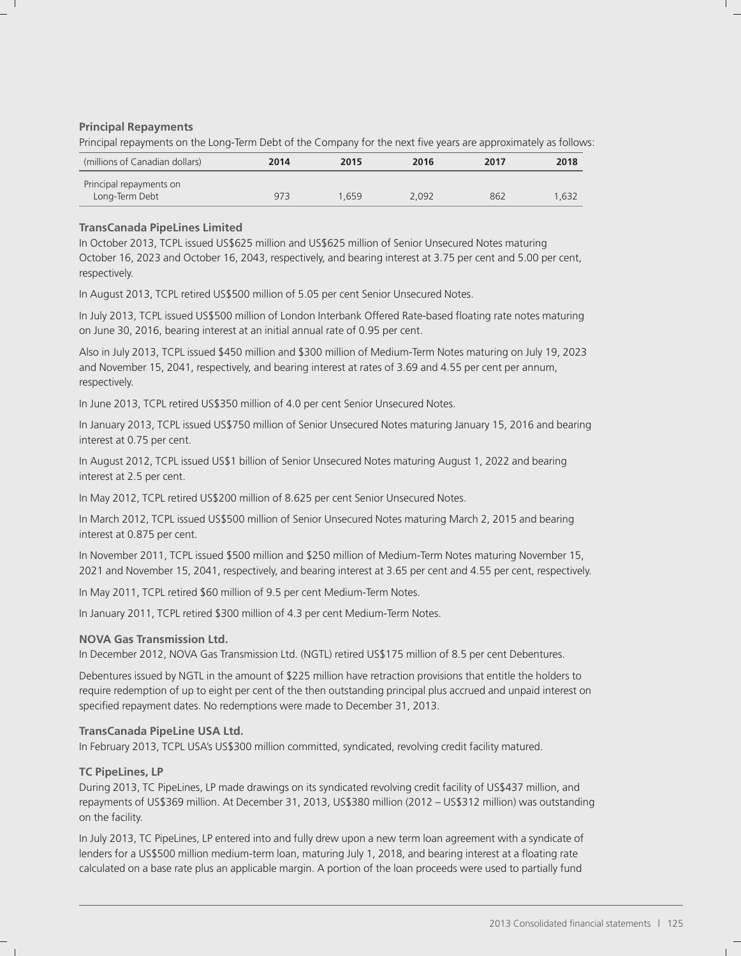### **Principal Repayments**

Principal repayments on the Long-Term Debt of the Company for the next five years are approximately as follows:

| (millions of Canadian dollars)            | 2014 | 2015 | 2016  | 2017 | 2018  |
|-------------------------------------------|------|------|-------|------|-------|
| Principal repayments on<br>Long-Term Debt | 973  | .659 | 2.092 | 862  | 1.632 |

### **TransCanada PipeLines Limited**

In October 2013, TCPL issued US\$625 million and US\$625 million of Senior Unsecured Notes maturing October 16, 2023 and October 16, 2043, respectively, and bearing interest at 3.75 per cent and 5.00 per cent, respectively.

In August 2013, TCPL retired US\$500 million of 5.05 per cent Senior Unsecured Notes.

In July 2013, TCPL issued US\$500 million of London Interbank Offered Rate-based floating rate notes maturing on June 30, 2016, bearing interest at an initial annual rate of 0.95 per cent.

Also in July 2013, TCPL issued \$450 million and \$300 million of Medium-Term Notes maturing on July 19, 2023 and November 15, 2041, respectively, and bearing interest at rates of 3.69 and 4.55 per cent per annum, respectively.

In June 2013, TCPL retired US\$350 million of 4.0 per cent Senior Unsecured Notes.

In January 2013, TCPL issued US\$750 million of Senior Unsecured Notes maturing January 15, 2016 and bearing interest at 0.75 per cent.

In August 2012, TCPL issued US\$1 billion of Senior Unsecured Notes maturing August 1, 2022 and bearing interest at 2.5 per cent.

In May 2012, TCPL retired US\$200 million of 8.625 per cent Senior Unsecured Notes.

In March 2012, TCPL issued US\$500 million of Senior Unsecured Notes maturing March 2, 2015 and bearing interest at 0.875 per cent.

In November 2011, TCPL issued \$500 million and \$250 million of Medium-Term Notes maturing November 15, 2021 and November 15, 2041, respectively, and bearing interest at 3.65 per cent and 4.55 per cent, respectively.

In May 2011, TCPL retired \$60 million of 9.5 per cent Medium-Term Notes.

In January 2011, TCPL retired \$300 million of 4.3 per cent Medium-Term Notes.

### **NOVA Gas Transmission Ltd.**

In December 2012, NOVA Gas Transmission Ltd. (NGTL) retired US\$175 million of 8.5 per cent Debentures.

Debentures issued by NGTL in the amount of \$225 million have retraction provisions that entitle the holders to require redemption of up to eight per cent of the then outstanding principal plus accrued and unpaid interest on specified repayment dates. No redemptions were made to December 31, 2013.

### **TransCanada PipeLine USA Ltd.**

In February 2013, TCPL USA's US\$300 million committed, syndicated, revolving credit facility matured.

### **TC PipeLines, LP**

During 2013, TC PipeLines, LP made drawings on its syndicated revolving credit facility of US\$437 million, and repayments of US\$369 million. At December 31, 2013, US\$380 million (2012 – US\$312 million) was outstanding on the facility.

In July 2013, TC PipeLines, LP entered into and fully drew upon a new term loan agreement with a syndicate of lenders for a US\$500 million medium-term loan, maturing July 1, 2018, and bearing interest at a floating rate calculated on a base rate plus an applicable margin. A portion of the loan proceeds were used to partially fund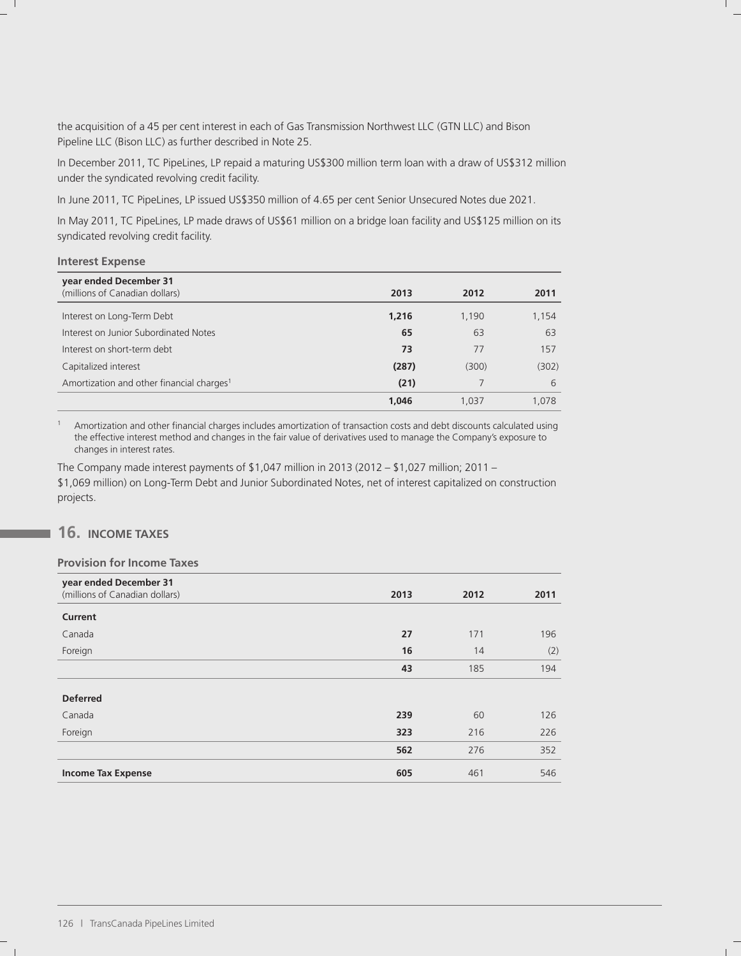the acquisition of a 45 per cent interest in each of Gas Transmission Northwest LLC (GTN LLC) and Bison Pipeline LLC (Bison LLC) as further described in Note 25.

In December 2011, TC PipeLines, LP repaid a maturing US\$300 million term loan with a draw of US\$312 million under the syndicated revolving credit facility.

In June 2011, TC PipeLines, LP issued US\$350 million of 4.65 per cent Senior Unsecured Notes due 2021.

In May 2011, TC PipeLines, LP made draws of US\$61 million on a bridge loan facility and US\$125 million on its syndicated revolving credit facility.

| year ended December 31<br>(millions of Canadian dollars) | 2013  | 2012  | 2011  |
|----------------------------------------------------------|-------|-------|-------|
| Interest on Long-Term Debt                               | 1,216 | 1,190 | 1,154 |
| Interest on Junior Subordinated Notes                    | 65    | 63    | 63    |
| Interest on short-term debt                              | 73    | 77    | 157   |
| Capitalized interest                                     | (287) | (300) | (302) |
| Amortization and other financial charges <sup>1</sup>    | (21)  |       | 6     |
|                                                          | 1,046 | 1.037 | 1,078 |

<sup>1</sup> Amortization and other financial charges includes amortization of transaction costs and debt discounts calculated using the effective interest method and changes in the fair value of derivatives used to manage the Company's exposure to changes in interest rates.

The Company made interest payments of  $$1,047$  million in 2013 (2012 –  $$1,027$  million; 2011 – \$1,069 million) on Long-Term Debt and Junior Subordinated Notes, net of interest capitalized on construction projects.

## **16. INCOME TAXES**

### **Provision for Income Taxes**

| year ended December 31<br>(millions of Canadian dollars) | 2013 | 2012 | 2011 |
|----------------------------------------------------------|------|------|------|
| Current                                                  |      |      |      |
| Canada                                                   | 27   | 171  | 196  |
| Foreign                                                  | 16   | 14   | (2)  |
|                                                          | 43   | 185  | 194  |
| <b>Deferred</b>                                          |      |      |      |
| Canada                                                   | 239  | 60   | 126  |
| Foreign                                                  | 323  | 216  | 226  |
|                                                          | 562  | 276  | 352  |
| <b>Income Tax Expense</b>                                | 605  | 461  | 546  |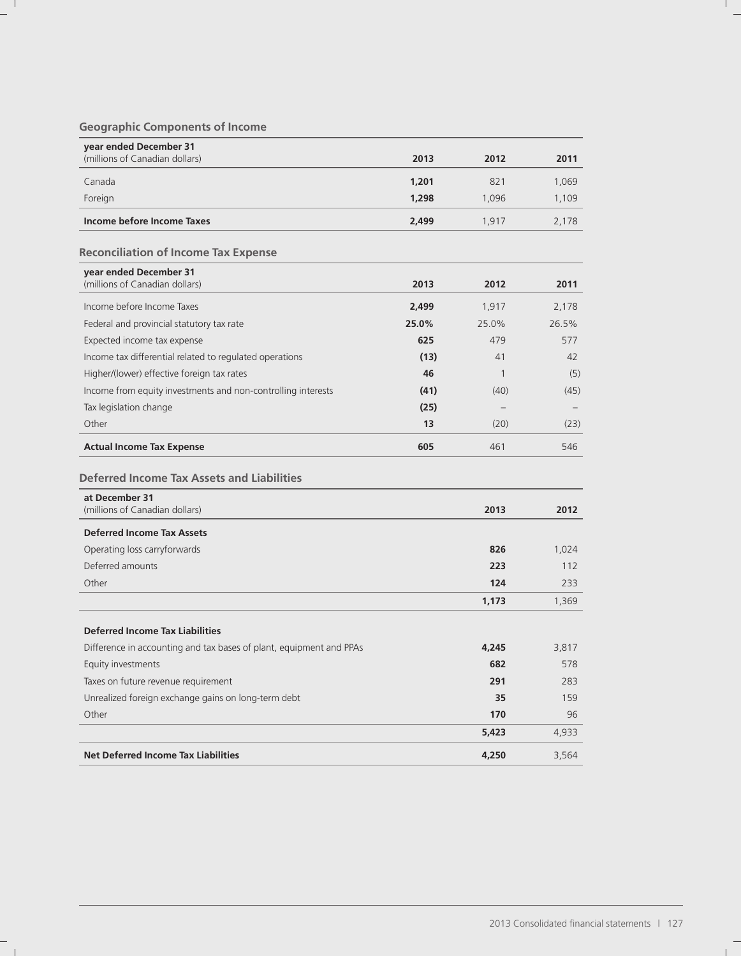# **Geographic Components of Income**

| year ended December 31<br>(millions of Canadian dollars) | 2013  | 2012  | 2011  |
|----------------------------------------------------------|-------|-------|-------|
| Canada                                                   | 1,201 | 821   | 1,069 |
| Foreign                                                  | 1,298 | 1.096 | 1.109 |
| Income before Income Taxes                               | 2,499 | 1.917 | 2.178 |

# **Reconciliation of Income Tax Expense**

| year ended December 31<br>(millions of Canadian dollars)     | 2013  | 2012  | 2011  |
|--------------------------------------------------------------|-------|-------|-------|
| Income before Income Taxes                                   | 2,499 | 1,917 | 2,178 |
| Federal and provincial statutory tax rate                    | 25.0% | 25.0% | 26.5% |
| Expected income tax expense                                  | 625   | 479   | 577   |
| Income tax differential related to regulated operations      | (13)  | 41    | 42    |
| Higher/(lower) effective foreign tax rates                   | 46    |       | (5)   |
| Income from equity investments and non-controlling interests | (41)  | (40)  | (45)  |
| Tax legislation change                                       | (25)  |       |       |
| Other                                                        | 13    | (20)  | (23)  |
| <b>Actual Income Tax Expense</b>                             | 605   | 461   | 546   |

### **Deferred Income Tax Assets and Liabilities**

| at December 31                                                      |       |       |
|---------------------------------------------------------------------|-------|-------|
| (millions of Canadian dollars)                                      | 2013  | 2012  |
| <b>Deferred Income Tax Assets</b>                                   |       |       |
| Operating loss carryforwards                                        | 826   | 1,024 |
| Deferred amounts                                                    | 223   | 112   |
| Other                                                               | 124   | 233   |
|                                                                     | 1,173 | 1,369 |
|                                                                     |       |       |
| <b>Deferred Income Tax Liabilities</b>                              |       |       |
| Difference in accounting and tax bases of plant, equipment and PPAs | 4,245 | 3,817 |
| Equity investments                                                  | 682   | 578   |
| Taxes on future revenue requirement                                 | 291   | 283   |
| Unrealized foreign exchange gains on long-term debt                 | 35    | 159   |
| Other                                                               | 170   | 96    |
|                                                                     | 5,423 | 4,933 |
| <b>Net Deferred Income Tax Liabilities</b>                          | 4,250 | 3,564 |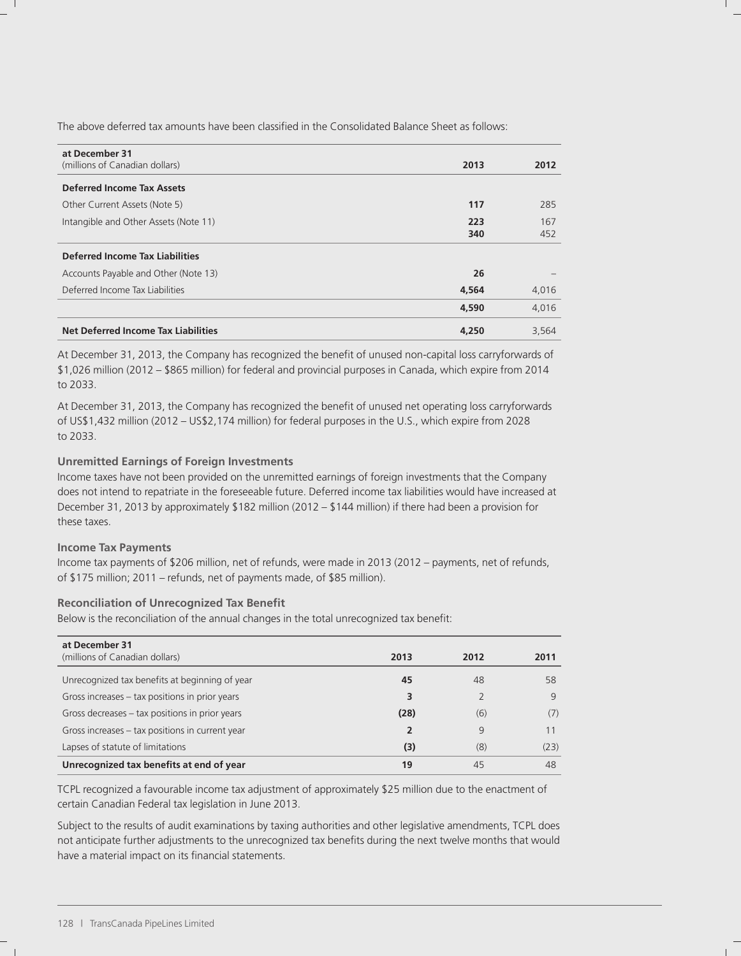The above deferred tax amounts have been classified in the Consolidated Balance Sheet as follows:

| at December 31<br>(millions of Canadian dollars) | 2013       | 2012       |
|--------------------------------------------------|------------|------------|
| <b>Deferred Income Tax Assets</b>                |            |            |
| Other Current Assets (Note 5)                    | 117        | 285        |
| Intangible and Other Assets (Note 11)            | 223<br>340 | 167<br>452 |
| <b>Deferred Income Tax Liabilities</b>           |            |            |
| Accounts Payable and Other (Note 13)             | 26         |            |
| Deferred Income Tax Liabilities                  | 4,564      | 4,016      |
|                                                  | 4,590      | 4,016      |
| <b>Net Deferred Income Tax Liabilities</b>       | 4,250      | 3,564      |

At December 31, 2013, the Company has recognized the benefit of unused non-capital loss carryforwards of \$1,026 million (2012 – \$865 million) for federal and provincial purposes in Canada, which expire from 2014 to 2033.

At December 31, 2013, the Company has recognized the benefit of unused net operating loss carryforwards of US\$1,432 million (2012 – US\$2,174 million) for federal purposes in the U.S., which expire from 2028 to 2033.

### **Unremitted Earnings of Foreign Investments**

Income taxes have not been provided on the unremitted earnings of foreign investments that the Company does not intend to repatriate in the foreseeable future. Deferred income tax liabilities would have increased at December 31, 2013 by approximately \$182 million (2012 – \$144 million) if there had been a provision for these taxes.

### **Income Tax Payments**

Income tax payments of \$206 million, net of refunds, were made in 2013 (2012 – payments, net of refunds, of \$175 million; 2011 – refunds, net of payments made, of \$85 million).

### **Reconciliation of Unrecognized Tax Benefit**

Below is the reconciliation of the annual changes in the total unrecognized tax benefit:

| at December 31<br>(millions of Canadian dollars) | 2013 | 2012 | 2011 |
|--------------------------------------------------|------|------|------|
| Unrecognized tax benefits at beginning of year   | 45   | 48   | 58   |
| Gross increases - tax positions in prior years   | 3    |      | 9    |
| Gross decreases – tax positions in prior years   | (28) | (6)  | (7)  |
| Gross increases – tax positions in current year  | っ    | 9    |      |
| Lapses of statute of limitations                 | (3)  | (8)  | (23) |
| Unrecognized tax benefits at end of year         | 19   | 45   | 48   |

TCPL recognized a favourable income tax adjustment of approximately \$25 million due to the enactment of certain Canadian Federal tax legislation in June 2013.

Subject to the results of audit examinations by taxing authorities and other legislative amendments, TCPL does not anticipate further adjustments to the unrecognized tax benefits during the next twelve months that would have a material impact on its financial statements.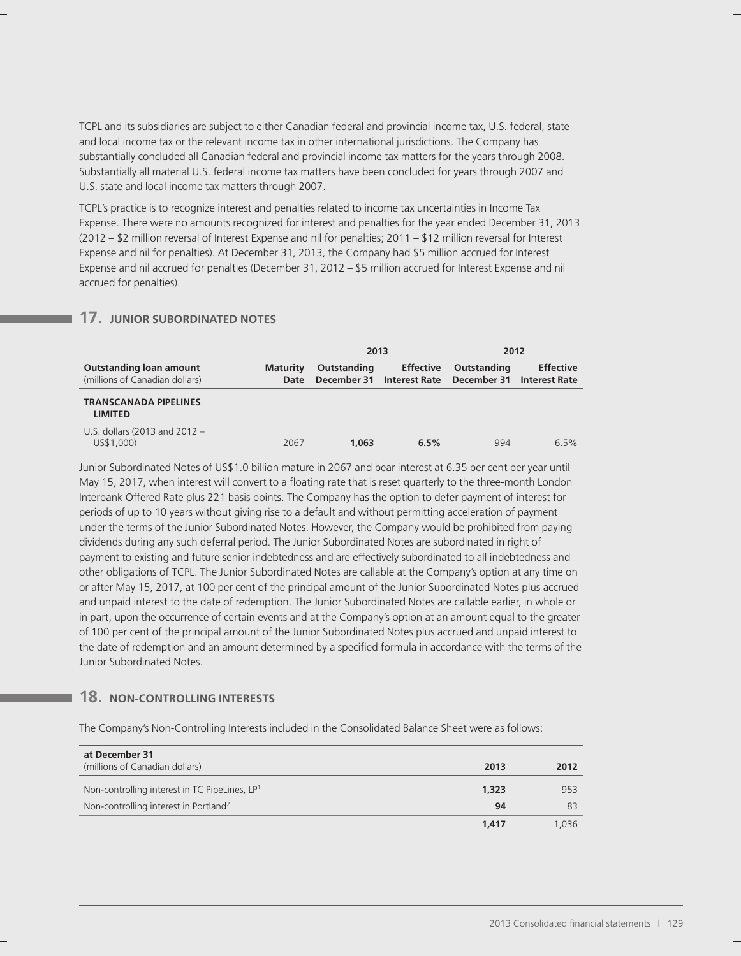TCPL and its subsidiaries are subject to either Canadian federal and provincial income tax, U.S. federal, state and local income tax or the relevant income tax in other international jurisdictions. The Company has substantially concluded all Canadian federal and provincial income tax matters for the years through 2008. Substantially all material U.S. federal income tax matters have been concluded for years through 2007 and U.S. state and local income tax matters through 2007.

TCPL's practice is to recognize interest and penalties related to income tax uncertainties in Income Tax Expense. There were no amounts recognized for interest and penalties for the year ended December 31, 2013 (2012 – \$2 million reversal of Interest Expense and nil for penalties; 2011 – \$12 million reversal for Interest Expense and nil for penalties). At December 31, 2013, the Company had \$5 million accrued for Interest Expense and nil accrued for penalties (December 31, 2012 – \$5 million accrued for Interest Expense and nil accrued for penalties).

## **17. JUNIOR SUBORDINATED NOTES**

|                                                                  |                         | 2013        |                                                           | 2012        |                                          |
|------------------------------------------------------------------|-------------------------|-------------|-----------------------------------------------------------|-------------|------------------------------------------|
| <b>Outstanding loan amount</b><br>(millions of Canadian dollars) | <b>Maturity</b><br>Date | Outstanding | <b>Effective</b><br>December 31 Interest Rate December 31 | Outstanding | <b>Effective</b><br><b>Interest Rate</b> |
| <b>TRANSCANADA PIPELINES</b><br><b>LIMITED</b>                   |                         |             |                                                           |             |                                          |
| U.S. dollars (2013 and 2012 $-$<br>US\$1,000)                    | 2067                    | 1.063       | 6.5%                                                      | 994         | 6.5%                                     |

Junior Subordinated Notes of US\$1.0 billion mature in 2067 and bear interest at 6.35 per cent per year until May 15, 2017, when interest will convert to a floating rate that is reset quarterly to the three-month London Interbank Offered Rate plus 221 basis points. The Company has the option to defer payment of interest for periods of up to 10 years without giving rise to a default and without permitting acceleration of payment under the terms of the Junior Subordinated Notes. However, the Company would be prohibited from paying dividends during any such deferral period. The Junior Subordinated Notes are subordinated in right of payment to existing and future senior indebtedness and are effectively subordinated to all indebtedness and other obligations of TCPL. The Junior Subordinated Notes are callable at the Company's option at any time on or after May 15, 2017, at 100 per cent of the principal amount of the Junior Subordinated Notes plus accrued and unpaid interest to the date of redemption. The Junior Subordinated Notes are callable earlier, in whole or in part, upon the occurrence of certain events and at the Company's option at an amount equal to the greater of 100 per cent of the principal amount of the Junior Subordinated Notes plus accrued and unpaid interest to the date of redemption and an amount determined by a specified formula in accordance with the terms of the Junior Subordinated Notes.

## **18. NON-CONTROLLING INTERESTS**

The Company's Non-Controlling Interests included in the Consolidated Balance Sheet were as follows:

| at December 31<br>(millions of Canadian dollars)  | 2013  | 2012  |
|---------------------------------------------------|-------|-------|
| Non-controlling interest in TC PipeLines, LP1     | 1,323 | 953   |
| Non-controlling interest in Portland <sup>2</sup> | 94    | 83    |
|                                                   | 1.417 | 1.036 |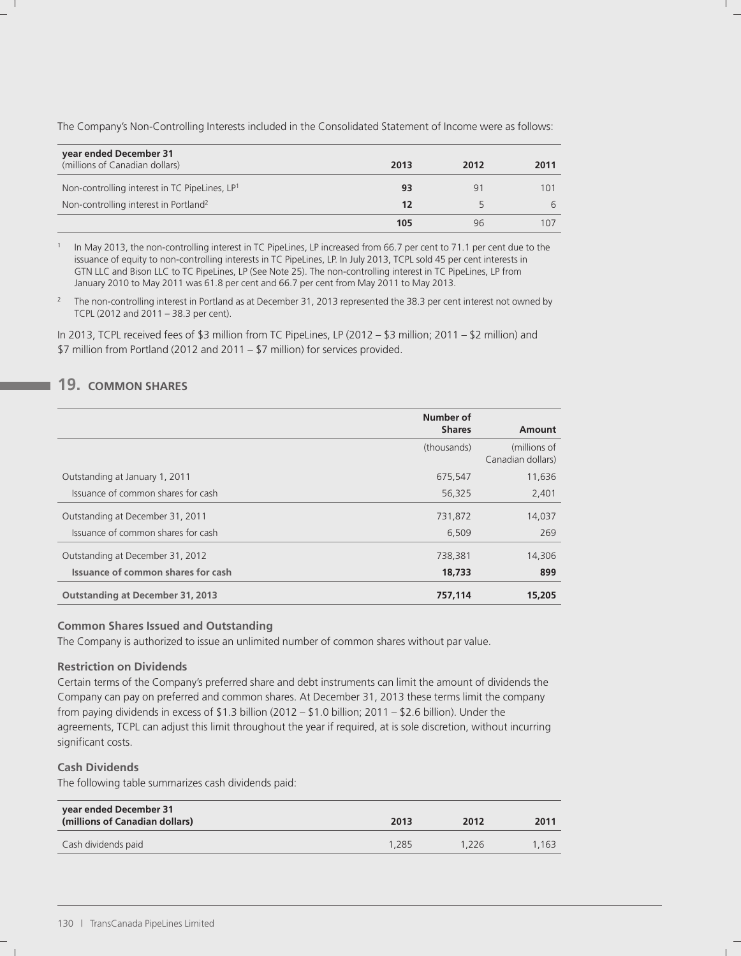The Company's Non-Controlling Interests included in the Consolidated Statement of Income were as follows:

| year ended December 31<br>(millions of Canadian dollars)  | 2013 | 2012 | 2011 |
|-----------------------------------------------------------|------|------|------|
| Non-controlling interest in TC PipeLines, LP <sup>1</sup> | 93   | 91   | 101  |
| Non-controlling interest in Portland <sup>2</sup>         | 12   |      | 6    |
|                                                           | 105  | 96   | 107  |

In May 2013, the non-controlling interest in TC PipeLines, LP increased from 66.7 per cent to 71.1 per cent due to the issuance of equity to non-controlling interests in TC PipeLines, LP. In July 2013, TCPL sold 45 per cent interests in GTN LLC and Bison LLC to TC PipeLines, LP (See Note 25). The non-controlling interest in TC PipeLines, LP from January 2010 to May 2011 was 61.8 per cent and 66.7 per cent from May 2011 to May 2013.

<sup>2</sup> The non-controlling interest in Portland as at December 31, 2013 represented the 38.3 per cent interest not owned by TCPL (2012 and 2011 – 38.3 per cent).

In 2013, TCPL received fees of \$3 million from TC PipeLines, LP (2012 – \$3 million; 2011 – \$2 million) and \$7 million from Portland (2012 and 2011 – \$7 million) for services provided.

## **19. COMMON SHARES**

|                                         | Number of<br><b>Shares</b> | Amount                            |
|-----------------------------------------|----------------------------|-----------------------------------|
|                                         | (thousands)                | (millions of<br>Canadian dollars) |
| Outstanding at January 1, 2011          | 675,547                    | 11,636                            |
| Issuance of common shares for cash      | 56,325                     | 2,401                             |
| Outstanding at December 31, 2011        | 731,872                    | 14,037                            |
| Issuance of common shares for cash      | 6.509                      | 269                               |
| Outstanding at December 31, 2012        | 738,381                    | 14,306                            |
| Issuance of common shares for cash      | 18,733                     | 899                               |
| <b>Outstanding at December 31, 2013</b> | 757,114                    | 15,205                            |

### **Common Shares Issued and Outstanding**

The Company is authorized to issue an unlimited number of common shares without par value.

### **Restriction on Dividends**

Certain terms of the Company's preferred share and debt instruments can limit the amount of dividends the Company can pay on preferred and common shares. At December 31, 2013 these terms limit the company from paying dividends in excess of \$1.3 billion (2012 – \$1.0 billion; 2011 – \$2.6 billion). Under the agreements, TCPL can adjust this limit throughout the year if required, at is sole discretion, without incurring significant costs.

### **Cash Dividends**

The following table summarizes cash dividends paid:

| year ended December 31<br>(millions of Canadian dollars) | 2013  | 2012  | 2011  |
|----------------------------------------------------------|-------|-------|-------|
| Cash dividends paid                                      | 1.285 | 1.226 | 1.163 |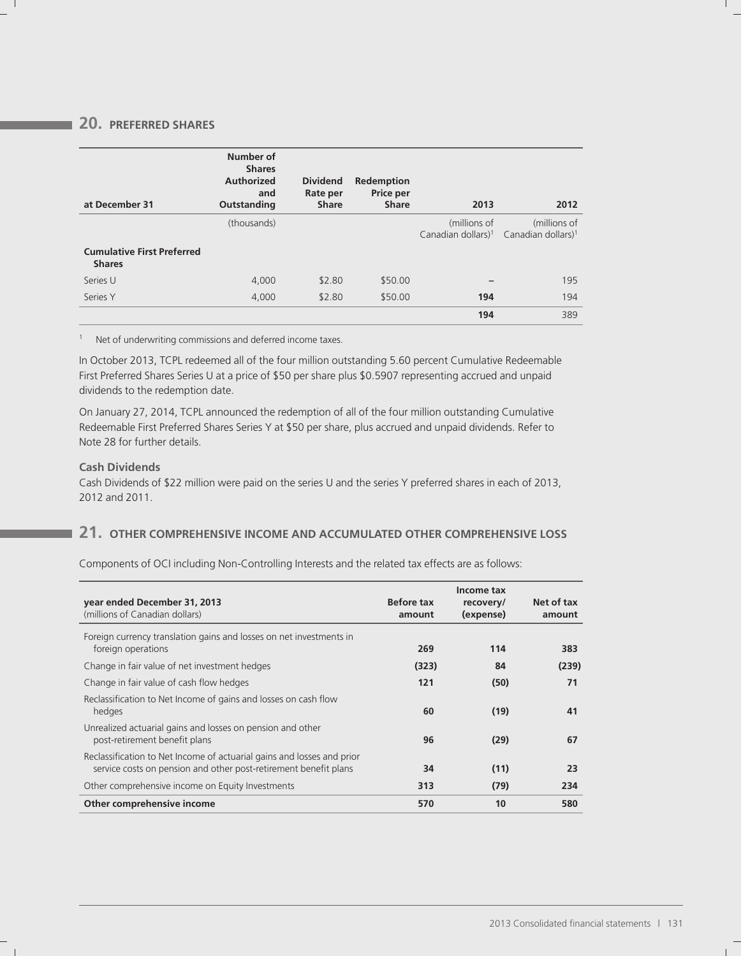# **20. PREFERRED SHARES**

| at December 31                                     | Number of<br><b>Shares</b><br><b>Authorized</b><br>and<br>Outstanding | <b>Dividend</b><br>Rate per<br>Share | Redemption<br><b>Price per</b><br>Share | 2013                                                                          | 2012         |
|----------------------------------------------------|-----------------------------------------------------------------------|--------------------------------------|-----------------------------------------|-------------------------------------------------------------------------------|--------------|
|                                                    | (thousands)                                                           |                                      |                                         | (millions of<br>Canadian dollars) <sup>1</sup> Canadian dollars) <sup>1</sup> | (millions of |
| <b>Cumulative First Preferred</b><br><b>Shares</b> |                                                                       |                                      |                                         |                                                                               |              |
| Series U                                           | 4.000                                                                 | \$2.80                               | \$50.00                                 |                                                                               | 195          |
| Series Y                                           | 4.000                                                                 | \$2.80                               | \$50.00                                 | 194                                                                           | 194          |
|                                                    |                                                                       |                                      |                                         | 194                                                                           | 389          |

<sup>1</sup> Net of underwriting commissions and deferred income taxes.

In October 2013, TCPL redeemed all of the four million outstanding 5.60 percent Cumulative Redeemable First Preferred Shares Series U at a price of \$50 per share plus \$0.5907 representing accrued and unpaid dividends to the redemption date.

On January 27, 2014, TCPL announced the redemption of all of the four million outstanding Cumulative Redeemable First Preferred Shares Series Y at \$50 per share, plus accrued and unpaid dividends. Refer to Note 28 for further details.

### **Cash Dividends**

Cash Dividends of \$22 million were paid on the series U and the series Y preferred shares in each of 2013, 2012 and 2011.

## **21. OTHER COMPREHENSIVE INCOME AND ACCUMULATED OTHER COMPREHENSIVE LOSS**

Components of OCI including Non-Controlling Interests and the related tax effects are as follows:

| year ended December 31, 2013<br>(millions of Canadian dollars)                                                                             | <b>Before tax</b><br>amount | Income tax<br>recovery/<br>(expense) | Net of tax<br>amount |
|--------------------------------------------------------------------------------------------------------------------------------------------|-----------------------------|--------------------------------------|----------------------|
| Foreign currency translation gains and losses on net investments in<br>foreign operations                                                  | 269                         | 114                                  | 383                  |
| Change in fair value of net investment hedges                                                                                              | (323)                       | 84                                   | (239)                |
| Change in fair value of cash flow hedges                                                                                                   | 121                         | (50)                                 | 71                   |
| Reclassification to Net Income of gains and losses on cash flow<br>hedges                                                                  | 60                          | (19)                                 | 41                   |
| Unrealized actuarial gains and losses on pension and other<br>post-retirement benefit plans                                                | 96                          | (29)                                 | 67                   |
| Reclassification to Net Income of actuarial gains and losses and prior<br>service costs on pension and other post-retirement benefit plans | 34                          | (11)                                 | 23                   |
| Other comprehensive income on Equity Investments                                                                                           | 313                         | (79)                                 | 234                  |
| Other comprehensive income                                                                                                                 | 570                         | 10                                   | 580                  |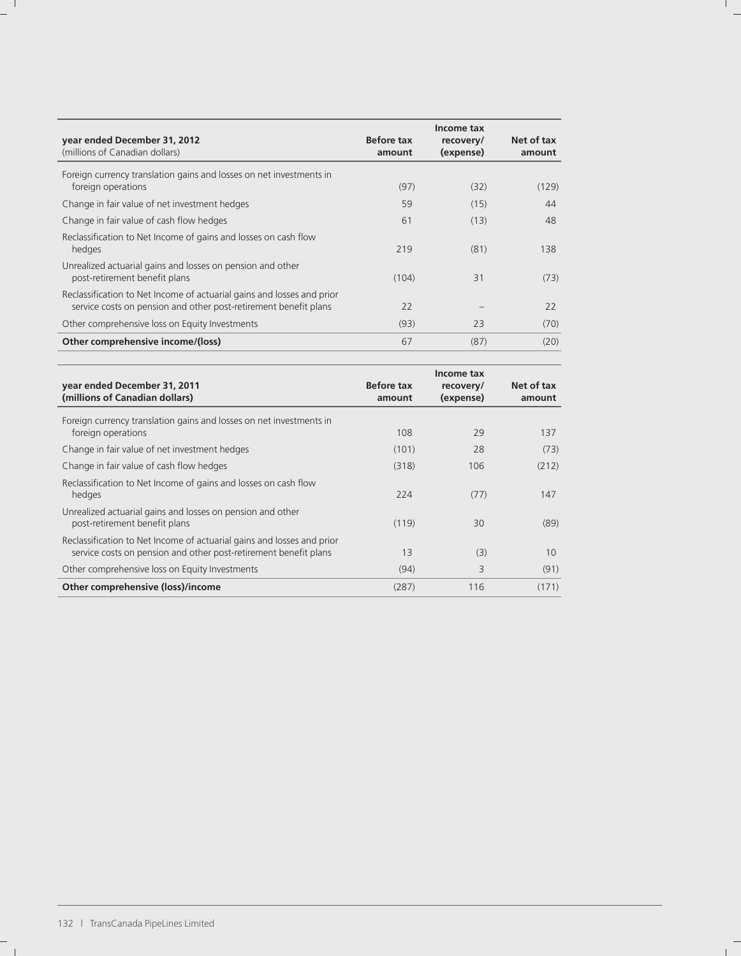| year ended December 31, 2012<br>(millions of Canadian dollars)                                                                             | <b>Before tax</b><br>amount | Income tax<br>recovery/<br>(expense) | Net of tax<br>amount |
|--------------------------------------------------------------------------------------------------------------------------------------------|-----------------------------|--------------------------------------|----------------------|
| Foreign currency translation gains and losses on net investments in<br>foreign operations                                                  | (97)                        | (32)                                 | (129)                |
| Change in fair value of net investment hedges                                                                                              | 59                          | (15)                                 | 44                   |
| Change in fair value of cash flow hedges                                                                                                   | 61                          | (13)                                 | 48                   |
| Reclassification to Net Income of gains and losses on cash flow<br>hedges                                                                  | 219                         | (81)                                 | 138                  |
| Unrealized actuarial gains and losses on pension and other<br>post-retirement benefit plans                                                | (104)                       | 31                                   | (73)                 |
| Reclassification to Net Income of actuarial gains and losses and prior<br>service costs on pension and other post-retirement benefit plans | 22                          |                                      | 22                   |
| Other comprehensive loss on Equity Investments                                                                                             | (93)                        | 23                                   | (70)                 |
| Other comprehensive income/(loss)                                                                                                          | 67                          | (87)                                 | (20)                 |
|                                                                                                                                            |                             |                                      |                      |

| year ended December 31, 2011<br>(millions of Canadian dollars)                                                                             | <b>Before tax</b><br>amount | Income tax<br>recovery/<br>(expense) | Net of tax<br>amount |
|--------------------------------------------------------------------------------------------------------------------------------------------|-----------------------------|--------------------------------------|----------------------|
| Foreign currency translation gains and losses on net investments in<br>foreign operations                                                  | 108                         | 29                                   | 137                  |
| Change in fair value of net investment hedges                                                                                              | (101)                       | 28                                   | (73)                 |
| Change in fair value of cash flow hedges                                                                                                   | (318)                       | 106                                  | (212)                |
| Reclassification to Net Income of gains and losses on cash flow<br>hedges                                                                  | 224                         | (77)                                 | 147                  |
| Unrealized actuarial gains and losses on pension and other<br>post-retirement benefit plans                                                | (119)                       | 30                                   | (89)                 |
| Reclassification to Net Income of actuarial gains and losses and prior<br>service costs on pension and other post-retirement benefit plans | 13                          | (3)                                  | 10                   |
| Other comprehensive loss on Equity Investments                                                                                             | (94)                        | 3                                    | (91)                 |
| Other comprehensive (loss)/income                                                                                                          | (287)                       | 116                                  | (171)                |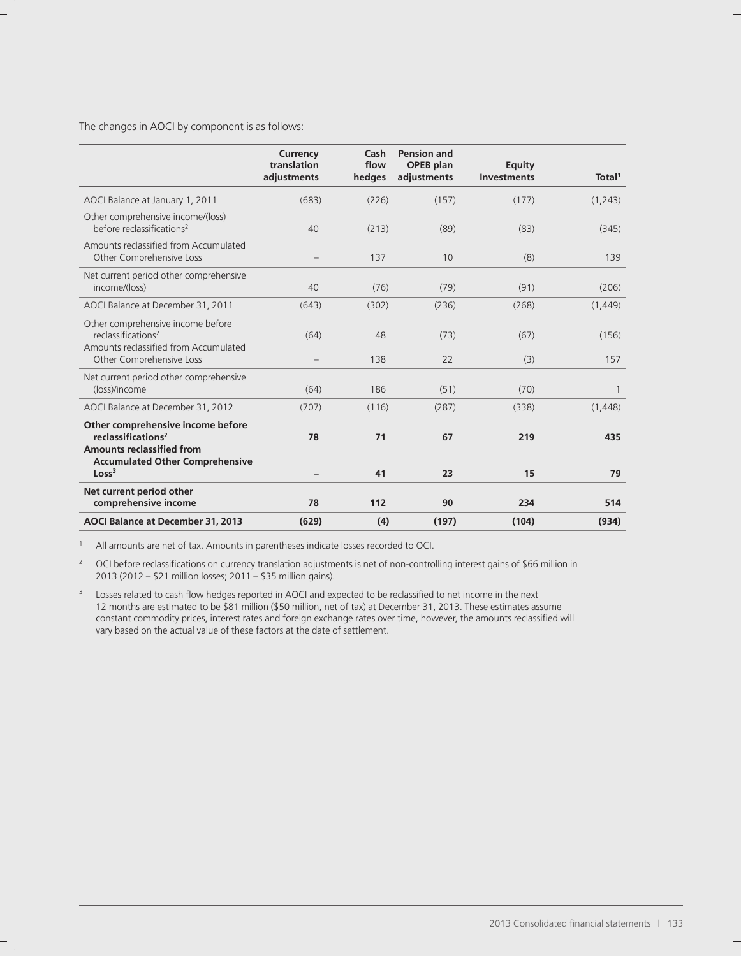The changes in AOCI by component is as follows:

|                                                                                                                                                   | Currency<br>translation<br>adjustments | Cash<br>flow<br>hedges | <b>Pension and</b><br><b>OPEB</b> plan<br>adjustments | Equity<br><b>Investments</b> | Total <sup>1</sup> |
|---------------------------------------------------------------------------------------------------------------------------------------------------|----------------------------------------|------------------------|-------------------------------------------------------|------------------------------|--------------------|
| AOCI Balance at January 1, 2011                                                                                                                   | (683)                                  | (226)                  | (157)                                                 | (177)                        | (1,243)            |
| Other comprehensive income/(loss)<br>before reclassifications <sup>2</sup>                                                                        | 40                                     | (213)                  | (89)                                                  | (83)                         | (345)              |
| Amounts reclassified from Accumulated<br>Other Comprehensive Loss                                                                                 | $-$                                    | 137                    | 10                                                    | (8)                          | 139                |
| Net current period other comprehensive<br>income/(loss)                                                                                           | 40                                     | (76)                   | (79)                                                  | (91)                         | (206)              |
| AOCI Balance at December 31, 2011                                                                                                                 | (643)                                  | (302)                  | (236)                                                 | (268)                        | (1,449)            |
| Other comprehensive income before<br>reclassifications <sup>2</sup><br>Amounts reclassified from Accumulated                                      | (64)                                   | 48                     | (73)                                                  | (67)                         | (156)              |
| Other Comprehensive Loss                                                                                                                          | $\overline{\phantom{0}}$               | 138                    | 22                                                    | (3)                          | 157                |
| Net current period other comprehensive<br>(loss)/income                                                                                           | (64)                                   | 186                    | (51)                                                  | (70)                         | 1                  |
| AOCI Balance at December 31, 2012                                                                                                                 | (707)                                  | (116)                  | (287)                                                 | (338)                        | (1,448)            |
| Other comprehensive income before<br>reclassifications <sup>2</sup><br><b>Amounts reclassified from</b><br><b>Accumulated Other Comprehensive</b> | 78                                     | 71                     | 67                                                    | 219                          | 435                |
| Loss <sup>3</sup>                                                                                                                                 | -                                      | 41                     | 23                                                    | 15                           | 79                 |
| Net current period other<br>comprehensive income                                                                                                  | 78                                     | 112                    | 90                                                    | 234                          | 514                |
| AOCI Balance at December 31, 2013                                                                                                                 | (629)                                  | (4)                    | (197)                                                 | (104)                        | (934)              |

All amounts are net of tax. Amounts in parentheses indicate losses recorded to OCI.

<sup>2</sup> OCI before reclassifications on currency translation adjustments is net of non-controlling interest gains of \$66 million in 2013 (2012 – \$21 million losses; 2011 – \$35 million gains).

<sup>3</sup> Losses related to cash flow hedges reported in AOCI and expected to be reclassified to net income in the next 12 months are estimated to be \$81 million (\$50 million, net of tax) at December 31, 2013. These estimates assume constant commodity prices, interest rates and foreign exchange rates over time, however, the amounts reclassified will vary based on the actual value of these factors at the date of settlement.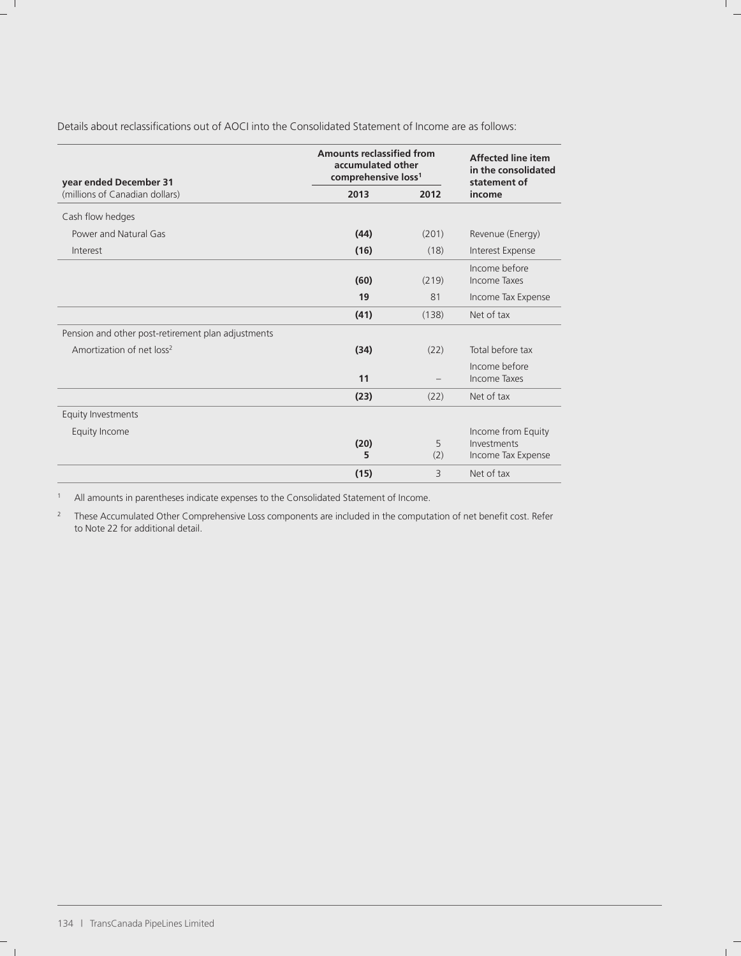Details about reclassifications out of AOCI into the Consolidated Statement of Income are as follows:

| year ended December 31                             |      | <b>Amounts reclassified from</b><br>accumulated other<br>comprehensive loss <sup>1</sup> |                                   |
|----------------------------------------------------|------|------------------------------------------------------------------------------------------|-----------------------------------|
| (millions of Canadian dollars)                     | 2013 | 2012                                                                                     | statement of<br>income            |
| Cash flow hedges                                   |      |                                                                                          |                                   |
| Power and Natural Gas                              | (44) | (201)                                                                                    | Revenue (Energy)                  |
| Interest                                           | (16) | (18)                                                                                     | Interest Expense                  |
|                                                    | (60) | (219)                                                                                    | Income before<br>Income Taxes     |
|                                                    | 19   | 81                                                                                       | Income Tax Expense                |
|                                                    | (41) | (138)                                                                                    | Net of tax                        |
| Pension and other post-retirement plan adjustments |      |                                                                                          |                                   |
| Amortization of net loss <sup>2</sup>              | (34) | (22)                                                                                     | Total before tax                  |
|                                                    | 11   |                                                                                          | Income before<br>Income Taxes     |
|                                                    | (23) | (22)                                                                                     | Net of tax                        |
| Equity Investments                                 |      |                                                                                          |                                   |
| Equity Income                                      | (20) | 5                                                                                        | Income from Equity<br>Investments |
|                                                    | 5    | (2)                                                                                      | Income Tax Expense                |
|                                                    | (15) | 3                                                                                        | Net of tax                        |

<sup>1</sup> All amounts in parentheses indicate expenses to the Consolidated Statement of Income.

<sup>2</sup> These Accumulated Other Comprehensive Loss components are included in the computation of net benefit cost. Refer to Note 22 for additional detail.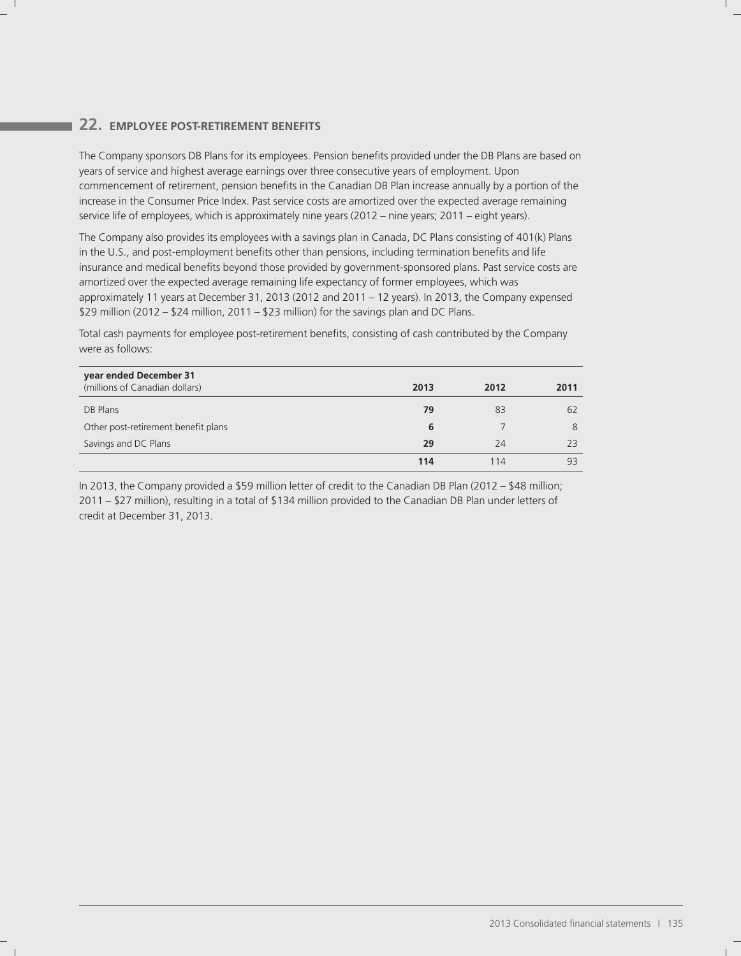# **22. EMPLOYEE POST-RETIREMENT BENEFITS**

The Company sponsors DB Plans for its employees. Pension benefits provided under the DB Plans are based on years of service and highest average earnings over three consecutive years of employment. Upon commencement of retirement, pension benefits in the Canadian DB Plan increase annually by a portion of the increase in the Consumer Price Index. Past service costs are amortized over the expected average remaining service life of employees, which is approximately nine years (2012 – nine years; 2011 – eight years).

The Company also provides its employees with a savings plan in Canada, DC Plans consisting of 401(k) Plans in the U.S., and post-employment benefits other than pensions, including termination benefits and life insurance and medical benefits beyond those provided by government-sponsored plans. Past service costs are amortized over the expected average remaining life expectancy of former employees, which was approximately 11 years at December 31, 2013 (2012 and 2011 – 12 years). In 2013, the Company expensed \$29 million (2012 – \$24 million, 2011 – \$23 million) for the savings plan and DC Plans.

Total cash payments for employee post-retirement benefits, consisting of cash contributed by the Company were as follows:

| year ended December 31<br>(millions of Canadian dollars) | 2013 | 2012 | 2011 |
|----------------------------------------------------------|------|------|------|
| DB Plans                                                 | 79   | -83  | 62   |
| Other post-retirement benefit plans                      | 6    |      | 8    |
| Savings and DC Plans                                     | 29   | 24   |      |
|                                                          | 114  | 114  | 93   |

In 2013, the Company provided a \$59 million letter of credit to the Canadian DB Plan (2012 – \$48 million; 2011 – \$27 million), resulting in a total of \$134 million provided to the Canadian DB Plan under letters of credit at December 31, 2013.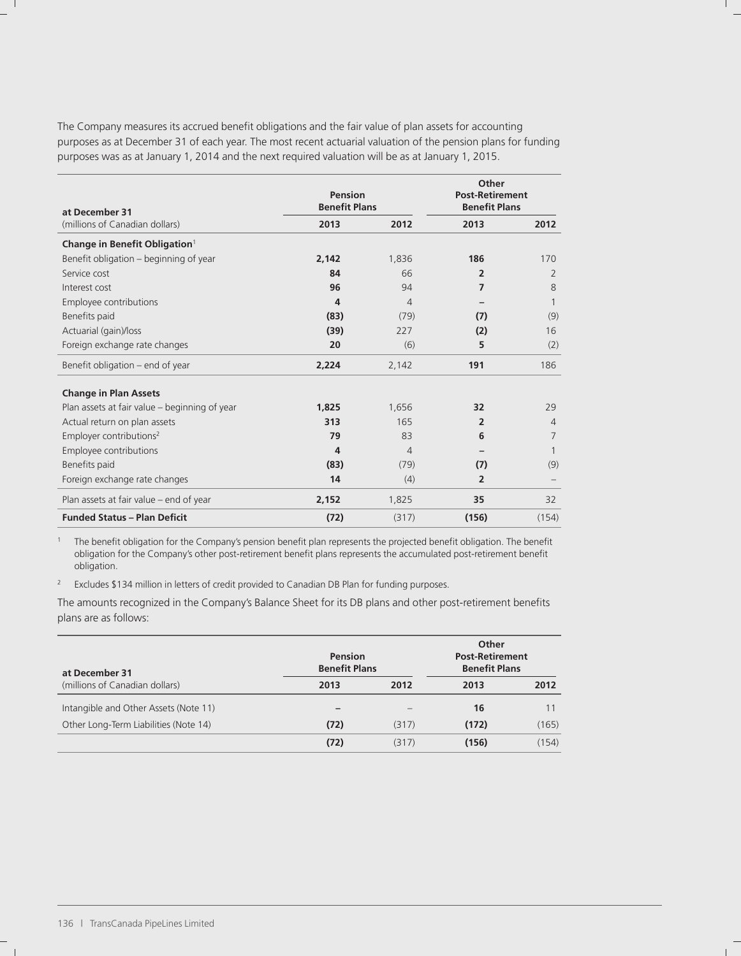The Company measures its accrued benefit obligations and the fair value of plan assets for accounting purposes as at December 31 of each year. The most recent actuarial valuation of the pension plans for funding purposes was as at January 1, 2014 and the next required valuation will be as at January 1, 2015.

| at December 31                                | <b>Pension</b><br><b>Benefit Plans</b> |       | Other<br><b>Post-Retirement</b><br><b>Benefit Plans</b> |                |
|-----------------------------------------------|----------------------------------------|-------|---------------------------------------------------------|----------------|
| (millions of Canadian dollars)                | 2013                                   | 2012  | 2013                                                    | 2012           |
| Change in Benefit Obligation <sup>1</sup>     |                                        |       |                                                         |                |
| Benefit obligation - beginning of year        | 2,142                                  | 1,836 | 186                                                     | 170            |
| Service cost                                  | 84                                     | 66    | $\overline{2}$                                          | $\overline{2}$ |
| Interest cost                                 | 96                                     | 94    | 7                                                       | 8              |
| Employee contributions                        | 4                                      | 4     |                                                         | $\mathbf{1}$   |
| Benefits paid                                 | (83)                                   | (79)  | (7)                                                     | (9)            |
| Actuarial (gain)/loss                         | (39)                                   | 227   | (2)                                                     | 16             |
| Foreign exchange rate changes                 | 20                                     | (6)   | 5                                                       | (2)            |
| Benefit obligation - end of year              | 2,224                                  | 2,142 | 191                                                     | 186            |
| <b>Change in Plan Assets</b>                  |                                        |       |                                                         |                |
| Plan assets at fair value – beginning of year | 1,825                                  | 1,656 | 32                                                      | 29             |
| Actual return on plan assets                  | 313                                    | 165   | $\overline{2}$                                          | $\overline{4}$ |
| Employer contributions <sup>2</sup>           | 79                                     | 83    | 6                                                       | 7              |
| Employee contributions                        | 4                                      | 4     |                                                         | 1              |
| Benefits paid                                 | (83)                                   | (79)  | (7)                                                     | (9)            |
| Foreign exchange rate changes                 | 14                                     | (4)   | $\overline{2}$                                          |                |
| Plan assets at fair value – end of year       | 2,152                                  | 1,825 | 35                                                      | 32             |
| <b>Funded Status - Plan Deficit</b>           | (72)                                   | (317) | (156)                                                   | (154)          |

<sup>1</sup> The benefit obligation for the Company's pension benefit plan represents the projected benefit obligation. The benefit obligation for the Company's other post-retirement benefit plans represents the accumulated post-retirement benefit obligation.

<sup>2</sup> Excludes \$134 million in letters of credit provided to Canadian DB Plan for funding purposes.

The amounts recognized in the Company's Balance Sheet for its DB plans and other post-retirement benefits plans are as follows:

| at December 31                        | <b>Pension</b><br><b>Benefit Plans</b> |       | Other<br><b>Post-Retirement</b><br><b>Benefit Plans</b> |       |
|---------------------------------------|----------------------------------------|-------|---------------------------------------------------------|-------|
| (millions of Canadian dollars)        | 2013                                   | 2012  | 2013                                                    | 2012  |
| Intangible and Other Assets (Note 11) |                                        |       | 16                                                      | 11    |
| Other Long-Term Liabilities (Note 14) | (72)                                   | (317) | (172)                                                   | (165) |
|                                       | (72)                                   | (317) | (156)                                                   | (154) |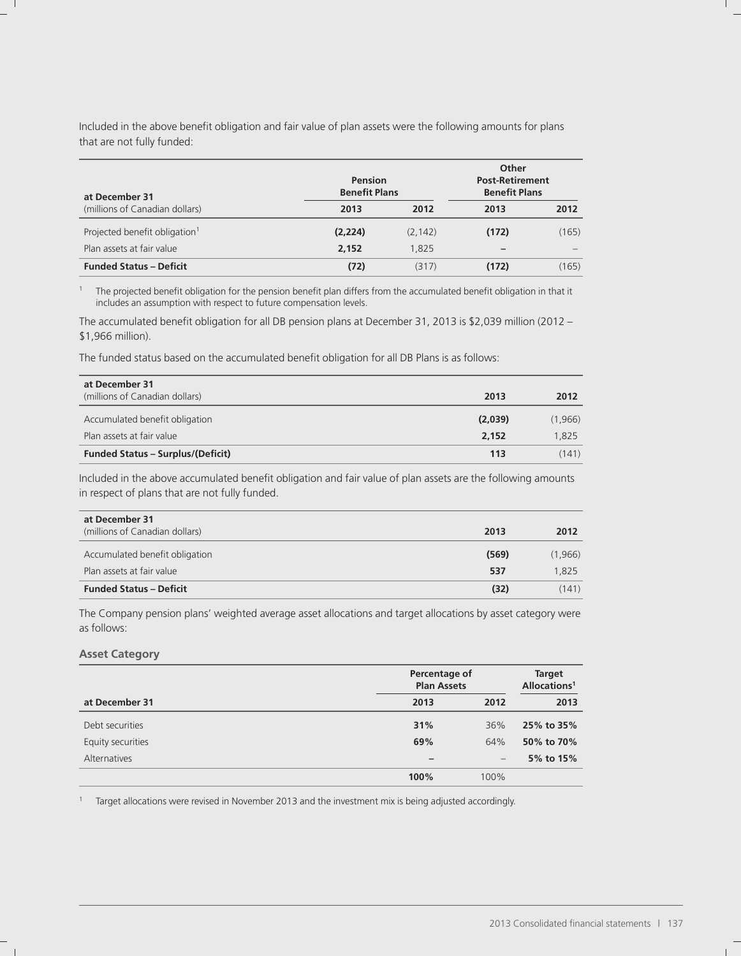Included in the above benefit obligation and fair value of plan assets were the following amounts for plans that are not fully funded:

| at December 31                            | Pension<br><b>Benefit Plans</b> | Other<br><b>Post-Retirement</b><br><b>Benefit Plans</b> |       |       |
|-------------------------------------------|---------------------------------|---------------------------------------------------------|-------|-------|
| (millions of Canadian dollars)            | 2013                            | 2012                                                    | 2013  | 2012  |
| Projected benefit obligation <sup>1</sup> | (2, 224)                        | (2, 142)                                                | (172) | (165) |
| Plan assets at fair value                 | 2.152                           | 1.825                                                   |       |       |
| <b>Funded Status - Deficit</b>            | (72)                            | (317)                                                   | (172) | (165) |

<sup>1</sup> The projected benefit obligation for the pension benefit plan differs from the accumulated benefit obligation in that it includes an assumption with respect to future compensation levels.

The accumulated benefit obligation for all DB pension plans at December 31, 2013 is \$2,039 million (2012 – \$1,966 million).

The funded status based on the accumulated benefit obligation for all DB Plans is as follows:

| at December 31<br>(millions of Canadian dollars) | 2013    | 2012    |
|--------------------------------------------------|---------|---------|
| Accumulated benefit obligation                   | (2,039) | (1,966) |
| Plan assets at fair value                        | 2.152   | 1,825   |
| <b>Funded Status - Surplus/(Deficit)</b>         | 113     | (141)   |

Included in the above accumulated benefit obligation and fair value of plan assets are the following amounts in respect of plans that are not fully funded.

| at December 31<br>(millions of Canadian dollars) | 2013  | 2012    |
|--------------------------------------------------|-------|---------|
| Accumulated benefit obligation                   | (569) | (1,966) |
| Plan assets at fair value                        | 537   | 1,825   |
| <b>Funded Status - Deficit</b>                   | (32)  | (141)   |

The Company pension plans' weighted average asset allocations and target allocations by asset category were as follows:

### **Asset Category**

|                     | Percentage of<br><b>Plan Assets</b> | <b>Target</b><br>Allocations <sup>1</sup> |            |
|---------------------|-------------------------------------|-------------------------------------------|------------|
| at December 31      | 2013                                | 2012                                      | 2013       |
| Debt securities     | 31%                                 | 36%                                       | 25% to 35% |
| Equity securities   | 69%                                 | 64%                                       | 50% to 70% |
| <b>Alternatives</b> |                                     | $\qquad \qquad -$                         | 5% to 15%  |
|                     | 100%                                | 100%                                      |            |

Target allocations were revised in November 2013 and the investment mix is being adjusted accordingly.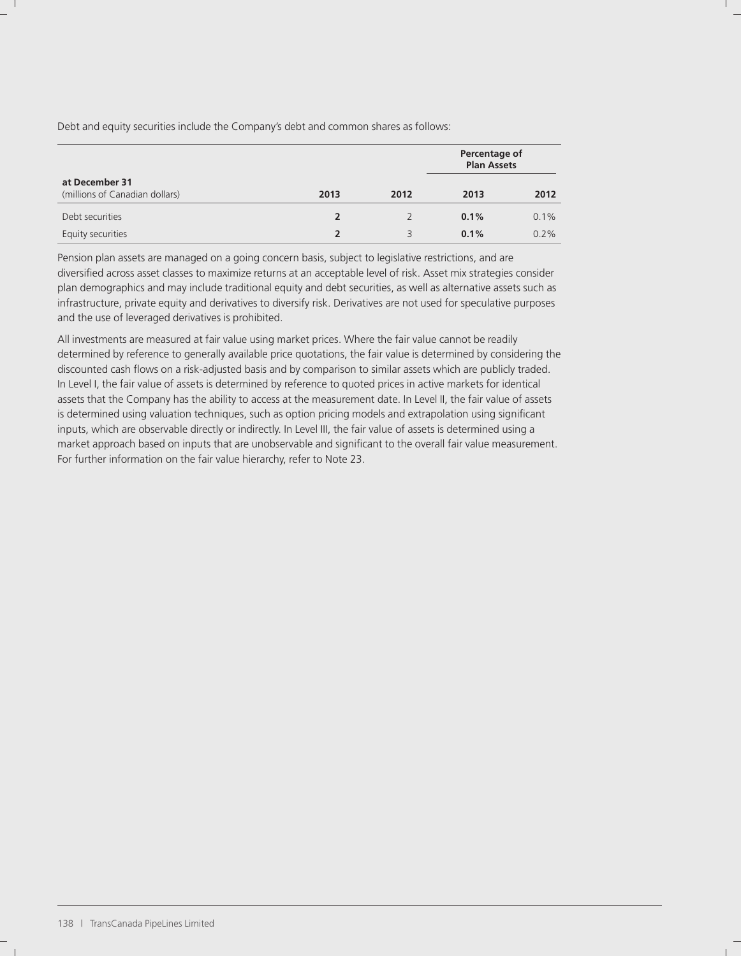Debt and equity securities include the Company's debt and common shares as follows:

|                                                  |                |      | Percentage of<br><b>Plan Assets</b> |      |
|--------------------------------------------------|----------------|------|-------------------------------------|------|
| at December 31<br>(millions of Canadian dollars) | 2013           | 2012 | 2013                                | 2012 |
| Debt securities                                  | $\overline{2}$ |      | 0.1%                                | 0.1% |
| Equity securities                                | <b>C</b>       | 3    | 0.1%                                | 0.2% |

Pension plan assets are managed on a going concern basis, subject to legislative restrictions, and are diversified across asset classes to maximize returns at an acceptable level of risk. Asset mix strategies consider plan demographics and may include traditional equity and debt securities, as well as alternative assets such as infrastructure, private equity and derivatives to diversify risk. Derivatives are not used for speculative purposes and the use of leveraged derivatives is prohibited.

All investments are measured at fair value using market prices. Where the fair value cannot be readily determined by reference to generally available price quotations, the fair value is determined by considering the discounted cash flows on a risk-adjusted basis and by comparison to similar assets which are publicly traded. In Level I, the fair value of assets is determined by reference to quoted prices in active markets for identical assets that the Company has the ability to access at the measurement date. In Level II, the fair value of assets is determined using valuation techniques, such as option pricing models and extrapolation using significant inputs, which are observable directly or indirectly. In Level III, the fair value of assets is determined using a market approach based on inputs that are unobservable and significant to the overall fair value measurement. For further information on the fair value hierarchy, refer to Note 23.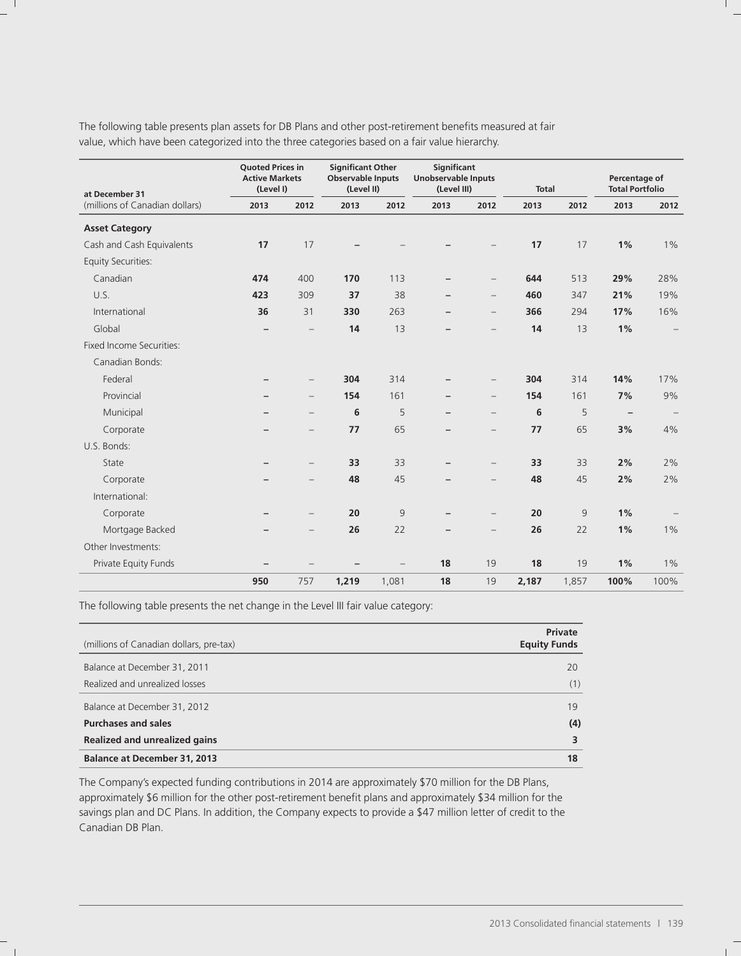The following table presents plan assets for DB Plans and other post-retirement benefits measured at fair value, which have been categorized into the three categories based on a fair value hierarchy.

| at December 31                 | <b>Quoted Prices in</b><br><b>Active Markets</b><br>(Level I) |                          | <b>Significant Other</b><br><b>Observable Inputs</b><br>(Level II) |       | Significant<br><b>Unobservable Inputs</b><br>(Level III) |                          | <b>Total</b> |                | Percentage of<br><b>Total Portfolio</b> |       |
|--------------------------------|---------------------------------------------------------------|--------------------------|--------------------------------------------------------------------|-------|----------------------------------------------------------|--------------------------|--------------|----------------|-----------------------------------------|-------|
| (millions of Canadian dollars) | 2013                                                          | 2012                     | 2013                                                               | 2012  | 2013                                                     | 2012                     | 2013         | 2012           | 2013                                    | 2012  |
| <b>Asset Category</b>          |                                                               |                          |                                                                    |       |                                                          |                          |              |                |                                         |       |
| Cash and Cash Equivalents      | 17                                                            | 17                       |                                                                    |       |                                                          |                          | 17           | 17             | 1%                                      | $1\%$ |
| Equity Securities:             |                                                               |                          |                                                                    |       |                                                          |                          |              |                |                                         |       |
| Canadian                       | 474                                                           | 400                      | 170                                                                | 113   |                                                          | $\overline{\phantom{a}}$ | 644          | 513            | 29%                                     | 28%   |
| U.S.                           | 423                                                           | 309                      | 37                                                                 | 38    |                                                          | $\overline{\phantom{a}}$ | 460          | 347            | 21%                                     | 19%   |
| International                  | 36                                                            | 31                       | 330                                                                | 263   |                                                          | $\overline{\phantom{a}}$ | 366          | 294            | 17%                                     | 16%   |
| Global                         |                                                               |                          | 14                                                                 | 13    |                                                          |                          | 14           | 13             | 1%                                      |       |
| Fixed Income Securities:       |                                                               |                          |                                                                    |       |                                                          |                          |              |                |                                         |       |
| Canadian Bonds:                |                                                               |                          |                                                                    |       |                                                          |                          |              |                |                                         |       |
| Federal                        |                                                               |                          | 304                                                                | 314   |                                                          | $\overline{\phantom{m}}$ | 304          | 314            | 14%                                     | 17%   |
| Provincial                     |                                                               | $\overline{\phantom{0}}$ | 154                                                                | 161   |                                                          | $\overline{\phantom{m}}$ | 154          | 161            | 7%                                      | 9%    |
| Municipal                      |                                                               |                          | $6\phantom{1}6$                                                    | 5     |                                                          | $\overline{\phantom{0}}$ | 6            | 5              | $\overline{\phantom{a}}$                |       |
| Corporate                      |                                                               |                          | 77                                                                 | 65    |                                                          | $-$                      | 77           | 65             | 3%                                      | 4%    |
| U.S. Bonds:                    |                                                               |                          |                                                                    |       |                                                          |                          |              |                |                                         |       |
| State                          |                                                               | $\overline{\phantom{0}}$ | 33                                                                 | 33    |                                                          | $\overline{\phantom{0}}$ | 33           | 33             | 2%                                      | 2%    |
| Corporate                      |                                                               |                          | 48                                                                 | 45    |                                                          | $\overline{\phantom{0}}$ | 48           | 45             | 2%                                      | 2%    |
| International:                 |                                                               |                          |                                                                    |       |                                                          |                          |              |                |                                         |       |
| Corporate                      |                                                               | $\qquad \qquad -$        | 20                                                                 | 9     |                                                          | $\overline{\phantom{m}}$ | 20           | $\overline{9}$ | 1%                                      |       |
| Mortgage Backed                |                                                               |                          | 26                                                                 | 22    |                                                          | $\overline{\phantom{m}}$ | 26           | 22             | 1%                                      | $1\%$ |
| Other Investments:             |                                                               |                          |                                                                    |       |                                                          |                          |              |                |                                         |       |
| Private Equity Funds           |                                                               |                          |                                                                    |       | 18                                                       | 19                       | 18           | 19             | 1%                                      | $1\%$ |
|                                | 950                                                           | 757                      | 1,219                                                              | 1,081 | 18                                                       | 19                       | 2,187        | 1,857          | 100%                                    | 100%  |

The following table presents the net change in the Level III fair value category:

| (millions of Canadian dollars, pre-tax) | Private<br><b>Equity Funds</b> |
|-----------------------------------------|--------------------------------|
| Balance at December 31, 2011            | 20                             |
| Realized and unrealized losses          | (1)                            |
| Balance at December 31, 2012            | 19                             |
| <b>Purchases and sales</b>              | (4)                            |
| <b>Realized and unrealized gains</b>    | 3                              |
| <b>Balance at December 31, 2013</b>     | 18                             |

The Company's expected funding contributions in 2014 are approximately \$70 million for the DB Plans, approximately \$6 million for the other post-retirement benefit plans and approximately \$34 million for the savings plan and DC Plans. In addition, the Company expects to provide a \$47 million letter of credit to the Canadian DB Plan.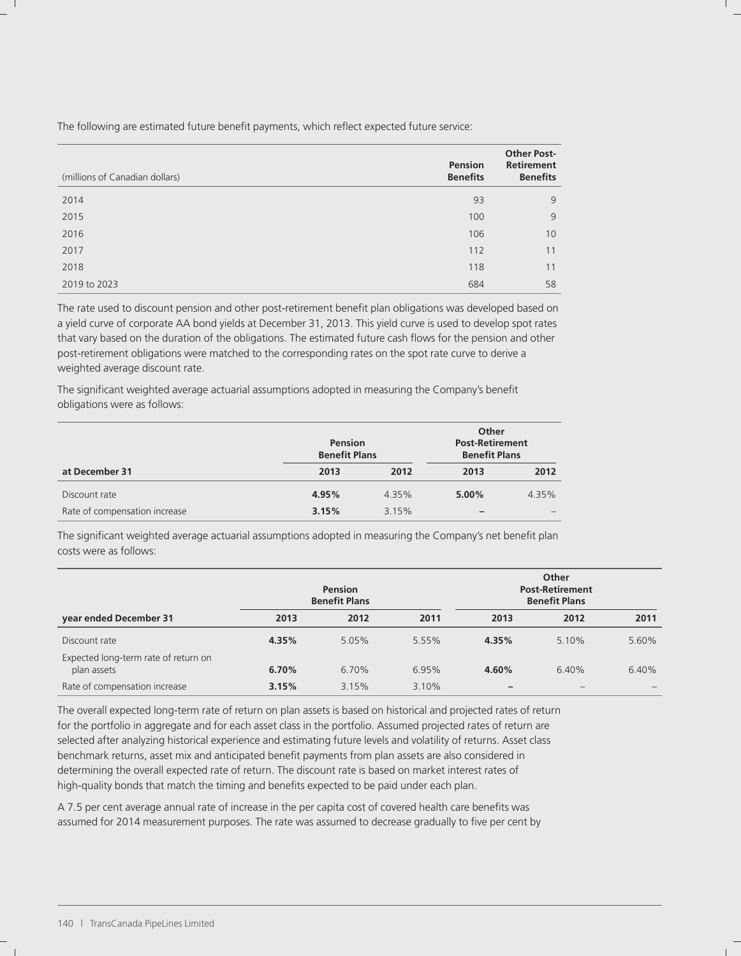The following are estimated future benefit payments, which reflect expected future service:

| (millions of Canadian dollars) | Pension<br><b>Benefits</b> | <b>Other Post-</b><br>Retirement<br><b>Benefits</b> |
|--------------------------------|----------------------------|-----------------------------------------------------|
| 2014                           | 93                         | 9                                                   |
| 2015                           | 100                        | 9                                                   |
| 2016                           | 106                        | 10                                                  |
| 2017                           | 112                        | 11                                                  |
| 2018                           | 118                        | 11                                                  |
| 2019 to 2023                   | 684                        | 58                                                  |

The rate used to discount pension and other post-retirement benefit plan obligations was developed based on a yield curve of corporate AA bond yields at December 31, 2013. This yield curve is used to develop spot rates that vary based on the duration of the obligations. The estimated future cash flows for the pension and other post-retirement obligations were matched to the corresponding rates on the spot rate curve to derive a weighted average discount rate.

The significant weighted average actuarial assumptions adopted in measuring the Company's benefit obligations were as follows:

|                               | Pension<br><b>Benefit Plans</b> |       | Other<br><b>Post-Retirement</b><br><b>Benefit Plans</b> |       |  |
|-------------------------------|---------------------------------|-------|---------------------------------------------------------|-------|--|
| at December 31                | 2013                            | 2012  | 2013                                                    | 2012  |  |
| Discount rate                 | 4.95%                           | 4.35% | 5.00%                                                   | 4.35% |  |
| Rate of compensation increase | 3.15%                           | 3.15% |                                                         |       |  |

The significant weighted average actuarial assumptions adopted in measuring the Company's net benefit plan costs were as follows:

|                                                     | <b>Pension</b><br><b>Benefit Plans</b> |       |       |       | <b>Other</b><br><b>Post-Retirement</b><br><b>Benefit Plans</b> |       |
|-----------------------------------------------------|----------------------------------------|-------|-------|-------|----------------------------------------------------------------|-------|
| year ended December 31                              | 2013                                   | 2012  | 2011  | 2013  | 2012                                                           | 2011  |
| Discount rate                                       | 4.35%                                  | 5.05% | 5.55% | 4.35% | 5.10%                                                          | 5.60% |
| Expected long-term rate of return on<br>plan assets | 6.70%                                  | 6.70% | 6.95% | 4.60% | 6.40%                                                          | 6.40% |
| Rate of compensation increase                       | 3.15%                                  | 3.15% | 3.10% |       |                                                                |       |

The overall expected long-term rate of return on plan assets is based on historical and projected rates of return for the portfolio in aggregate and for each asset class in the portfolio. Assumed projected rates of return are selected after analyzing historical experience and estimating future levels and volatility of returns. Asset class benchmark returns, asset mix and anticipated benefit payments from plan assets are also considered in determining the overall expected rate of return. The discount rate is based on market interest rates of high-quality bonds that match the timing and benefits expected to be paid under each plan.

A 7.5 per cent average annual rate of increase in the per capita cost of covered health care benefits was assumed for 2014 measurement purposes. The rate was assumed to decrease gradually to five per cent by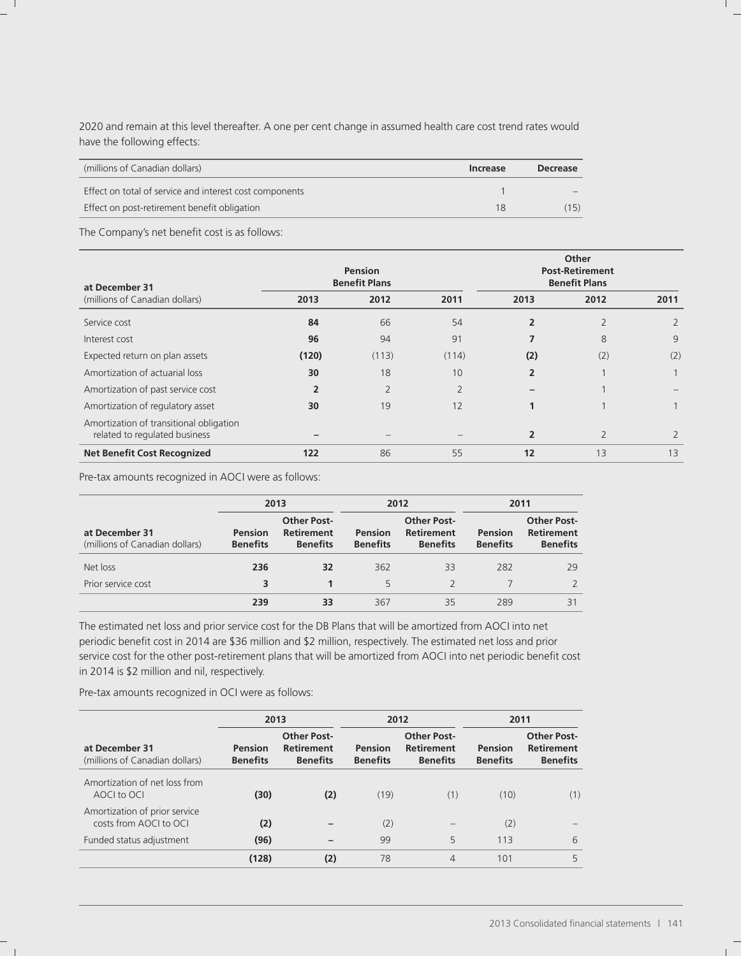2020 and remain at this level thereafter. A one per cent change in assumed health care cost trend rates would have the following effects:

| (millions of Canadian dollars)                          | Increase | <b>Decrease</b> |
|---------------------------------------------------------|----------|-----------------|
| Effect on total of service and interest cost components |          |                 |
| Effect on post-retirement benefit obligation            | 18       | (15)            |

The Company's net benefit cost is as follows:

| at December 31                                                           | <b>Pension</b><br><b>Benefit Plans</b> |                |                | Other<br><b>Post-Retirement</b><br><b>Benefit Plans</b> |      |      |  |
|--------------------------------------------------------------------------|----------------------------------------|----------------|----------------|---------------------------------------------------------|------|------|--|
| (millions of Canadian dollars)                                           | 2013                                   | 2012           | 2011           | 2013                                                    | 2012 | 2011 |  |
| Service cost                                                             | 84                                     | 66             | 54             | 2                                                       |      |      |  |
| Interest cost                                                            | 96                                     | 94             | 91             | 7                                                       | 8    | 9    |  |
| Expected return on plan assets                                           | (120)                                  | (113)          | (114)          | (2)                                                     | (2)  | (2)  |  |
| Amortization of actuarial loss                                           | 30                                     | 18             | 10             | $\overline{2}$                                          |      |      |  |
| Amortization of past service cost                                        | $\overline{2}$                         | $\overline{2}$ | $\overline{2}$ |                                                         |      |      |  |
| Amortization of regulatory asset                                         | 30                                     | 19             | 12             |                                                         |      |      |  |
| Amortization of transitional obligation<br>related to regulated business |                                        |                |                | $\overline{2}$                                          |      |      |  |
| <b>Net Benefit Cost Recognized</b>                                       | 122                                    | 86             | 55             | 12                                                      | 13   | 13   |  |

Pre-tax amounts recognized in AOCI were as follows:

|                                                  | 2013                       |                                                            |                                   | 2012                                                       | 2011                       |                                                            |
|--------------------------------------------------|----------------------------|------------------------------------------------------------|-----------------------------------|------------------------------------------------------------|----------------------------|------------------------------------------------------------|
| at December 31<br>(millions of Canadian dollars) | Pension<br><b>Benefits</b> | <b>Other Post-</b><br><b>Retirement</b><br><b>Benefits</b> | <b>Pension</b><br><b>Benefits</b> | <b>Other Post-</b><br><b>Retirement</b><br><b>Benefits</b> | Pension<br><b>Benefits</b> | <b>Other Post-</b><br><b>Retirement</b><br><b>Benefits</b> |
| Net loss                                         | 236                        | 32                                                         | 362                               | 33                                                         | 282                        | 29                                                         |
| Prior service cost                               | 3                          |                                                            | 5                                 |                                                            |                            |                                                            |
|                                                  | 239                        | 33                                                         | 367                               | 35                                                         | 289                        | 31                                                         |

The estimated net loss and prior service cost for the DB Plans that will be amortized from AOCI into net periodic benefit cost in 2014 are \$36 million and \$2 million, respectively. The estimated net loss and prior service cost for the other post-retirement plans that will be amortized from AOCI into net periodic benefit cost in 2014 is \$2 million and nil, respectively.

Pre-tax amounts recognized in OCI were as follows:

|                                                         | 2013                              |                                                            | 2012                       |                                                            | 2011                       |                                                            |
|---------------------------------------------------------|-----------------------------------|------------------------------------------------------------|----------------------------|------------------------------------------------------------|----------------------------|------------------------------------------------------------|
| at December 31<br>(millions of Canadian dollars)        | <b>Pension</b><br><b>Benefits</b> | <b>Other Post-</b><br><b>Retirement</b><br><b>Benefits</b> | Pension<br><b>Benefits</b> | <b>Other Post-</b><br><b>Retirement</b><br><b>Benefits</b> | Pension<br><b>Benefits</b> | <b>Other Post-</b><br><b>Retirement</b><br><b>Benefits</b> |
| Amortization of net loss from<br>AOCI to OCI            | (30)                              | (2)                                                        | (19)                       | (1)                                                        | (10)                       | (1)                                                        |
| Amortization of prior service<br>costs from AOCI to OCI | (2)                               |                                                            | (2)                        |                                                            | (2)                        |                                                            |
| Funded status adjustment                                | (96)                              |                                                            | 99                         | 5                                                          | 113                        | 6                                                          |
|                                                         | (128)                             | (2)                                                        | 78                         | $\overline{4}$                                             | 101                        | 5                                                          |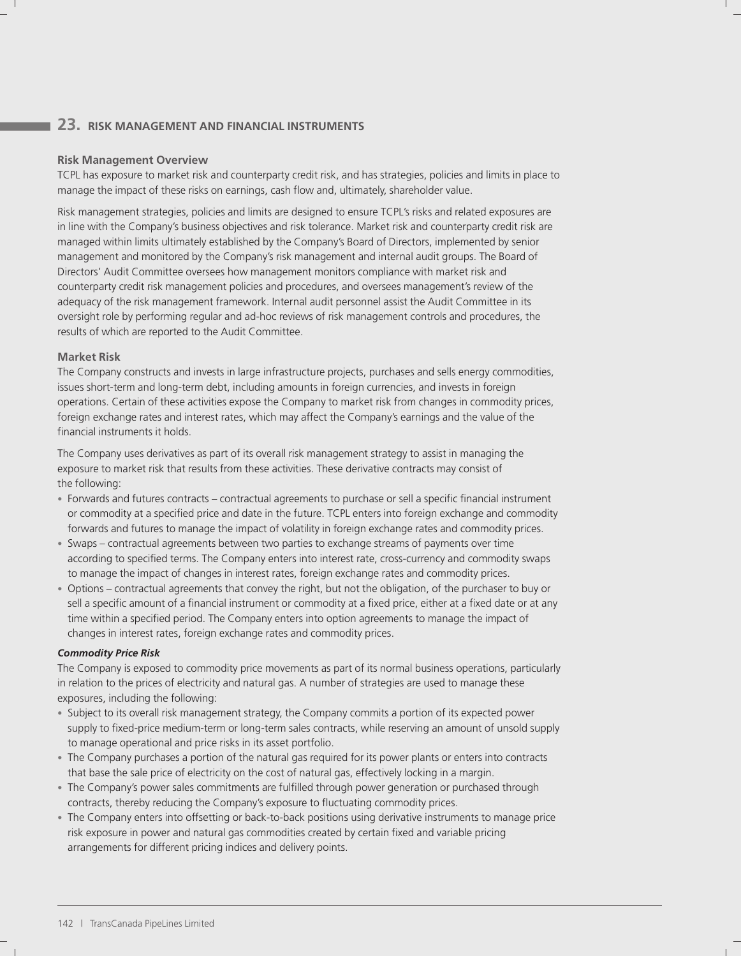### **23. RISK MANAGEMENT AND FINANCIAL INSTRUMENTS**

### **Risk Management Overview**

TCPL has exposure to market risk and counterparty credit risk, and has strategies, policies and limits in place to manage the impact of these risks on earnings, cash flow and, ultimately, shareholder value.

Risk management strategies, policies and limits are designed to ensure TCPL's risks and related exposures are in line with the Company's business objectives and risk tolerance. Market risk and counterparty credit risk are managed within limits ultimately established by the Company's Board of Directors, implemented by senior management and monitored by the Company's risk management and internal audit groups. The Board of Directors' Audit Committee oversees how management monitors compliance with market risk and counterparty credit risk management policies and procedures, and oversees management's review of the adequacy of the risk management framework. Internal audit personnel assist the Audit Committee in its oversight role by performing regular and ad-hoc reviews of risk management controls and procedures, the results of which are reported to the Audit Committee.

### **Market Risk**

The Company constructs and invests in large infrastructure projects, purchases and sells energy commodities, issues short-term and long-term debt, including amounts in foreign currencies, and invests in foreign operations. Certain of these activities expose the Company to market risk from changes in commodity prices, foreign exchange rates and interest rates, which may affect the Company's earnings and the value of the financial instruments it holds.

The Company uses derivatives as part of its overall risk management strategy to assist in managing the exposure to market risk that results from these activities. These derivative contracts may consist of the following:

- Forwards and futures contracts contractual agreements to purchase or sell a specific financial instrument or commodity at a specified price and date in the future. TCPL enters into foreign exchange and commodity forwards and futures to manage the impact of volatility in foreign exchange rates and commodity prices.
- Swaps contractual agreements between two parties to exchange streams of payments over time according to specified terms. The Company enters into interest rate, cross-currency and commodity swaps to manage the impact of changes in interest rates, foreign exchange rates and commodity prices.
- Options contractual agreements that convey the right, but not the obligation, of the purchaser to buy or sell a specific amount of a financial instrument or commodity at a fixed price, either at a fixed date or at any time within a specified period. The Company enters into option agreements to manage the impact of changes in interest rates, foreign exchange rates and commodity prices.

### *Commodity Price Risk*

The Company is exposed to commodity price movements as part of its normal business operations, particularly in relation to the prices of electricity and natural gas. A number of strategies are used to manage these exposures, including the following:

- Subject to its overall risk management strategy, the Company commits a portion of its expected power supply to fixed-price medium-term or long-term sales contracts, while reserving an amount of unsold supply to manage operational and price risks in its asset portfolio.
- The Company purchases a portion of the natural gas required for its power plants or enters into contracts that base the sale price of electricity on the cost of natural gas, effectively locking in a margin.
- The Company's power sales commitments are fulfilled through power generation or purchased through contracts, thereby reducing the Company's exposure to fluctuating commodity prices.
- The Company enters into offsetting or back-to-back positions using derivative instruments to manage price risk exposure in power and natural gas commodities created by certain fixed and variable pricing arrangements for different pricing indices and delivery points.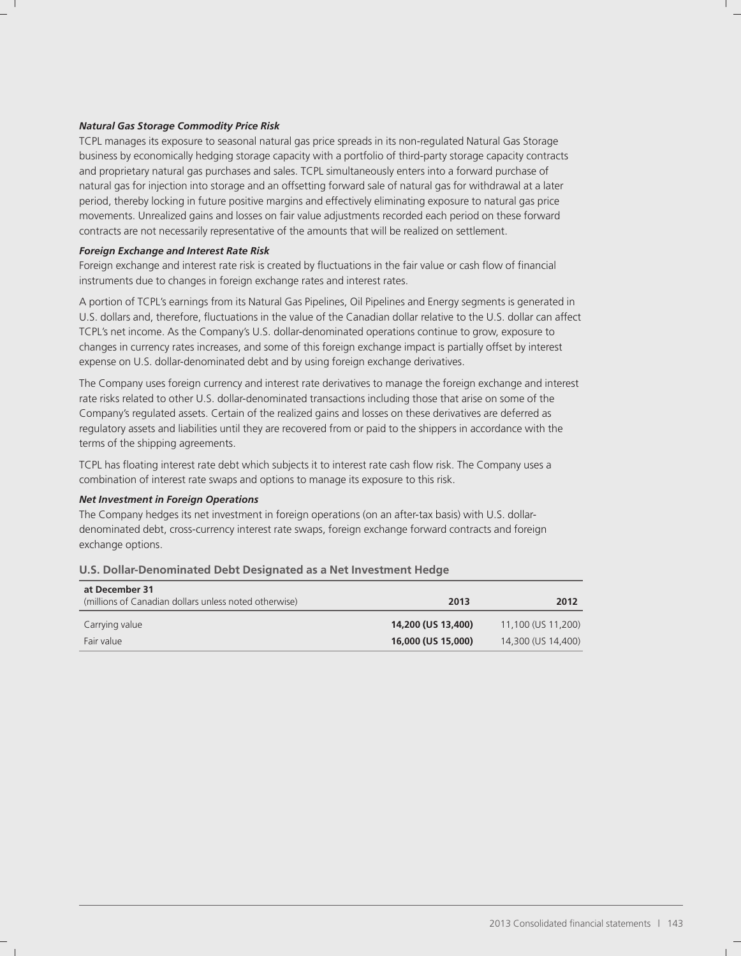### *Natural Gas Storage Commodity Price Risk*

TCPL manages its exposure to seasonal natural gas price spreads in its non-regulated Natural Gas Storage business by economically hedging storage capacity with a portfolio of third-party storage capacity contracts and proprietary natural gas purchases and sales. TCPL simultaneously enters into a forward purchase of natural gas for injection into storage and an offsetting forward sale of natural gas for withdrawal at a later period, thereby locking in future positive margins and effectively eliminating exposure to natural gas price movements. Unrealized gains and losses on fair value adjustments recorded each period on these forward contracts are not necessarily representative of the amounts that will be realized on settlement.

### *Foreign Exchange and Interest Rate Risk*

Foreign exchange and interest rate risk is created by fluctuations in the fair value or cash flow of financial instruments due to changes in foreign exchange rates and interest rates.

A portion of TCPL's earnings from its Natural Gas Pipelines, Oil Pipelines and Energy segments is generated in U.S. dollars and, therefore, fluctuations in the value of the Canadian dollar relative to the U.S. dollar can affect TCPL's net income. As the Company's U.S. dollar-denominated operations continue to grow, exposure to changes in currency rates increases, and some of this foreign exchange impact is partially offset by interest expense on U.S. dollar-denominated debt and by using foreign exchange derivatives.

The Company uses foreign currency and interest rate derivatives to manage the foreign exchange and interest rate risks related to other U.S. dollar-denominated transactions including those that arise on some of the Company's regulated assets. Certain of the realized gains and losses on these derivatives are deferred as regulatory assets and liabilities until they are recovered from or paid to the shippers in accordance with the terms of the shipping agreements.

TCPL has floating interest rate debt which subjects it to interest rate cash flow risk. The Company uses a combination of interest rate swaps and options to manage its exposure to this risk.

### *Net Investment in Foreign Operations*

The Company hedges its net investment in foreign operations (on an after-tax basis) with U.S. dollardenominated debt, cross-currency interest rate swaps, foreign exchange forward contracts and foreign exchange options.

### **U.S. Dollar-Denominated Debt Designated as a Net Investment Hedge**

| at December 31<br>(millions of Canadian dollars unless noted otherwise) | 2013               | 2012               |
|-------------------------------------------------------------------------|--------------------|--------------------|
| Carrying value                                                          | 14,200 (US 13,400) | 11,100 (US 11,200) |
| Fair value                                                              | 16,000 (US 15,000) | 14,300 (US 14,400) |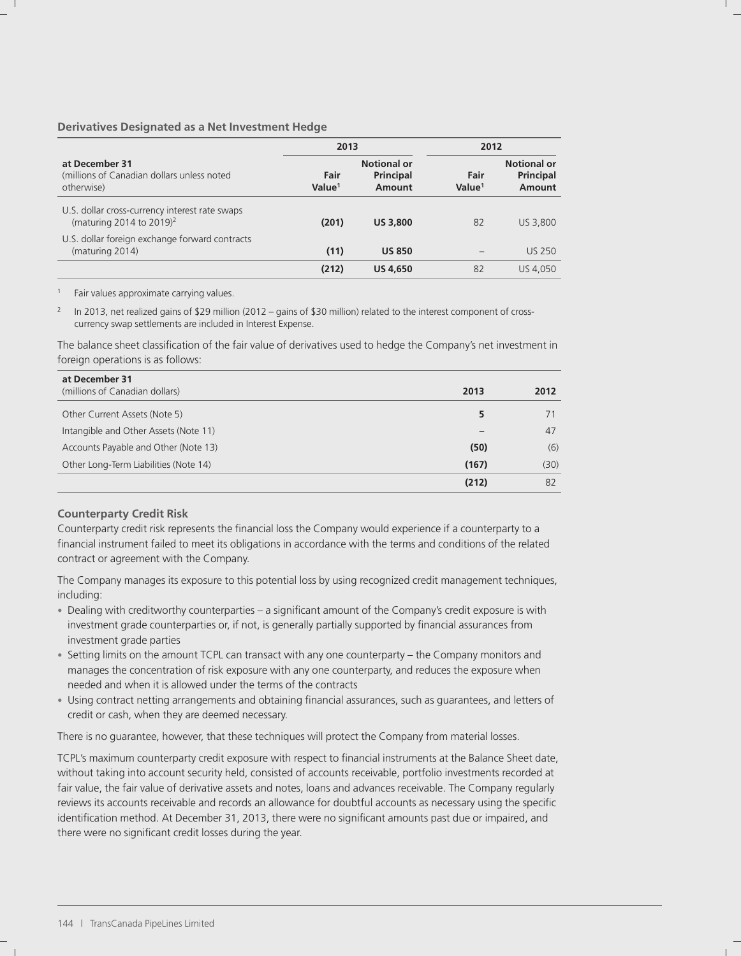### **Derivatives Designated as a Net Investment Hedge**

|                                                                                        | 2013                       |                                           | 2012                       |                                           |
|----------------------------------------------------------------------------------------|----------------------------|-------------------------------------------|----------------------------|-------------------------------------------|
| at December 31<br>(millions of Canadian dollars unless noted<br>otherwise)             | Fair<br>Value <sup>1</sup> | <b>Notional or</b><br>Principal<br>Amount | Fair<br>Value <sup>1</sup> | <b>Notional or</b><br>Principal<br>Amount |
| U.S. dollar cross-currency interest rate swaps<br>(maturing 2014 to 2019) <sup>2</sup> | (201)                      | <b>US 3,800</b>                           | 82                         | US 3,800                                  |
| U.S. dollar foreign exchange forward contracts<br>(maturing 2014)                      | (11)                       | <b>US 850</b>                             |                            | <b>US 250</b>                             |
|                                                                                        | (212)                      | <b>US 4.650</b>                           | 82                         | US 4.050                                  |

Fair values approximate carrying values.

<sup>2</sup> In 2013, net realized gains of \$29 million (2012 – gains of \$30 million) related to the interest component of crosscurrency swap settlements are included in Interest Expense.

The balance sheet classification of the fair value of derivatives used to hedge the Company's net investment in foreign operations is as follows:

| at December 31<br>(millions of Canadian dollars) | 2013  | 2012 |
|--------------------------------------------------|-------|------|
| Other Current Assets (Note 5)                    |       |      |
| Intangible and Other Assets (Note 11)            |       | 47   |
| Accounts Payable and Other (Note 13)             | (50)  | (6)  |
| Other Long-Term Liabilities (Note 14)            | (167) | (30) |
|                                                  | (212) | 82   |

### **Counterparty Credit Risk**

Counterparty credit risk represents the financial loss the Company would experience if a counterparty to a financial instrument failed to meet its obligations in accordance with the terms and conditions of the related contract or agreement with the Company.

The Company manages its exposure to this potential loss by using recognized credit management techniques, including:

- Dealing with creditworthy counterparties a significant amount of the Company's credit exposure is with investment grade counterparties or, if not, is generally partially supported by financial assurances from investment grade parties
- Setting limits on the amount TCPL can transact with any one counterparty the Company monitors and manages the concentration of risk exposure with any one counterparty, and reduces the exposure when needed and when it is allowed under the terms of the contracts
- Using contract netting arrangements and obtaining financial assurances, such as guarantees, and letters of credit or cash, when they are deemed necessary.

There is no guarantee, however, that these techniques will protect the Company from material losses.

TCPL's maximum counterparty credit exposure with respect to financial instruments at the Balance Sheet date, without taking into account security held, consisted of accounts receivable, portfolio investments recorded at fair value, the fair value of derivative assets and notes, loans and advances receivable. The Company regularly reviews its accounts receivable and records an allowance for doubtful accounts as necessary using the specific identification method. At December 31, 2013, there were no significant amounts past due or impaired, and there were no significant credit losses during the year.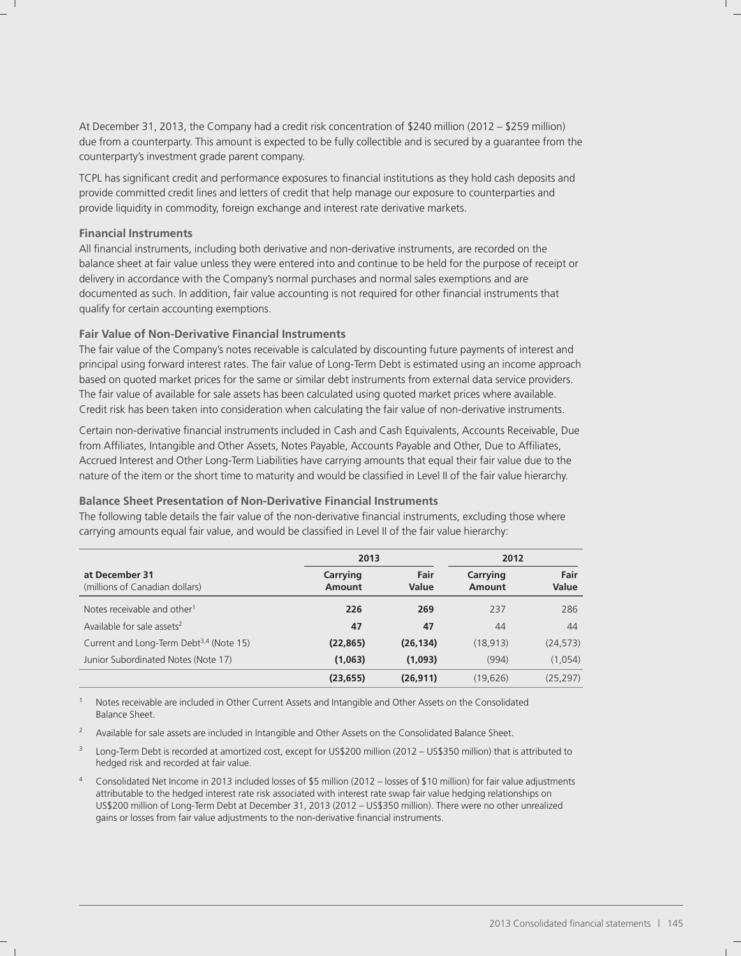At December 31, 2013, the Company had a credit risk concentration of \$240 million (2012 – \$259 million) due from a counterparty. This amount is expected to be fully collectible and is secured by a guarantee from the counterparty's investment grade parent company.

TCPL has significant credit and performance exposures to financial institutions as they hold cash deposits and provide committed credit lines and letters of credit that help manage our exposure to counterparties and provide liquidity in commodity, foreign exchange and interest rate derivative markets.

### **Financial Instruments**

All financial instruments, including both derivative and non-derivative instruments, are recorded on the balance sheet at fair value unless they were entered into and continue to be held for the purpose of receipt or delivery in accordance with the Company's normal purchases and normal sales exemptions and are documented as such. In addition, fair value accounting is not required for other financial instruments that qualify for certain accounting exemptions.

### **Fair Value of Non-Derivative Financial Instruments**

The fair value of the Company's notes receivable is calculated by discounting future payments of interest and principal using forward interest rates. The fair value of Long-Term Debt is estimated using an income approach based on quoted market prices for the same or similar debt instruments from external data service providers. The fair value of available for sale assets has been calculated using quoted market prices where available. Credit risk has been taken into consideration when calculating the fair value of non-derivative instruments.

Certain non-derivative financial instruments included in Cash and Cash Equivalents, Accounts Receivable, Due from Affiliates, Intangible and Other Assets, Notes Payable, Accounts Payable and Other, Due to Affiliates, Accrued Interest and Other Long-Term Liabilities have carrying amounts that equal their fair value due to the nature of the item or the short time to maturity and would be classified in Level II of the fair value hierarchy.

### **Balance Sheet Presentation of Non-Derivative Financial Instruments**

The following table details the fair value of the non-derivative financial instruments, excluding those where carrying amounts equal fair value, and would be classified in Level II of the fair value hierarchy:

|                                                     | 2013               |               | 2012               |               |
|-----------------------------------------------------|--------------------|---------------|--------------------|---------------|
| at December 31<br>(millions of Canadian dollars)    | Carrying<br>Amount | Fair<br>Value | Carrying<br>Amount | Fair<br>Value |
| Notes receivable and other <sup>1</sup>             | 226                | 269           | 237                | 286           |
| Available for sale assets <sup>2</sup>              | 47                 | 47            | 44                 | 44            |
| Current and Long-Term Debt <sup>3,4</sup> (Note 15) | (22, 865)          | (26, 134)     | (18, 913)          | (24, 573)     |
| Junior Subordinated Notes (Note 17)                 | (1,063)            | (1,093)       | (994)              | (1,054)       |
|                                                     | (23, 655)          | (26, 911)     | (19, 626)          | (25, 297)     |

<sup>1</sup> Notes receivable are included in Other Current Assets and Intangible and Other Assets on the Consolidated Balance Sheet.

<sup>2</sup> Available for sale assets are included in Intangible and Other Assets on the Consolidated Balance Sheet.

- Long-Term Debt is recorded at amortized cost, except for US\$200 million (2012 US\$350 million) that is attributed to hedged risk and recorded at fair value.
- Consolidated Net Income in 2013 included losses of \$5 million (2012 losses of \$10 million) for fair value adjustments attributable to the hedged interest rate risk associated with interest rate swap fair value hedging relationships on US\$200 million of Long-Term Debt at December 31, 2013 (2012 – US\$350 million). There were no other unrealized gains or losses from fair value adjustments to the non-derivative financial instruments.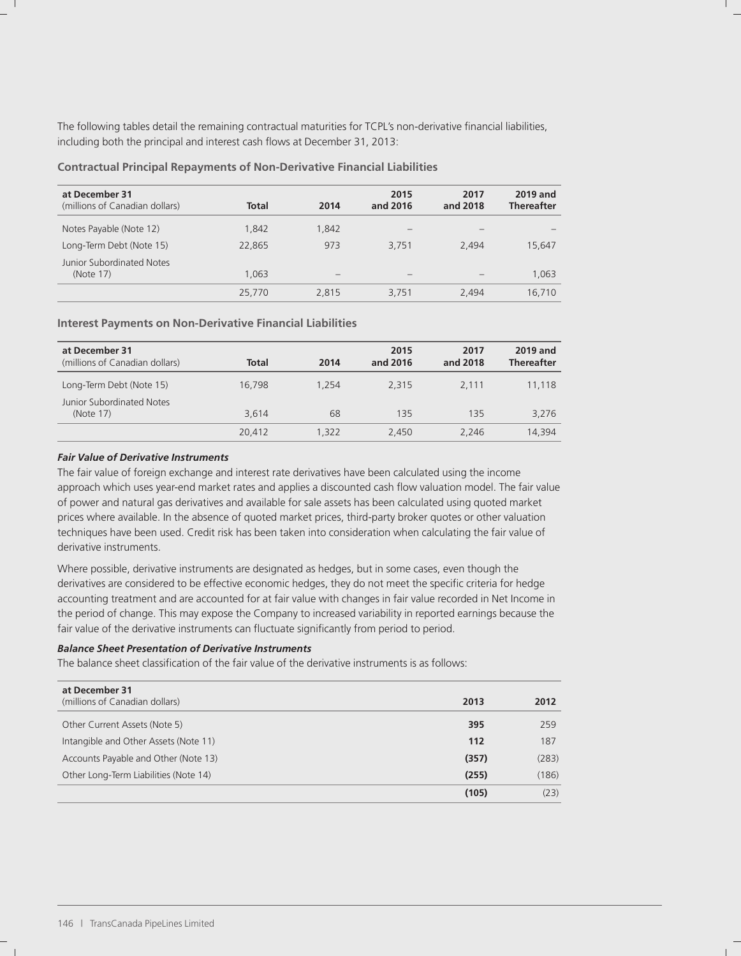The following tables detail the remaining contractual maturities for TCPL's non-derivative financial liabilities, including both the principal and interest cash flows at December 31, 2013:

| <b>Contractual Principal Repayments of Non-Derivative Financial Liabilities</b> |  |
|---------------------------------------------------------------------------------|--|
|---------------------------------------------------------------------------------|--|

| at December 31<br>(millions of Canadian dollars) | Total  | 2014  | 2015<br>and 2016 | 2017<br>and 2018 | 2019 and<br><b>Thereafter</b> |
|--------------------------------------------------|--------|-------|------------------|------------------|-------------------------------|
| Notes Payable (Note 12)                          | 1,842  | 1,842 |                  |                  |                               |
| Long-Term Debt (Note 15)                         | 22.865 | 973   | 3,751            | 2.494            | 15,647                        |
| Junior Subordinated Notes<br>(Note 17)           | 1,063  |       |                  |                  | 1,063                         |
|                                                  | 25,770 | 2,815 | 3,751            | 2.494            | 16,710                        |

**Interest Payments on Non-Derivative Financial Liabilities**

| at December 31<br>(millions of Canadian dollars) | <b>Total</b> | 2014  | 2015<br>and 2016 | 2017<br>and 2018 | 2019 and<br><b>Thereafter</b> |
|--------------------------------------------------|--------------|-------|------------------|------------------|-------------------------------|
| Long-Term Debt (Note 15)                         | 16,798       | 1.254 | 2,315            | 2.111            | 11,118                        |
| Junior Subordinated Notes<br>(Note 17)           | 3.614        | 68    | 135              | 135              | 3,276                         |
|                                                  | 20,412       | 1.322 | 2,450            | 2.246            | 14,394                        |

### *Fair Value of Derivative Instruments*

The fair value of foreign exchange and interest rate derivatives have been calculated using the income approach which uses year-end market rates and applies a discounted cash flow valuation model. The fair value of power and natural gas derivatives and available for sale assets has been calculated using quoted market prices where available. In the absence of quoted market prices, third-party broker quotes or other valuation techniques have been used. Credit risk has been taken into consideration when calculating the fair value of derivative instruments.

Where possible, derivative instruments are designated as hedges, but in some cases, even though the derivatives are considered to be effective economic hedges, they do not meet the specific criteria for hedge accounting treatment and are accounted for at fair value with changes in fair value recorded in Net Income in the period of change. This may expose the Company to increased variability in reported earnings because the fair value of the derivative instruments can fluctuate significantly from period to period.

### *Balance Sheet Presentation of Derivative Instruments*

The balance sheet classification of the fair value of the derivative instruments is as follows:

| at December 31<br>(millions of Canadian dollars) | 2013  | 2012  |
|--------------------------------------------------|-------|-------|
| Other Current Assets (Note 5)                    | 395   | 259   |
| Intangible and Other Assets (Note 11)            | 112   | 187   |
| Accounts Payable and Other (Note 13)             | (357) | (283) |
| Other Long-Term Liabilities (Note 14)            | (255) | (186) |
|                                                  | (105) | (23)  |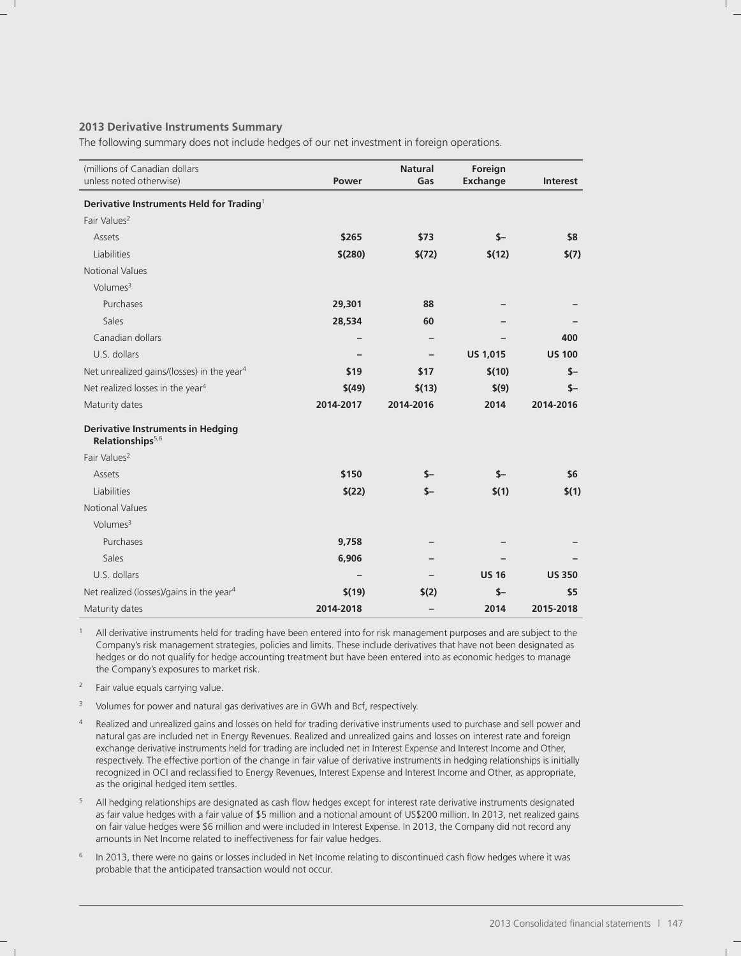### **2013 Derivative Instruments Summary**

The following summary does not include hedges of our net investment in foreign operations.

| (millions of Canadian dollars<br>unless noted otherwise)                 | Power     | <b>Natural</b><br>Gas | Foreign<br><b>Exchange</b> | Interest      |
|--------------------------------------------------------------------------|-----------|-----------------------|----------------------------|---------------|
| Derivative Instruments Held for Trading <sup>1</sup>                     |           |                       |                            |               |
| Fair Values <sup>2</sup>                                                 |           |                       |                            |               |
| Assets                                                                   | \$265     | \$73                  | $S-$                       | \$8           |
| Liabilities                                                              | \$(280)   | \$(72)                | \$(12)                     | \$(7)         |
| Notional Values                                                          |           |                       |                            |               |
| Volumes <sup>3</sup>                                                     |           |                       |                            |               |
| Purchases                                                                | 29,301    | 88                    |                            |               |
| Sales                                                                    | 28,534    | 60                    |                            |               |
| Canadian dollars                                                         |           |                       |                            | 400           |
| U.S. dollars                                                             |           |                       | <b>US 1,015</b>            | <b>US 100</b> |
| Net unrealized gains/(losses) in the year <sup>4</sup>                   | \$19      | \$17                  | \$(10)                     | $S-$          |
| Net realized losses in the year <sup>4</sup>                             | \$(49)    | \$(13)                | \$(9)                      | $S-$          |
| Maturity dates                                                           | 2014-2017 | 2014-2016             | 2014                       | 2014-2016     |
| <b>Derivative Instruments in Hedging</b><br>Relationships <sup>5,6</sup> |           |                       |                            |               |
| Fair Values <sup>2</sup>                                                 |           |                       |                            |               |
| Assets                                                                   | \$150     | $S-$                  | $S-$                       | \$6           |
| <b>Liabilities</b>                                                       | \$(22)    | $S-$                  | \$(1)                      | \$(1)         |
| <b>Notional Values</b>                                                   |           |                       |                            |               |
| Volumes $3$                                                              |           |                       |                            |               |
| Purchases                                                                | 9,758     |                       |                            |               |
| Sales                                                                    | 6,906     |                       |                            |               |
| U.S. dollars                                                             |           |                       | <b>US 16</b>               | <b>US 350</b> |
| Net realized (losses)/gains in the year <sup>4</sup>                     | \$(19)    | \$(2)                 | $S-$                       | \$5           |
| Maturity dates                                                           | 2014-2018 |                       | 2014                       | 2015-2018     |

<sup>1</sup> All derivative instruments held for trading have been entered into for risk management purposes and are subject to the Company's risk management strategies, policies and limits. These include derivatives that have not been designated as hedges or do not qualify for hedge accounting treatment but have been entered into as economic hedges to manage the Company's exposures to market risk.

Fair value equals carrying value.

- <sup>3</sup> Volumes for power and natural gas derivatives are in GWh and Bcf, respectively.
- <sup>4</sup> Realized and unrealized gains and losses on held for trading derivative instruments used to purchase and sell power and natural gas are included net in Energy Revenues. Realized and unrealized gains and losses on interest rate and foreign exchange derivative instruments held for trading are included net in Interest Expense and Interest Income and Other, respectively. The effective portion of the change in fair value of derivative instruments in hedging relationships is initially recognized in OCI and reclassified to Energy Revenues, Interest Expense and Interest Income and Other, as appropriate, as the original hedged item settles.
- <sup>5</sup> All hedging relationships are designated as cash flow hedges except for interest rate derivative instruments designated as fair value hedges with a fair value of \$5 million and a notional amount of US\$200 million. In 2013, net realized gains on fair value hedges were \$6 million and were included in Interest Expense. In 2013, the Company did not record any amounts in Net Income related to ineffectiveness for fair value hedges.
- <sup>6</sup> In 2013, there were no gains or losses included in Net Income relating to discontinued cash flow hedges where it was probable that the anticipated transaction would not occur.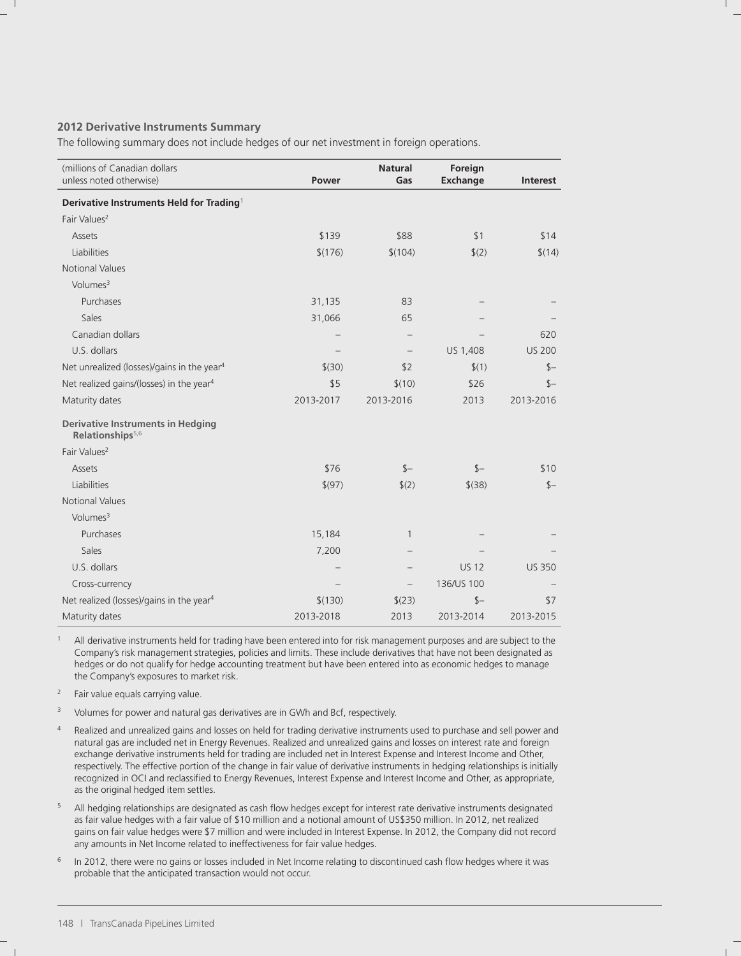### **2012 Derivative Instruments Summary**

The following summary does not include hedges of our net investment in foreign operations.

| (millions of Canadian dollars                                            |           | <b>Natural</b> | Foreign         |                 |
|--------------------------------------------------------------------------|-----------|----------------|-----------------|-----------------|
| unless noted otherwise)                                                  | Power     | Gas            | <b>Exchange</b> | <b>Interest</b> |
| Derivative Instruments Held for Trading <sup>1</sup>                     |           |                |                 |                 |
| Fair Values <sup>2</sup>                                                 |           |                |                 |                 |
| Assets                                                                   | \$139     | \$88           | \$1             | \$14            |
| Liabilities                                                              | \$(176)   | \$(104)        | \$(2)           | \$(14)          |
| <b>Notional Values</b>                                                   |           |                |                 |                 |
| Volumes <sup>3</sup>                                                     |           |                |                 |                 |
| Purchases                                                                | 31,135    | 83             |                 |                 |
| Sales                                                                    | 31,066    | 65             |                 |                 |
| Canadian dollars                                                         |           |                |                 | 620             |
| U.S. dollars                                                             |           |                | US 1,408        | <b>US 200</b>   |
| Net unrealized (losses)/gains in the year <sup>4</sup>                   | \$(30)    | \$2            | \$(1)           | $$-$            |
| Net realized gains/(losses) in the year <sup>4</sup>                     | \$5       | \$(10)         | \$26            | $S -$           |
| Maturity dates                                                           | 2013-2017 | 2013-2016      | 2013            | 2013-2016       |
| <b>Derivative Instruments in Hedging</b><br>Relationships <sup>5,6</sup> |           |                |                 |                 |
| Fair Values <sup>2</sup>                                                 |           |                |                 |                 |
| Assets                                                                   | \$76      | $S -$          | $S-$            | \$10            |
| Liabilities                                                              | \$(97)    | \$(2)          | $$^{(38)}$      | $$-$            |
| <b>Notional Values</b>                                                   |           |                |                 |                 |
| Volumes <sup>3</sup>                                                     |           |                |                 |                 |
| Purchases                                                                | 15,184    | 1              |                 |                 |
| Sales                                                                    | 7,200     |                |                 |                 |
| U.S. dollars                                                             |           |                | <b>US 12</b>    | <b>US 350</b>   |
| Cross-currency                                                           |           | $-$            | 136/US 100      |                 |
| Net realized (losses)/gains in the year <sup>4</sup>                     | \$(130)   | \$(23)         | $S-$            | \$7             |
| Maturity dates                                                           | 2013-2018 | 2013           | 2013-2014       | 2013-2015       |

<sup>1</sup> All derivative instruments held for trading have been entered into for risk management purposes and are subject to the Company's risk management strategies, policies and limits. These include derivatives that have not been designated as hedges or do not qualify for hedge accounting treatment but have been entered into as economic hedges to manage the Company's exposures to market risk.

<sup>2</sup> Fair value equals carrying value.

Volumes for power and natural gas derivatives are in GWh and Bcf, respectively.

- <sup>4</sup> Realized and unrealized gains and losses on held for trading derivative instruments used to purchase and sell power and natural gas are included net in Energy Revenues. Realized and unrealized gains and losses on interest rate and foreign exchange derivative instruments held for trading are included net in Interest Expense and Interest Income and Other, respectively. The effective portion of the change in fair value of derivative instruments in hedging relationships is initially recognized in OCI and reclassified to Energy Revenues, Interest Expense and Interest Income and Other, as appropriate, as the original hedged item settles.
- <sup>5</sup> All hedging relationships are designated as cash flow hedges except for interest rate derivative instruments designated as fair value hedges with a fair value of \$10 million and a notional amount of US\$350 million. In 2012, net realized gains on fair value hedges were \$7 million and were included in Interest Expense. In 2012, the Company did not record any amounts in Net Income related to ineffectiveness for fair value hedges.
- <sup>6</sup> In 2012, there were no gains or losses included in Net Income relating to discontinued cash flow hedges where it was probable that the anticipated transaction would not occur.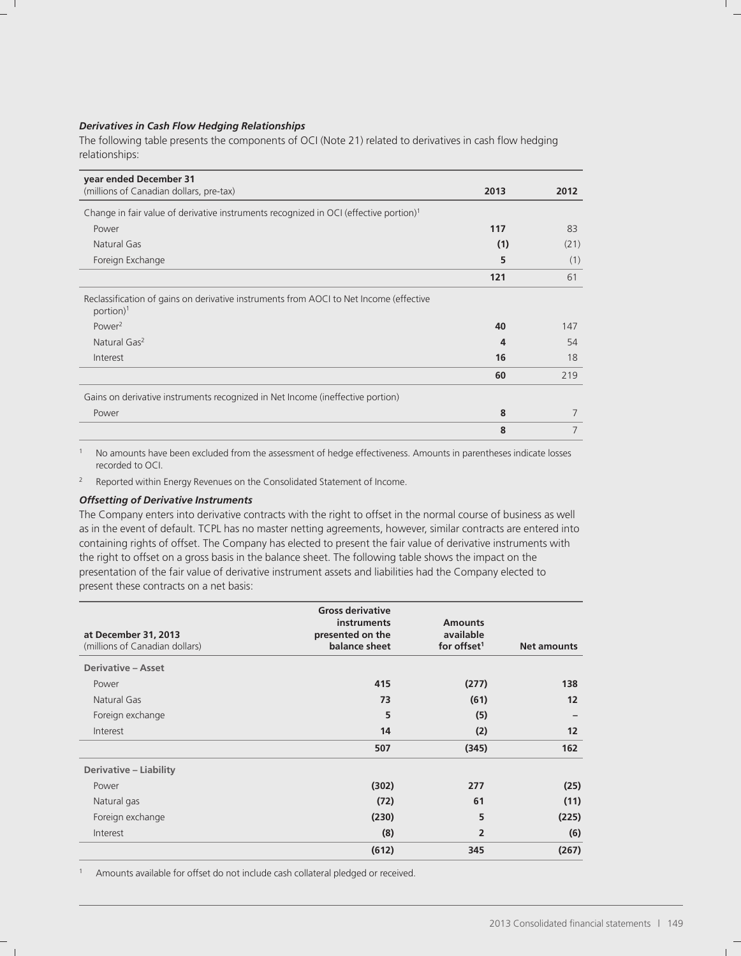### *Derivatives in Cash Flow Hedging Relationships*

The following table presents the components of OCI (Note 21) related to derivatives in cash flow hedging relationships:

| year ended December 31                                                                                          |          |      |
|-----------------------------------------------------------------------------------------------------------------|----------|------|
| (millions of Canadian dollars, pre-tax)                                                                         | 2013     | 2012 |
| Change in fair value of derivative instruments recognized in OCI (effective portion) <sup>1</sup>               |          |      |
| Power                                                                                                           | 117      | 83   |
| Natural Gas                                                                                                     | (1)      | (21) |
| Foreign Exchange                                                                                                | 5        | (1)  |
|                                                                                                                 | 121      | 61   |
| Reclassification of gains on derivative instruments from AOCI to Net Income (effective<br>portion) <sup>1</sup> |          |      |
| Power <sup>2</sup>                                                                                              | 40       | 147  |
| Natural Gas <sup>2</sup>                                                                                        | $\Delta$ | 54   |
| Interest                                                                                                        | 16       | 18   |
|                                                                                                                 | 60       | 219  |
| Gains on derivative instruments recognized in Net Income (ineffective portion)                                  |          |      |
| Power                                                                                                           | 8        | 7    |
|                                                                                                                 | 8        | 7    |

<sup>1</sup> No amounts have been excluded from the assessment of hedge effectiveness. Amounts in parentheses indicate losses recorded to OCI.

<sup>2</sup> Reported within Energy Revenues on the Consolidated Statement of Income.

### *Offsetting of Derivative Instruments*

The Company enters into derivative contracts with the right to offset in the normal course of business as well as in the event of default. TCPL has no master netting agreements, however, similar contracts are entered into containing rights of offset. The Company has elected to present the fair value of derivative instruments with the right to offset on a gross basis in the balance sheet. The following table shows the impact on the presentation of the fair value of derivative instrument assets and liabilities had the Company elected to present these contracts on a net basis:

| at December 31, 2013<br>(millions of Canadian dollars) | <b>Gross derivative</b><br><b>instruments</b><br>presented on the<br>balance sheet | <b>Amounts</b><br>available<br>for offset <sup>1</sup> | <b>Net amounts</b> |
|--------------------------------------------------------|------------------------------------------------------------------------------------|--------------------------------------------------------|--------------------|
| <b>Derivative - Asset</b>                              |                                                                                    |                                                        |                    |
| Power                                                  | 415                                                                                | (277)                                                  | 138                |
| Natural Gas                                            | 73                                                                                 | (61)                                                   | 12                 |
| Foreign exchange                                       | 5                                                                                  | (5)                                                    |                    |
| Interest                                               | 14                                                                                 | (2)                                                    | 12                 |
|                                                        | 507                                                                                | (345)                                                  | 162                |
| <b>Derivative - Liability</b>                          |                                                                                    |                                                        |                    |
| Power                                                  | (302)                                                                              | 277                                                    | (25)               |
| Natural gas                                            | (72)                                                                               | 61                                                     | (11)               |
| Foreign exchange                                       | (230)                                                                              | 5                                                      | (225)              |
| Interest                                               | (8)                                                                                | $\overline{2}$                                         | (6)                |
|                                                        | (612)                                                                              | 345                                                    | (267)              |

Amounts available for offset do not include cash collateral pledged or received.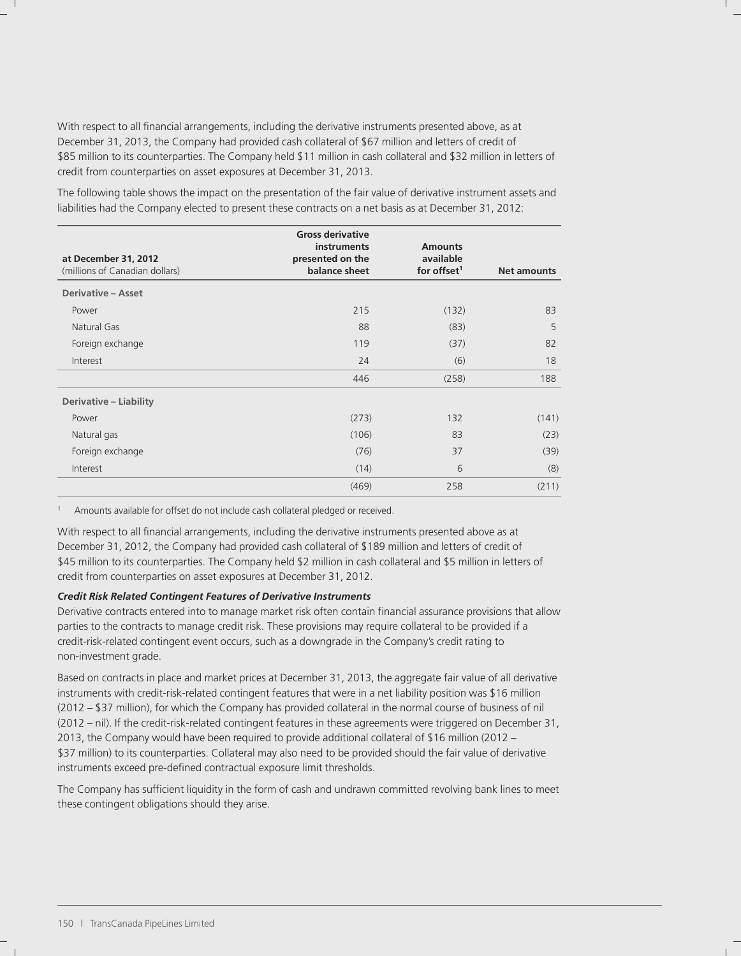With respect to all financial arrangements, including the derivative instruments presented above, as at December 31, 2013, the Company had provided cash collateral of \$67 million and letters of credit of \$85 million to its counterparties. The Company held \$11 million in cash collateral and \$32 million in letters of credit from counterparties on asset exposures at December 31, 2013.

The following table shows the impact on the presentation of the fair value of derivative instrument assets and liabilities had the Company elected to present these contracts on a net basis as at December 31, 2012:

|                                                        | <b>Gross derivative</b><br><b>instruments</b> | <b>Amounts</b>                       |                    |
|--------------------------------------------------------|-----------------------------------------------|--------------------------------------|--------------------|
| at December 31, 2012<br>(millions of Canadian dollars) | presented on the<br>balance sheet             | available<br>for offset <sup>1</sup> | <b>Net amounts</b> |
| <b>Derivative - Asset</b>                              |                                               |                                      |                    |
| Power                                                  | 215                                           | (132)                                | 83                 |
| Natural Gas                                            | 88                                            | (83)                                 | 5                  |
| Foreign exchange                                       | 119                                           | (37)                                 | 82                 |
| Interest                                               | 24                                            | (6)                                  | 18                 |
|                                                        | 446                                           | (258)                                | 188                |
| <b>Derivative - Liability</b>                          |                                               |                                      |                    |
| Power                                                  | (273)                                         | 132                                  | (141)              |
| Natural gas                                            | (106)                                         | 83                                   | (23)               |
| Foreign exchange                                       | (76)                                          | 37                                   | (39)               |
| Interest                                               | (14)                                          | 6                                    | (8)                |
|                                                        | (469)                                         | 258                                  | (211)              |

Amounts available for offset do not include cash collateral pledged or received.

With respect to all financial arrangements, including the derivative instruments presented above as at December 31, 2012, the Company had provided cash collateral of \$189 million and letters of credit of \$45 million to its counterparties. The Company held \$2 million in cash collateral and \$5 million in letters of credit from counterparties on asset exposures at December 31, 2012.

### *Credit Risk Related Contingent Features of Derivative Instruments*

Derivative contracts entered into to manage market risk often contain financial assurance provisions that allow parties to the contracts to manage credit risk. These provisions may require collateral to be provided if a credit-risk-related contingent event occurs, such as a downgrade in the Company's credit rating to non-investment grade.

Based on contracts in place and market prices at December 31, 2013, the aggregate fair value of all derivative instruments with credit-risk-related contingent features that were in a net liability position was \$16 million (2012 – \$37 million), for which the Company has provided collateral in the normal course of business of nil (2012 – nil). If the credit-risk-related contingent features in these agreements were triggered on December 31, 2013, the Company would have been required to provide additional collateral of \$16 million (2012 – \$37 million) to its counterparties. Collateral may also need to be provided should the fair value of derivative instruments exceed pre-defined contractual exposure limit thresholds.

The Company has sufficient liquidity in the form of cash and undrawn committed revolving bank lines to meet these contingent obligations should they arise.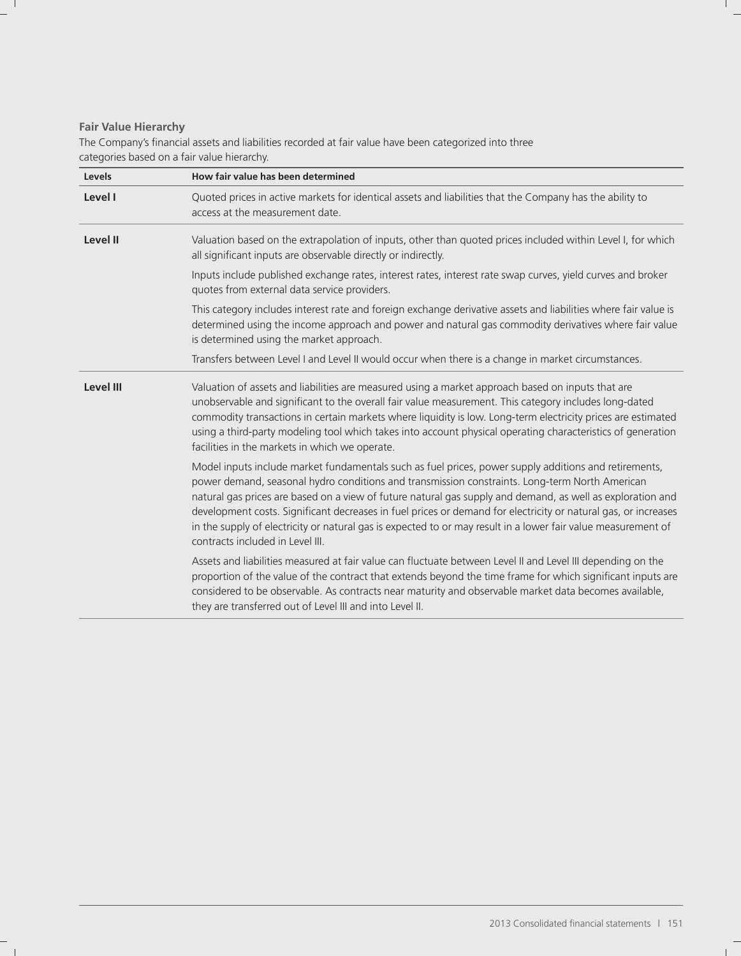**Fair Value Hierarchy** The Company's financial assets and liabilities recorded at fair value have been categorized into three categories based on a fair value hierarchy.

| Levels    | How fair value has been determined                                                                                                                                                                                                                                                                                                                                                                                                                                                                                                                                                           |
|-----------|----------------------------------------------------------------------------------------------------------------------------------------------------------------------------------------------------------------------------------------------------------------------------------------------------------------------------------------------------------------------------------------------------------------------------------------------------------------------------------------------------------------------------------------------------------------------------------------------|
| Level I   | Quoted prices in active markets for identical assets and liabilities that the Company has the ability to<br>access at the measurement date.                                                                                                                                                                                                                                                                                                                                                                                                                                                  |
| Level II  | Valuation based on the extrapolation of inputs, other than quoted prices included within Level I, for which<br>all significant inputs are observable directly or indirectly.                                                                                                                                                                                                                                                                                                                                                                                                                 |
|           | Inputs include published exchange rates, interest rates, interest rate swap curves, yield curves and broker<br>quotes from external data service providers.                                                                                                                                                                                                                                                                                                                                                                                                                                  |
|           | This category includes interest rate and foreign exchange derivative assets and liabilities where fair value is<br>determined using the income approach and power and natural gas commodity derivatives where fair value<br>is determined using the market approach.                                                                                                                                                                                                                                                                                                                         |
|           | Transfers between Level I and Level II would occur when there is a change in market circumstances.                                                                                                                                                                                                                                                                                                                                                                                                                                                                                           |
| Level III | Valuation of assets and liabilities are measured using a market approach based on inputs that are<br>unobservable and significant to the overall fair value measurement. This category includes long-dated<br>commodity transactions in certain markets where liquidity is low. Long-term electricity prices are estimated<br>using a third-party modeling tool which takes into account physical operating characteristics of generation<br>facilities in the markets in which we operate.                                                                                                  |
|           | Model inputs include market fundamentals such as fuel prices, power supply additions and retirements,<br>power demand, seasonal hydro conditions and transmission constraints. Long-term North American<br>natural gas prices are based on a view of future natural gas supply and demand, as well as exploration and<br>development costs. Significant decreases in fuel prices or demand for electricity or natural gas, or increases<br>in the supply of electricity or natural gas is expected to or may result in a lower fair value measurement of<br>contracts included in Level III. |
|           | Assets and liabilities measured at fair value can fluctuate between Level II and Level III depending on the<br>proportion of the value of the contract that extends beyond the time frame for which significant inputs are<br>considered to be observable. As contracts near maturity and observable market data becomes available,<br>they are transferred out of Level III and into Level II.                                                                                                                                                                                              |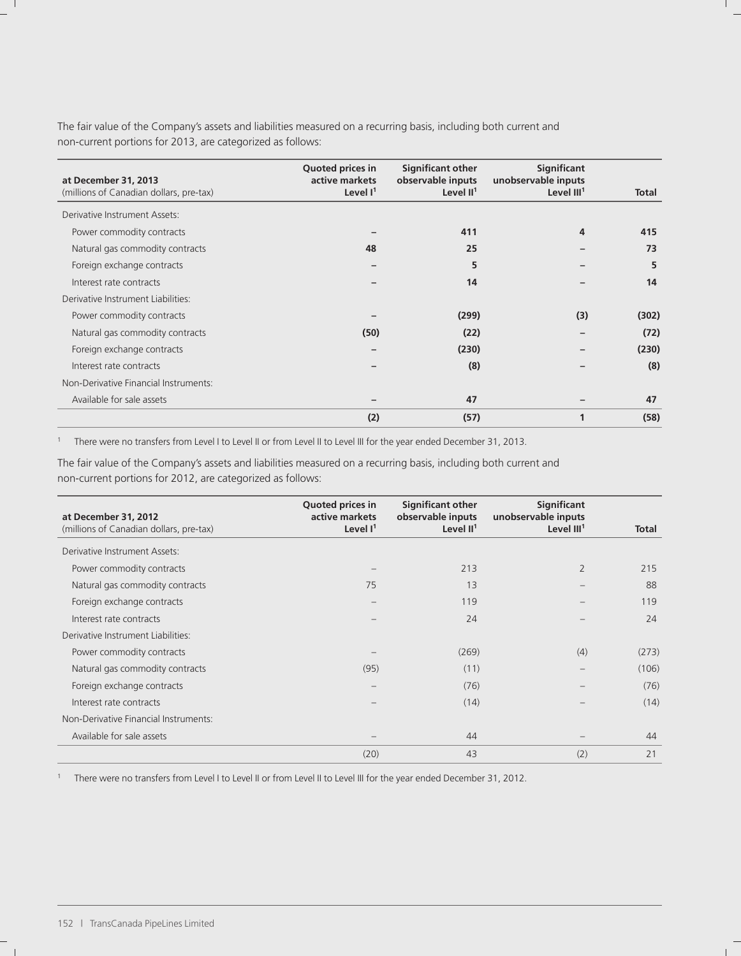The fair value of the Company's assets and liabilities measured on a recurring basis, including both current and non-current portions for 2013, are categorized as follows:

| at December 31, 2013<br>(millions of Canadian dollars, pre-tax) | Quoted prices in<br>active markets<br>Level $I^1$ | <b>Significant other</b><br>observable inputs<br>Level $II1$ | <b>Significant</b><br>unobservable inputs<br>Level III <sup>1</sup> | Total |
|-----------------------------------------------------------------|---------------------------------------------------|--------------------------------------------------------------|---------------------------------------------------------------------|-------|
| Derivative Instrument Assets:                                   |                                                   |                                                              |                                                                     |       |
| Power commodity contracts                                       |                                                   | 411                                                          | 4                                                                   | 415   |
| Natural gas commodity contracts                                 | 48                                                | 25                                                           |                                                                     | 73    |
| Foreign exchange contracts                                      |                                                   | 5                                                            |                                                                     | 5     |
| Interest rate contracts                                         |                                                   | 14                                                           |                                                                     | 14    |
| Derivative Instrument Liabilities:                              |                                                   |                                                              |                                                                     |       |
| Power commodity contracts                                       |                                                   | (299)                                                        | (3)                                                                 | (302) |
| Natural gas commodity contracts                                 | (50)                                              | (22)                                                         |                                                                     | (72)  |
| Foreign exchange contracts                                      |                                                   | (230)                                                        |                                                                     | (230) |
| Interest rate contracts                                         |                                                   | (8)                                                          |                                                                     | (8)   |
| Non-Derivative Financial Instruments:                           |                                                   |                                                              |                                                                     |       |
| Available for sale assets                                       |                                                   | 47                                                           |                                                                     | 47    |
|                                                                 | (2)                                               | (57)                                                         |                                                                     | (58)  |

<sup>1</sup> There were no transfers from Level I to Level II or from Level II to Level III for the year ended December 31, 2013.

The fair value of the Company's assets and liabilities measured on a recurring basis, including both current and non-current portions for 2012, are categorized as follows:

| at December 31, 2012<br>(millions of Canadian dollars, pre-tax) | Quoted prices in<br>active markets<br>Level $I^1$ | Significant other<br>observable inputs<br>Level $II1$ | <b>Significant</b><br>unobservable inputs<br>Level III <sup>1</sup> | <b>Total</b> |
|-----------------------------------------------------------------|---------------------------------------------------|-------------------------------------------------------|---------------------------------------------------------------------|--------------|
| Derivative Instrument Assets:                                   |                                                   |                                                       |                                                                     |              |
| Power commodity contracts                                       |                                                   | 213                                                   | $\overline{2}$                                                      | 215          |
| Natural gas commodity contracts                                 | 75                                                | 13                                                    |                                                                     | 88           |
| Foreign exchange contracts                                      |                                                   | 119                                                   |                                                                     | 119          |
| Interest rate contracts                                         |                                                   | 24                                                    |                                                                     | 24           |
| Derivative Instrument Liabilities:                              |                                                   |                                                       |                                                                     |              |
| Power commodity contracts                                       |                                                   | (269)                                                 | (4)                                                                 | (273)        |
| Natural gas commodity contracts                                 | (95)                                              | (11)                                                  |                                                                     | (106)        |
| Foreign exchange contracts                                      |                                                   | (76)                                                  |                                                                     | (76)         |
| Interest rate contracts                                         |                                                   | (14)                                                  |                                                                     | (14)         |
| Non-Derivative Financial Instruments:                           |                                                   |                                                       |                                                                     |              |
| Available for sale assets                                       |                                                   | 44                                                    |                                                                     | 44           |
|                                                                 | (20)                                              | 43                                                    | (2)                                                                 | 21           |

<sup>1</sup> There were no transfers from Level I to Level II or from Level II to Level III for the year ended December 31, 2012.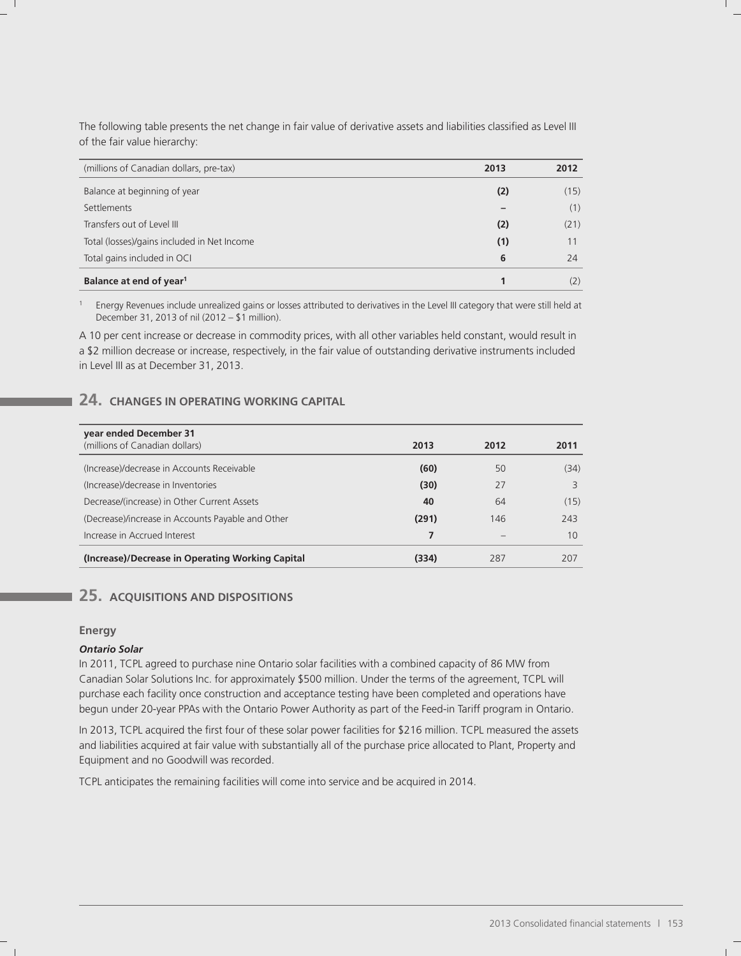The following table presents the net change in fair value of derivative assets and liabilities classified as Level III of the fair value hierarchy:

| (millions of Canadian dollars, pre-tax)     | 2013 | 2012 |
|---------------------------------------------|------|------|
| Balance at beginning of year                | (2)  | (15) |
| Settlements                                 |      | (1)  |
| Transfers out of Level III                  | (2)  | (21) |
| Total (losses)/gains included in Net Income | (1)  |      |
| Total gains included in OCI                 | 6    | 24   |
| Balance at end of year <sup>1</sup>         |      | (2)  |

<sup>1</sup> Energy Revenues include unrealized gains or losses attributed to derivatives in the Level III category that were still held at December 31, 2013 of nil (2012 – \$1 million).

A 10 per cent increase or decrease in commodity prices, with all other variables held constant, would result in a \$2 million decrease or increase, respectively, in the fair value of outstanding derivative instruments included in Level III as at December 31, 2013.

# **24. CHANGES IN OPERATING WORKING CAPITAL**

| year ended December 31<br>(millions of Canadian dollars) | 2013  | 2012 | 2011 |
|----------------------------------------------------------|-------|------|------|
| (Increase)/decrease in Accounts Receivable               | (60)  | 50   | (34) |
| (Increase)/decrease in Inventories                       | (30)  | 27   |      |
| Decrease/(increase) in Other Current Assets              | 40    | 64   | (15) |
| (Decrease)/increase in Accounts Payable and Other        | (291) | 146  | 243  |
| Increase in Accrued Interest                             | 7     |      | 10   |
| (Increase)/Decrease in Operating Working Capital         | (334) | 287  | 207  |

## **25. ACQUISITIONS AND DISPOSITIONS**

### **Energy**

### *Ontario Solar*

In 2011, TCPL agreed to purchase nine Ontario solar facilities with a combined capacity of 86 MW from Canadian Solar Solutions Inc. for approximately \$500 million. Under the terms of the agreement, TCPL will purchase each facility once construction and acceptance testing have been completed and operations have begun under 20-year PPAs with the Ontario Power Authority as part of the Feed-in Tariff program in Ontario.

In 2013, TCPL acquired the first four of these solar power facilities for \$216 million. TCPL measured the assets and liabilities acquired at fair value with substantially all of the purchase price allocated to Plant, Property and Equipment and no Goodwill was recorded.

TCPL anticipates the remaining facilities will come into service and be acquired in 2014.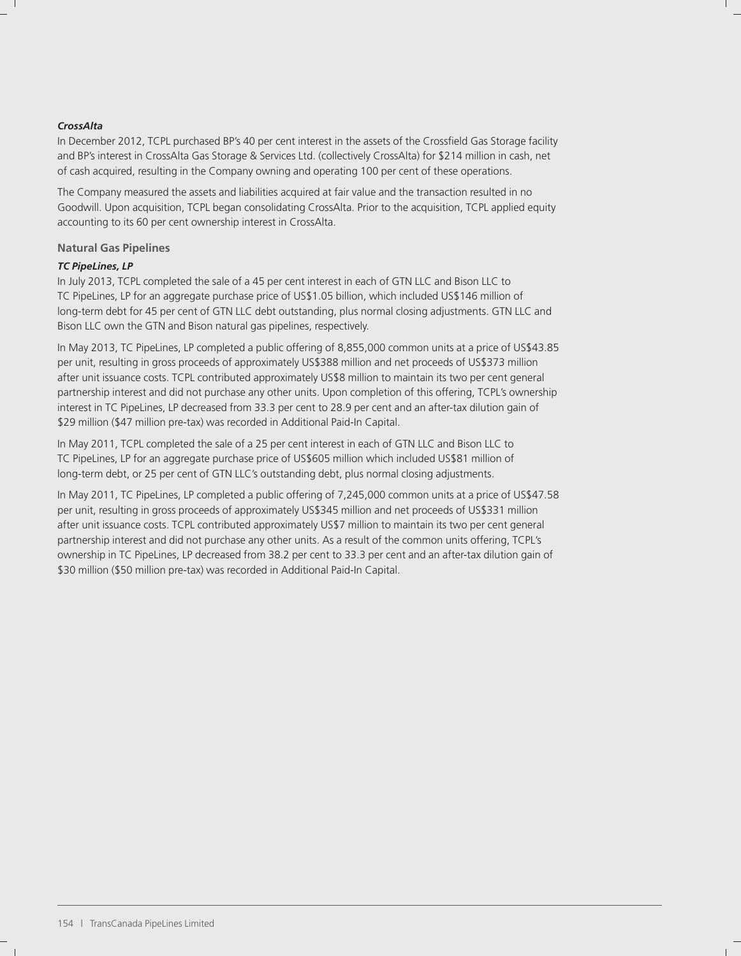### *CrossAlta*

In December 2012, TCPL purchased BP's 40 per cent interest in the assets of the Crossfield Gas Storage facility and BP's interest in CrossAlta Gas Storage & Services Ltd. (collectively CrossAlta) for \$214 million in cash, net of cash acquired, resulting in the Company owning and operating 100 per cent of these operations.

The Company measured the assets and liabilities acquired at fair value and the transaction resulted in no Goodwill. Upon acquisition, TCPL began consolidating CrossAlta. Prior to the acquisition, TCPL applied equity accounting to its 60 per cent ownership interest in CrossAlta.

### **Natural Gas Pipelines**

### *TC PipeLines, LP*

In July 2013, TCPL completed the sale of a 45 per cent interest in each of GTN LLC and Bison LLC to TC PipeLines, LP for an aggregate purchase price of US\$1.05 billion, which included US\$146 million of long-term debt for 45 per cent of GTN LLC debt outstanding, plus normal closing adjustments. GTN LLC and Bison LLC own the GTN and Bison natural gas pipelines, respectively.

In May 2013, TC PipeLines, LP completed a public offering of 8,855,000 common units at a price of US\$43.85 per unit, resulting in gross proceeds of approximately US\$388 million and net proceeds of US\$373 million after unit issuance costs. TCPL contributed approximately US\$8 million to maintain its two per cent general partnership interest and did not purchase any other units. Upon completion of this offering, TCPL's ownership interest in TC PipeLines, LP decreased from 33.3 per cent to 28.9 per cent and an after-tax dilution gain of \$29 million (\$47 million pre-tax) was recorded in Additional Paid-In Capital.

In May 2011, TCPL completed the sale of a 25 per cent interest in each of GTN LLC and Bison LLC to TC PipeLines, LP for an aggregate purchase price of US\$605 million which included US\$81 million of long-term debt, or 25 per cent of GTN LLC's outstanding debt, plus normal closing adjustments.

In May 2011, TC PipeLines, LP completed a public offering of 7,245,000 common units at a price of US\$47.58 per unit, resulting in gross proceeds of approximately US\$345 million and net proceeds of US\$331 million after unit issuance costs. TCPL contributed approximately US\$7 million to maintain its two per cent general partnership interest and did not purchase any other units. As a result of the common units offering, TCPL's ownership in TC PipeLines, LP decreased from 38.2 per cent to 33.3 per cent and an after-tax dilution gain of \$30 million (\$50 million pre-tax) was recorded in Additional Paid-In Capital.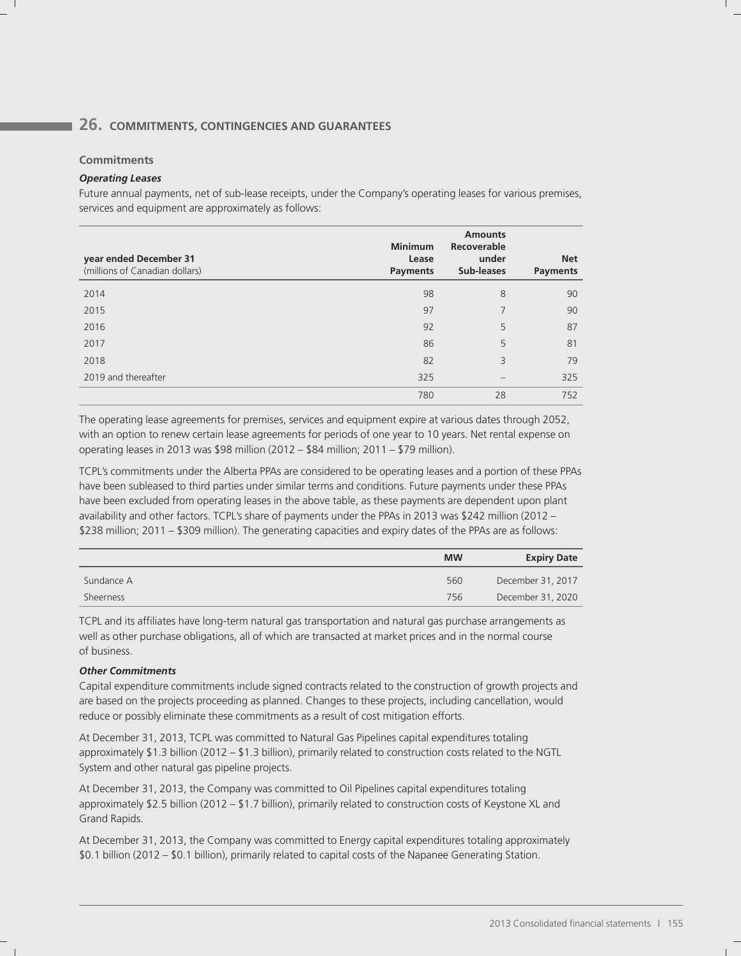## **26. COMMITMENTS, CONTINGENCIES AND GUARANTEES**

### **Commitments**

### *Operating Leases*

Future annual payments, net of sub-lease receipts, under the Company's operating leases for various premises, services and equipment are approximately as follows:

| year ended December 31<br>(millions of Canadian dollars) | <b>Minimum</b><br>Lease<br><b>Payments</b> | <b>Amounts</b><br>Recoverable<br>under<br><b>Sub-leases</b> | <b>Net</b><br><b>Payments</b> |
|----------------------------------------------------------|--------------------------------------------|-------------------------------------------------------------|-------------------------------|
| 2014                                                     | 98                                         | 8                                                           | 90                            |
| 2015                                                     | 97                                         | 7                                                           | 90                            |
| 2016                                                     | 92                                         | 5                                                           | 87                            |
| 2017                                                     | 86                                         | 5                                                           | 81                            |
| 2018                                                     | 82                                         | 3                                                           | 79                            |
| 2019 and thereafter                                      | 325                                        |                                                             | 325                           |
|                                                          | 780                                        | 28                                                          | 752                           |

The operating lease agreements for premises, services and equipment expire at various dates through 2052, with an option to renew certain lease agreements for periods of one year to 10 years. Net rental expense on operating leases in 2013 was \$98 million (2012 – \$84 million; 2011 – \$79 million).

TCPL's commitments under the Alberta PPAs are considered to be operating leases and a portion of these PPAs have been subleased to third parties under similar terms and conditions. Future payments under these PPAs have been excluded from operating leases in the above table, as these payments are dependent upon plant availability and other factors. TCPL's share of payments under the PPAs in 2013 was \$242 million (2012 – \$238 million; 2011 – \$309 million). The generating capacities and expiry dates of the PPAs are as follows:

|            | <b>MW</b> | <b>Expiry Date</b> |
|------------|-----------|--------------------|
| Sundance A | 560       | December 31, 2017  |
| Sheerness  | 756       | December 31, 2020  |

TCPL and its affiliates have long-term natural gas transportation and natural gas purchase arrangements as well as other purchase obligations, all of which are transacted at market prices and in the normal course of business.

### *Other Commitments*

Capital expenditure commitments include signed contracts related to the construction of growth projects and are based on the projects proceeding as planned. Changes to these projects, including cancellation, would reduce or possibly eliminate these commitments as a result of cost mitigation efforts.

At December 31, 2013, TCPL was committed to Natural Gas Pipelines capital expenditures totaling approximately \$1.3 billion (2012 – \$1.3 billion), primarily related to construction costs related to the NGTL System and other natural gas pipeline projects.

At December 31, 2013, the Company was committed to Oil Pipelines capital expenditures totaling approximately \$2.5 billion (2012 – \$1.7 billion), primarily related to construction costs of Keystone XL and Grand Rapids.

At December 31, 2013, the Company was committed to Energy capital expenditures totaling approximately \$0.1 billion (2012 – \$0.1 billion), primarily related to capital costs of the Napanee Generating Station.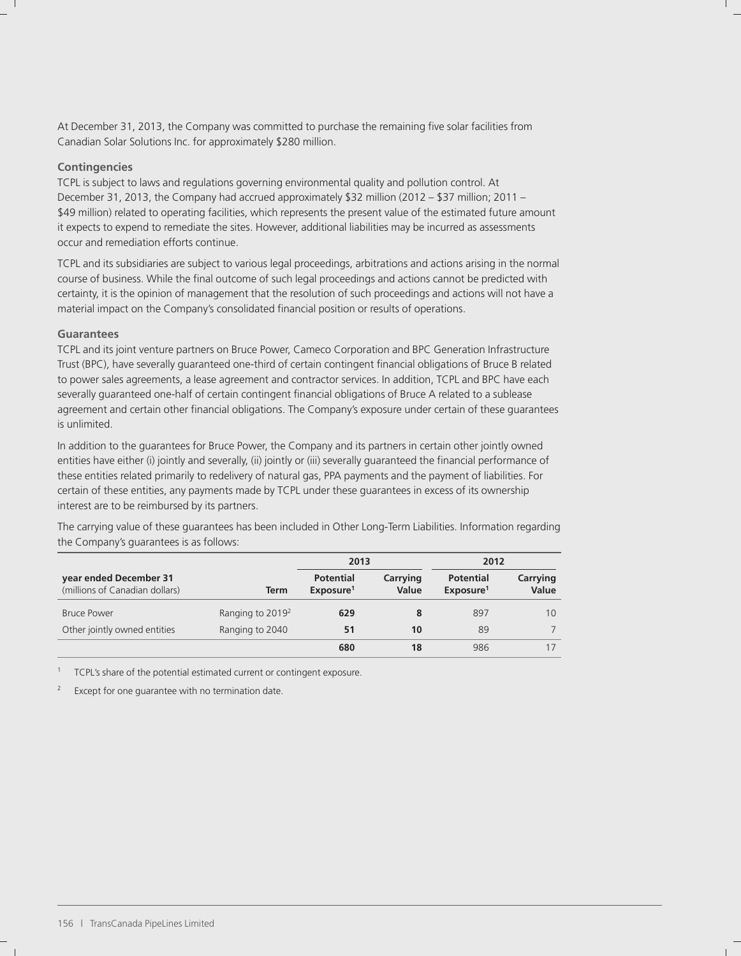At December 31, 2013, the Company was committed to purchase the remaining five solar facilities from Canadian Solar Solutions Inc. for approximately \$280 million.

### **Contingencies**

TCPL is subject to laws and regulations governing environmental quality and pollution control. At December 31, 2013, the Company had accrued approximately \$32 million (2012 – \$37 million; 2011 – \$49 million) related to operating facilities, which represents the present value of the estimated future amount it expects to expend to remediate the sites. However, additional liabilities may be incurred as assessments occur and remediation efforts continue.

TCPL and its subsidiaries are subject to various legal proceedings, arbitrations and actions arising in the normal course of business. While the final outcome of such legal proceedings and actions cannot be predicted with certainty, it is the opinion of management that the resolution of such proceedings and actions will not have a material impact on the Company's consolidated financial position or results of operations.

### **Guarantees**

TCPL and its joint venture partners on Bruce Power, Cameco Corporation and BPC Generation Infrastructure Trust (BPC), have severally guaranteed one-third of certain contingent financial obligations of Bruce B related to power sales agreements, a lease agreement and contractor services. In addition, TCPL and BPC have each severally guaranteed one-half of certain contingent financial obligations of Bruce A related to a sublease agreement and certain other financial obligations. The Company's exposure under certain of these guarantees is unlimited.

In addition to the guarantees for Bruce Power, the Company and its partners in certain other jointly owned entities have either (i) jointly and severally, (ii) jointly or (iii) severally guaranteed the financial performance of these entities related primarily to redelivery of natural gas, PPA payments and the payment of liabilities. For certain of these entities, any payments made by TCPL under these guarantees in excess of its ownership interest are to be reimbursed by its partners.

The carrying value of these guarantees has been included in Other Long-Term Liabilities. Information regarding the Company's guarantees is as follows:

|                                                          |                              | 2013                                      |                   | 2012                                      |                   |
|----------------------------------------------------------|------------------------------|-------------------------------------------|-------------------|-------------------------------------------|-------------------|
| year ended December 31<br>(millions of Canadian dollars) | Term                         | <b>Potential</b><br>Exposure <sup>1</sup> | Carrying<br>Value | <b>Potential</b><br>Exposure <sup>1</sup> | Carrying<br>Value |
| <b>Bruce Power</b>                                       | Ranging to 2019 <sup>2</sup> | 629                                       |                   | 897                                       | 10 <sup>1</sup>   |
| Other jointly owned entities                             | Ranging to 2040              | 51                                        | 10                | 89                                        |                   |
|                                                          |                              | 680                                       | 18                | 986                                       |                   |

<sup>1</sup> TCPL's share of the potential estimated current or contingent exposure.

Except for one guarantee with no termination date.